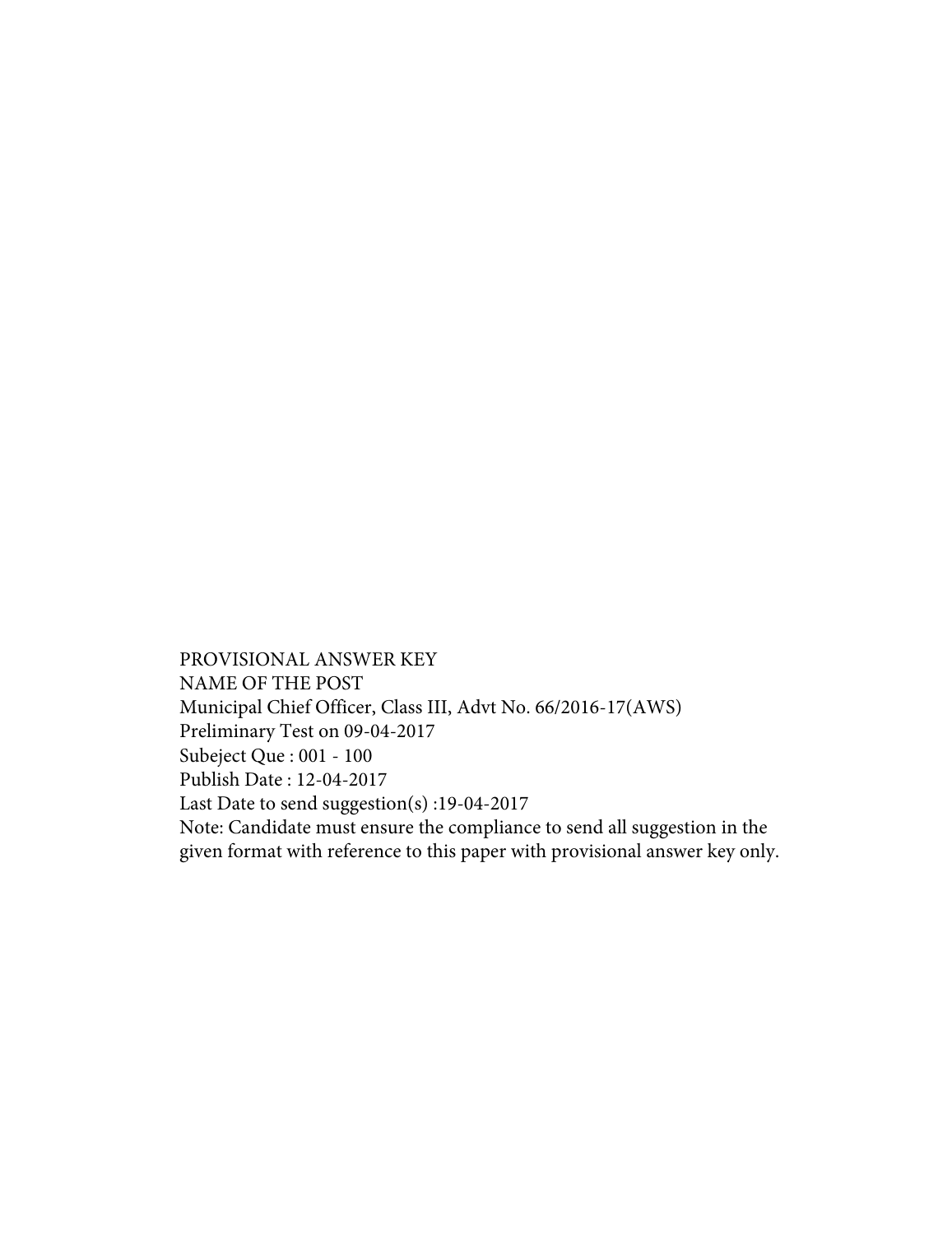PROVISIONAL ANSWER KEY NAME OF THE POST Municipal Chief Officer, Class III, Advt No. 66/2016-17(AWS) Preliminary Test on 09-04-2017 Subeject Que : 001 - 100 Publish Date : 12-04-2017 Last Date to send suggestion(s) :19-04-2017 Note: Candidate must ensure the compliance to send all suggestion in the given format with reference to this paper with provisional answer key only.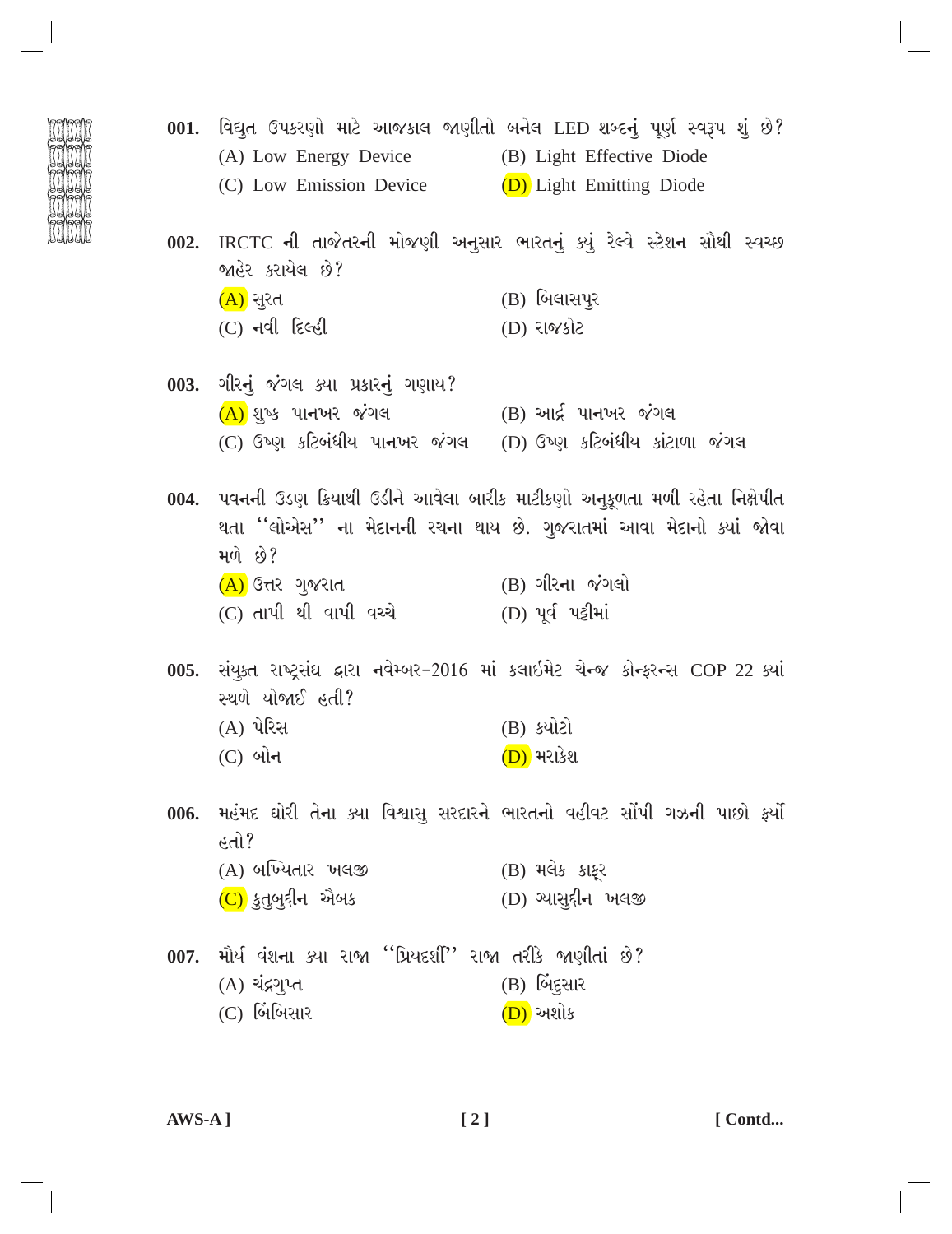- 001. વિદ્યુત ઉપકરણો માટે આજકાલ જાણીતો બનેલ LED શબ્દનું પૂર્ણ સ્વરૂપ શું છે? (A) Low Energy Device (B) Light Effective Diode (C) Low Emission Device (D) Light Emitting Diode 002. IRCTC ની તાજેતરની મોજણી અનુસાર ભારતનું ક્યું રેલ્વે સ્ટેશન સૌથી સ્વચ્છ જાહેર કરાયેલ છે?  $(A)$  સુરત  $(B)$  બિલાસપૂર  $(C)$  નવી દિલ્હી (D) રાજકોટ 003. ગીરનું જંગલ ક્યા પ્રકારનું ગણાય?  $(A)$  શુષ્ક પાનખર જંગલ  $(B)$  આર્દ્ર પાનખર જંગલ (C) ઉષ્ણ કટિબંધીય પાનખર જંગલ (D) ઉષ્ણ કટિબંધીય કાંટાળા જંગલ 004. પવનની ઉડણ ક્રિયાથી ઉડીને આવેલા બારીક માટીકણો અનુકૂળતા મળી રહેતા નિક્ષેપીત થતા ''લોએસ'' ના મેદાનની રચના થાય છે. ગુજરાતમાં આવા મેદાનો ક્યાં જોવા મળે છે? (A) ઉત્તર ગુજરાત (B) ગીરના જંગલો (C) તાપી થી વાપી વચ્ચે (D) પૂર્વ પટ્ટીમાં 005. સંયુક્ત રાષ્ટ્રસંઘ દ્વારા નવેમ્બર-2016 માં કલાઇમેટ ચેન્જ કોન્ફરન્સ COP 22 ક્યાં સ્થળે યોજાઈ હતી? (A) પેરિસ (B) ક્યોટો  $(C)$  બોન (D) મરાકેશ 006. મહંમદ ઘોરી તેના ક્યા વિશ્વાસ સરદારને ભારતનો વહીવટ સોંપી ગઝની પાછો ફર્યો  $\sin^3$ (A) બખ્યિતાર ખલજી (B) મલેક કાફર
	- (D) આસદ્દીન ખલજી (C) કુતુબુદ્દીન એબક
	- 007. મૌર્ય વંશના ક્યા રાજા ''પ્રિયદર્શી'' રાજા તરીકે જાણીતાં છે? (A) ચંદ્રગુપ્ત  $(B)$  બિંદુસાર  $(C)$  બિંબિસાર (D) અશોક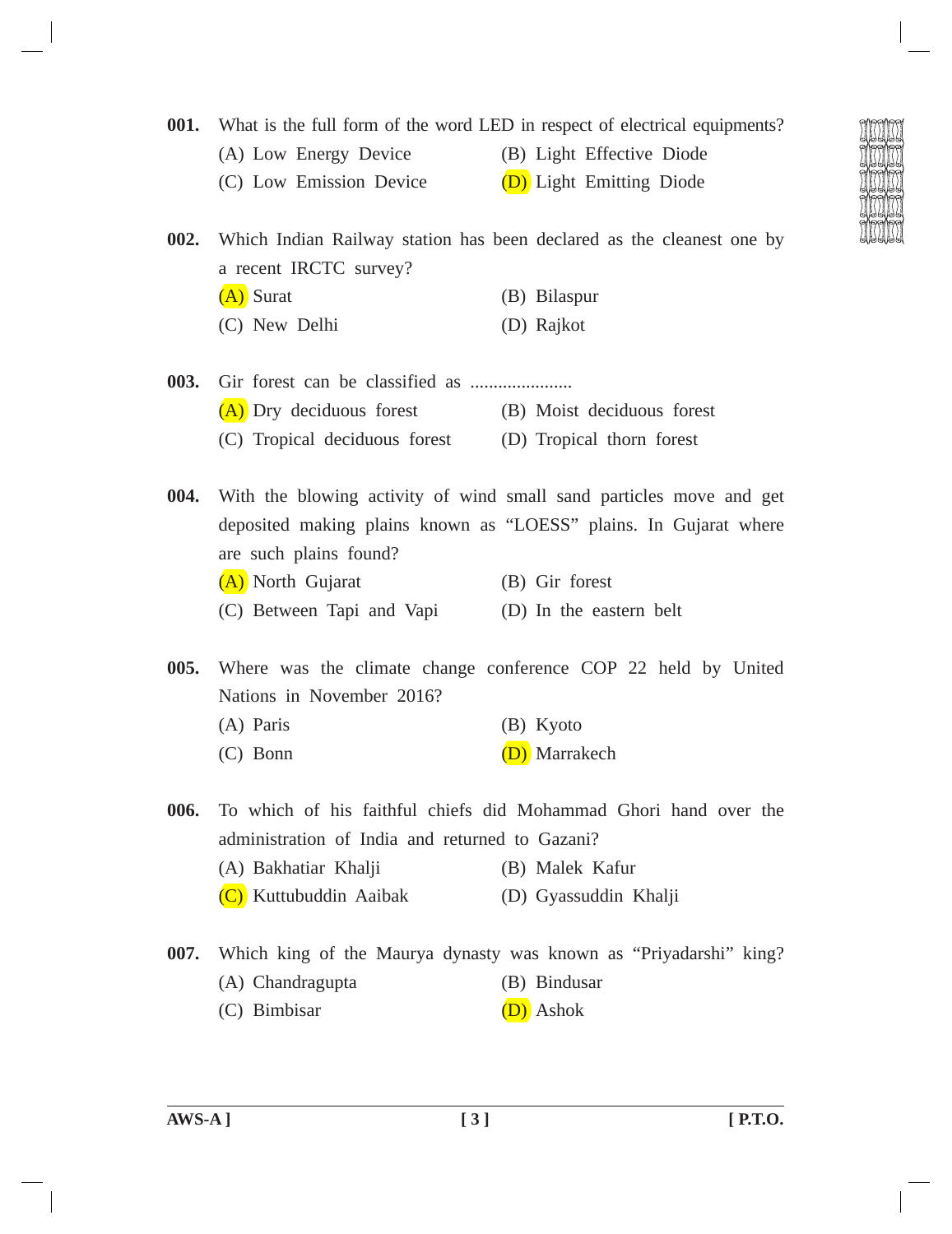**001.** What is the full form of the word LED in respect of electrical equipments?

- 
- (A) Low Energy Device (B) Light Effective Diode
- (C) Low Emission Device (D) Light Emitting Diode

**002.** Which Indian Railway station has been declared as the cleanest one by a recent IRCTC survey? (A) Surat (B) Bilaspur (C) New Delhi (D) Rajkot

**003.** Gir forest can be classified as ...................... (A) Dry deciduous forest (B) Moist deciduous forest (C) Tropical deciduous forest (D) Tropical thorn forest

**004.** With the blowing activity of wind small sand particles move and get deposited making plains known as "LOESS" plains. In Gujarat where are such plains found? (A) North Gujarat (B) Gir forest (C) Between Tapi and Vapi (D) In the eastern belt

**005.** Where was the climate change conference COP 22 held by United Nations in November 2016?

- (A) Paris (B) Kyoto
- (C) Bonn (D) Marrakech

**006.** To which of his faithful chiefs did Mohammad Ghori hand over the administration of India and returned to Gazani?

- (A) Bakhatiar Khalji (B) Malek Kafur
- (C) Kuttubuddin Aaibak (D) Gyassuddin Khalji
- **007.** Which king of the Maurya dynasty was known as "Priyadarshi" king? (A) Chandragupta (B) Bindusar (C) Bimbisar (D) Ashok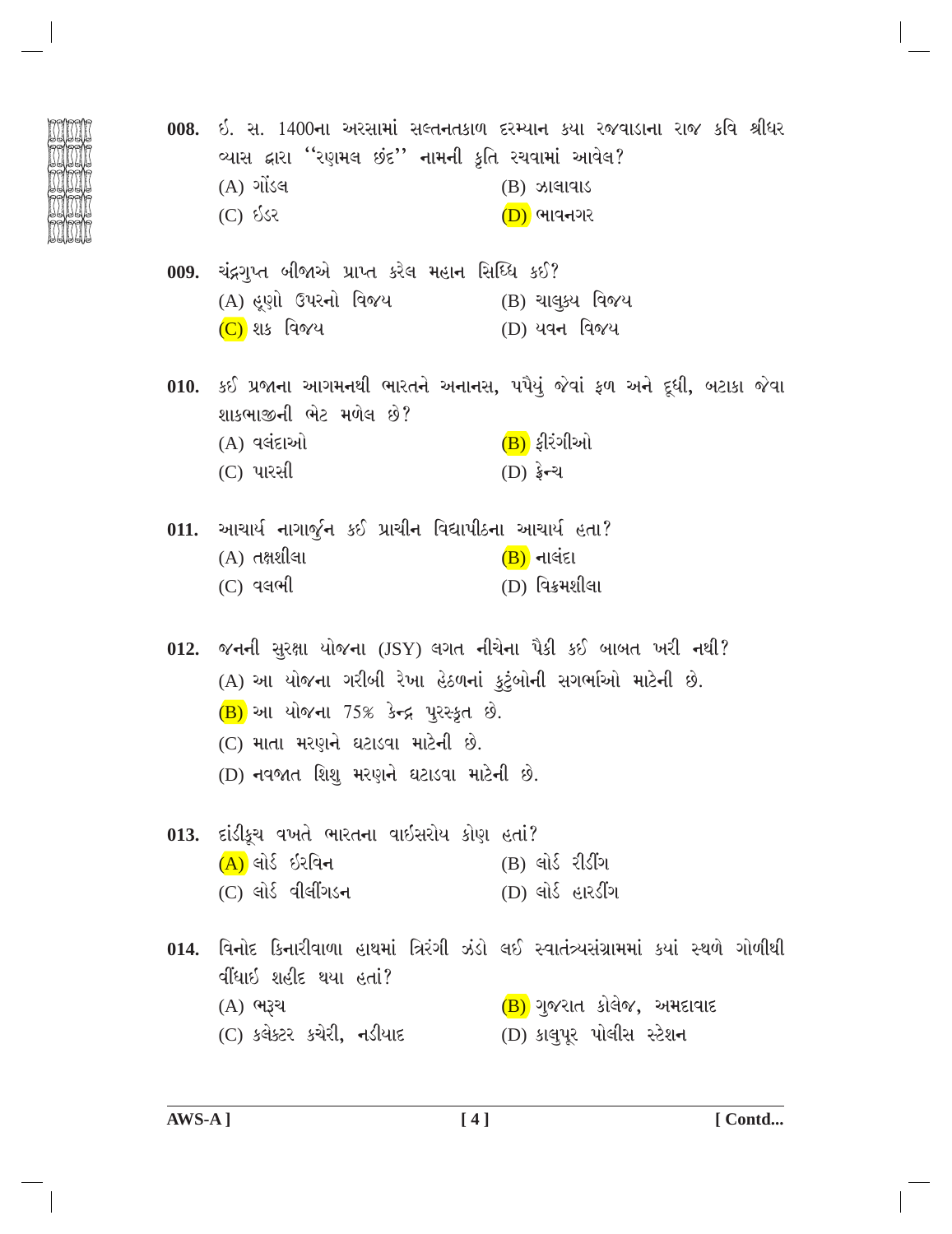વ્યાસ દ્વારા "રણમલ છંદ'' નામની કૃતિ રચવામાં આવેલ?  $(A)$  ગોંડલ  $(B)$  ઝાલાવાડ (C) **ઈ**ડર  $(D)$  ભાવનગર 009. ચંદ્રગુપ્ત બીજાએ પ્રાપ્ત કરેલ મહાન સિધ્ધિ કઈ? (A) હૃણો ઉપરનો વિજય (B) ચાલુક્ય વિજય  $(C)$  શક વિજય (D) યવન વિજય 010. કઈ પ્રજાના આગમનથી ભારતને અનાનસ, પપૈયું જેવાં ફળ અને દૂધી, બટાકા જેવા શાકભાજીની ભેટ મળેલ છે? (A) વલંદાઓ  $(B)$  ફીરંગીઓ  $(D)$  ईन्थ  $(C)$  પારસી 011. આચાર્ય નાગાર્જુન કઈ પ્રાચીન વિદ્યાપીઠના આચાર્ય હતા?  $(A)$  તક્ષશીલા  $(B)$  નાલંદા (D) વિક્રમશીલા  $(C)$  વલભી 012. જનની સુરક્ષા યોજના (JSY) લગત નીચેના પૈકી કઈ બાબત ખરી નથી? (A) આ યોજના ગરીબી રેખા હેઠળનાં કુટુંબોની સગર્ભાઓ માટેની છે.  $(B)$  આ યોજના 75% કેન્દ્ર પુરસ્કૃત છે. (C) માતા મરણને ઘટાડવા માટેની છે. (D) નવજાત શિશ મરણને ઘટાડવા માટેની છે. 013. દાંડીકૂચ વખતે ભારતના વાઇસરોય કોણ હતાં?  $(A)$  લોર્ડ ઇરવિન  $(B)$  લોર્ડ રીડીંગ  $(C)$  લોર્ડ વીલીંગડન  $(D)$  લોર્ડ હારડીંગ 014. વિનોદ કિનારીવાળા હાથમાં ત્રિરંગી ઝંડો લઈ સ્વાતંત્ર્યસંગ્રામમાં કયાં સ્થળે ગોળીથી ર્વીધાઇ શહીદ થયા હતાં?  $(B)$ ગુજરાત કોલેજ, અમદાવાદ (A) ભરૂચ (C) કલેક્ટર કચેરી, નડીયાદ (D) કાલપૂર પોલીસ સ્ટેશન

008. ઈ. સ. 1400ના અરસામાં સલ્તનતકાળ દરમ્યાન કયા રજવાડાના રાજ કવિ શ્રીધર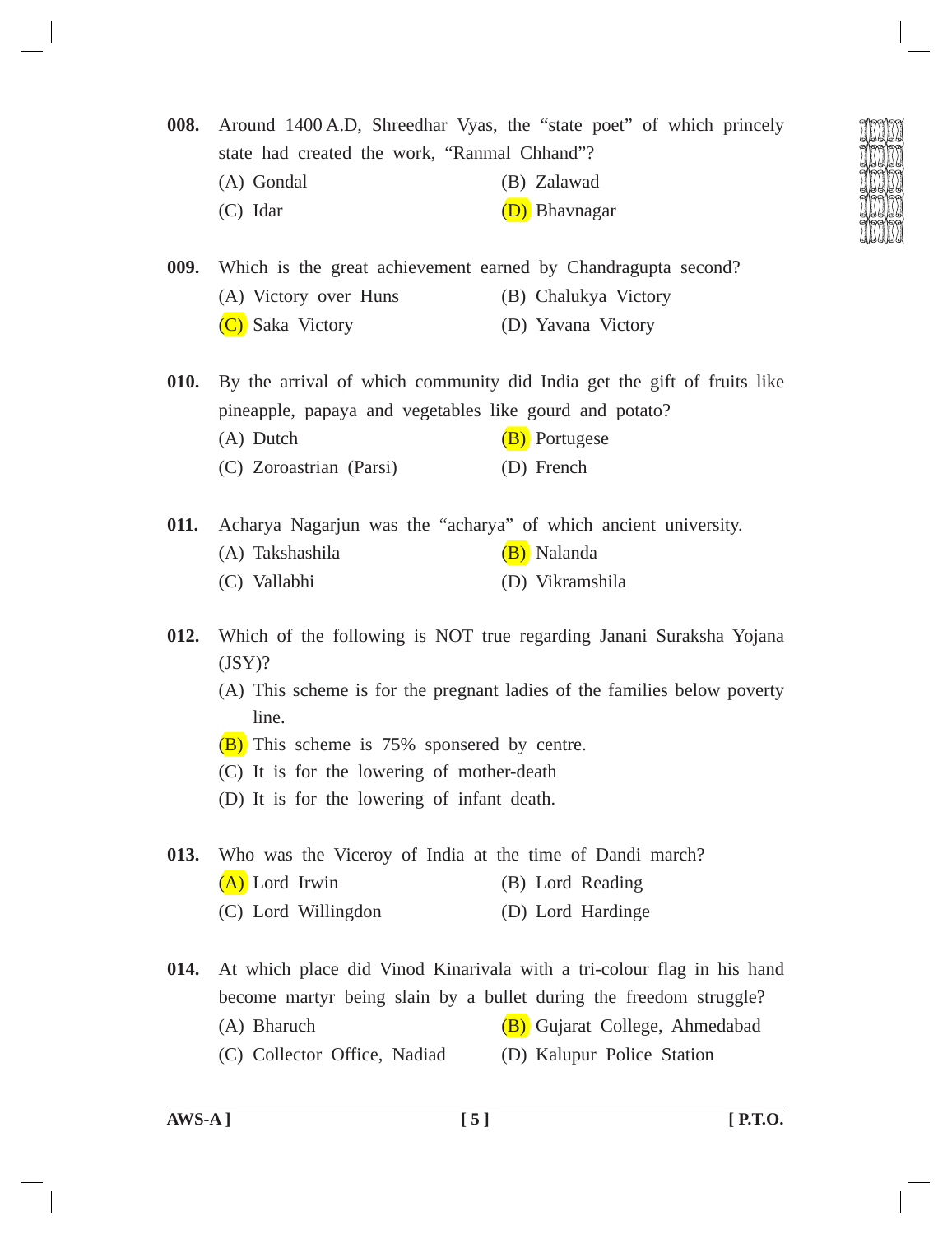**008.** Around 1400 A.D, Shreedhar Vyas, the "state poet" of which princely state had created the work, "Ranmal Chhand"?

- (A) Gondal (B) Zalawad
- (C) Idar (D) Bhavnagar

**009.** Which is the great achievement earned by Chandragupta second?

- (A) Victory over Huns (B) Chalukya Victory
- (C) Saka Victory (D) Yavana Victory

**010.** By the arrival of which community did India get the gift of fruits like pineapple, papaya and vegetables like gourd and potato? (A) Dutch (B) Portugese (C) Zoroastrian (Parsi) (D) French

- 
- **011.** Acharya Nagarjun was the "acharya" of which ancient university.
	- (A) Takshashila (B) Nalanda
	- (C) Vallabhi (D) Vikramshila
- **012.** Which of the following is NOT true regarding Janani Suraksha Yojana  $(JSY)?$ 
	- (A) This scheme is for the pregnant ladies of the families below poverty line.
	- $(B)$  This scheme is 75% sponsered by centre.
	- (C) It is for the lowering of mother-death
	- (D) It is for the lowering of infant death.
- **013.** Who was the Viceroy of India at the time of Dandi march? (A) Lord Irwin (B) Lord Reading
	- (C) Lord Willingdon (D) Lord Hardinge

**014.** At which place did Vinod Kinarivala with a tri-colour flag in his hand become martyr being slain by a bullet during the freedom struggle? (A) Bharuch (B) Gujarat College, Ahmedabad (C) Collector Office, Nadiad (D) Kalupur Police Station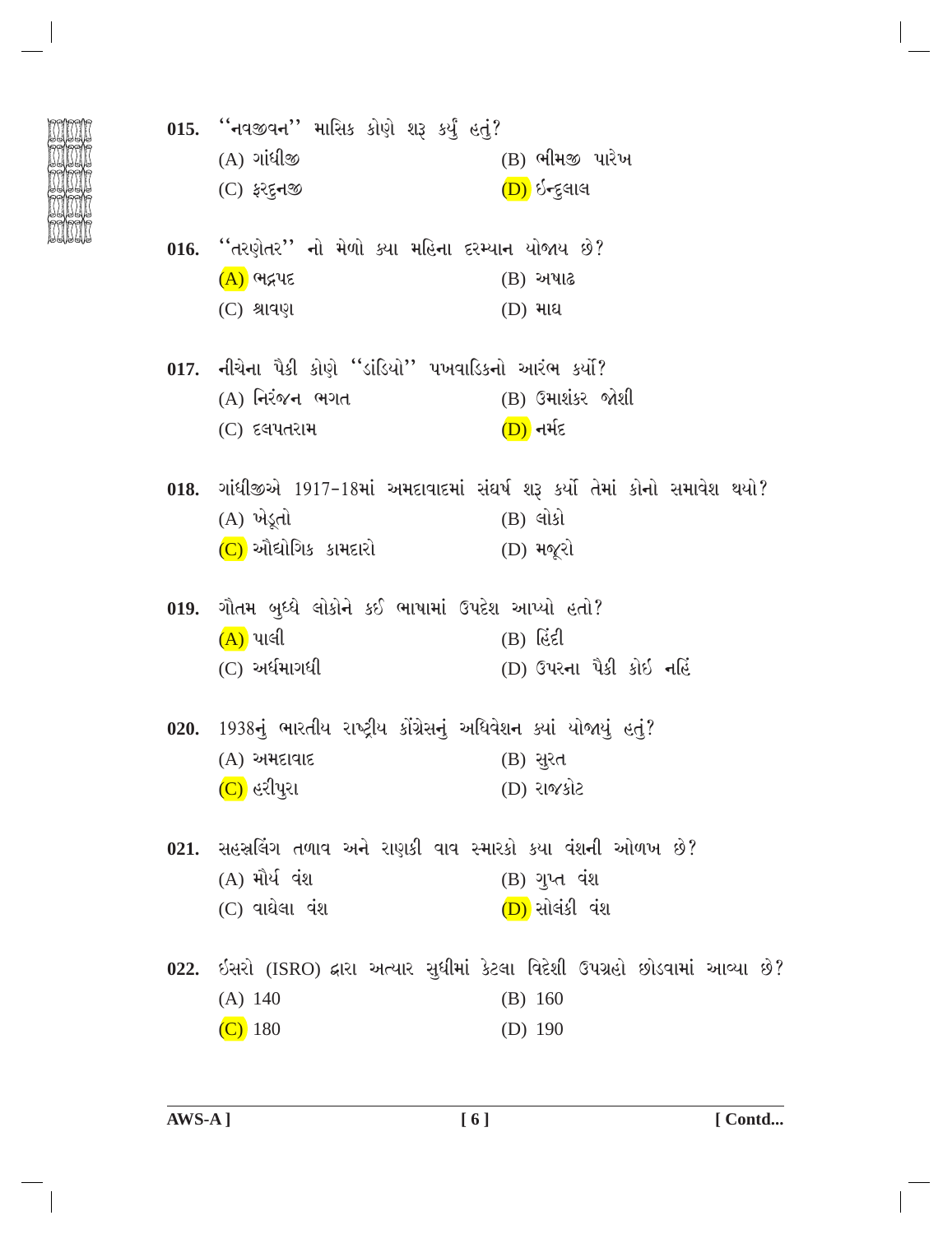| 015. ''નવજીવન'' માસિક કોણે શરૂ કર્યું હતું?                           |                                                                                |
|-----------------------------------------------------------------------|--------------------------------------------------------------------------------|
| $(A)$ ગાંધીજી                                                         | (B) ભીમજી પારેખ                                                                |
| $(C)$ ફરદુનજી                                                         | (D) ઇન્દુલાલ                                                                   |
| 016. ''તરણેતર'' નો મેળો ક્યા મહિના દરમ્યાન યોજાય છે?                  |                                                                                |
| <u>(A)</u> ભદ્રપદ                                                     | $(B)$ અષાઢ                                                                     |
| $(C)$ શ્રાવણ                                                          | $(D)$ માઘ                                                                      |
| 017. નીચેના પૈકી કોણે ''ડાંડિયો'' પખવાડિકનો આરંભ કર્યો?               |                                                                                |
| (A) નિરંજન ભગત                                                        | (B) ઉમાશંકર જોશી                                                               |
| $(C)$ દલપતરામ                                                         | <u>(D)</u> નર્મદ                                                               |
|                                                                       | 018. ગાંધીજીએ 1917-18માં અમદાવાદમાં સંઘર્ષ શરૂ કર્યો તેમાં કોનો સમાવેશ થયો?    |
| (A) ખેડૂતો                                                            | $(B)$ લોકો                                                                     |
| (C) ઔદ્યોગિક કામદારો                                                  | $(D)$ મજૂરો                                                                    |
| 019. ગૌતમ બુધ્ધે લોકોને કઈ ભાષામાં ઉપદેશ આપ્યો હતો?                   |                                                                                |
| $(A)$ પાલી                                                            | $(B)$ (est)                                                                    |
| $(C)$ અર્ધમાગધી                                                       | (D) ઉપરના પૈકી કોઇ નહિં                                                        |
| 020. 1938નું ભારતીય રાષ્ટ્રીય કોંગ્રેસનું અધિવેશન ક્યાં યોજાયું હતું? |                                                                                |
| (A) અમદાવાદ                                                           | (B) सुरत                                                                       |
| (C) હરીપુરા                                                           | (D) રાજકોટ                                                                     |
| 021. સહસ્રલિંગ તળાવ અને રાણકી વાવ સ્મારકો કયા વંશની ઓળખ છે?           |                                                                                |
| $(A)$ મૌર્ય વંશ                                                       | (B) ગુપ્ત વંશ                                                                  |
| $(C)$ વાઘેલા વંશ                                                      | (D) સોલંકી વંશ                                                                 |
|                                                                       | 022. ઇસરો (ISRO) દ્વારા અત્યાર સુધીમાં કેટલા વિદેશી ઉપગ્રહો છોડવામાં આવ્યા છે? |
| $(A)$ 140                                                             | (B) 160                                                                        |
| $(C)$ 180                                                             | $(D)$ 190                                                                      |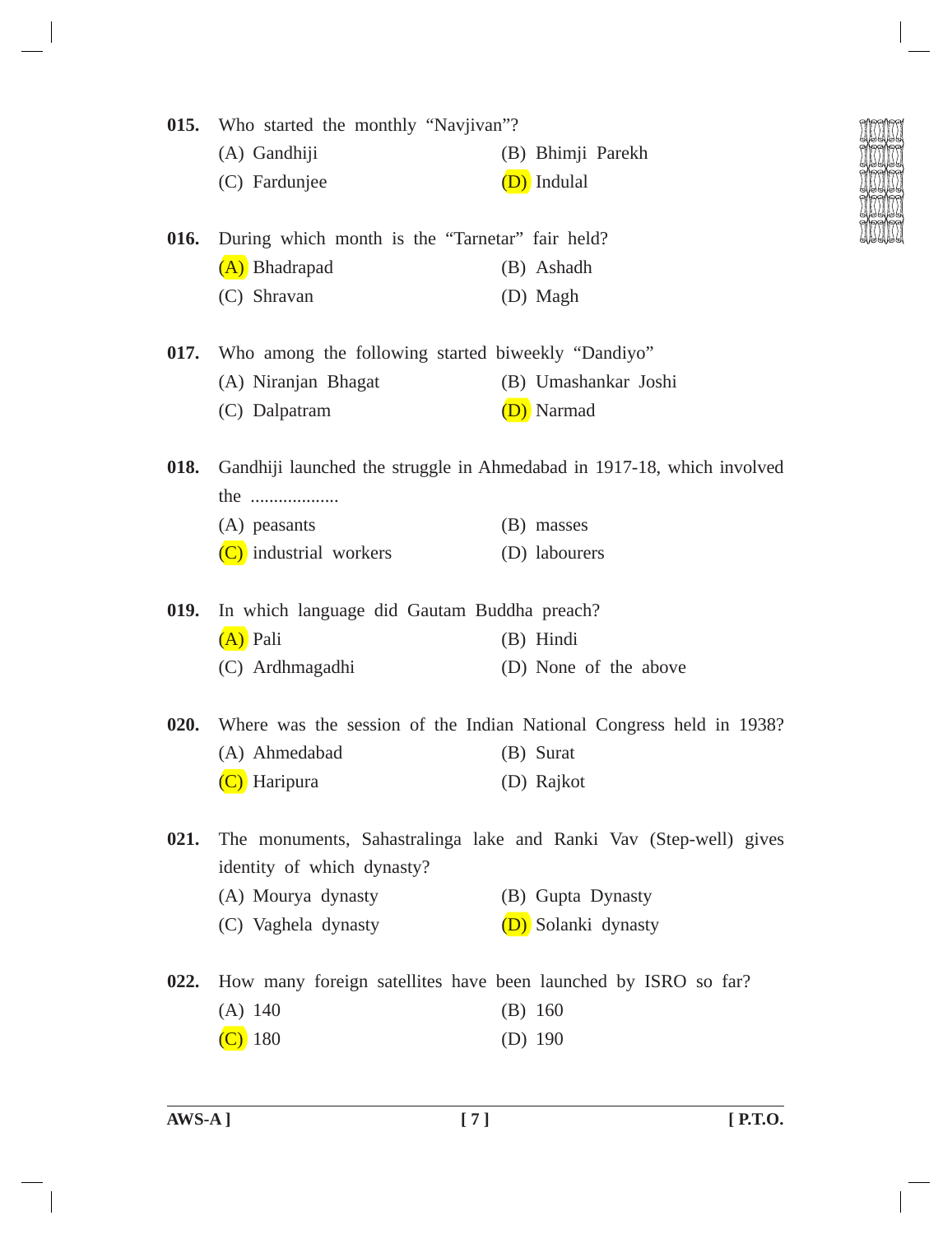| 015. | Who started the monthly "Navjivan"?                            |                                                                        |  |  |  |
|------|----------------------------------------------------------------|------------------------------------------------------------------------|--|--|--|
|      | (A) Gandhiji                                                   | (B) Bhimji Parekh                                                      |  |  |  |
|      | (C) Fardunjee                                                  | (D) Indulal                                                            |  |  |  |
| 016. | During which month is the "Tarnetar" fair held?                |                                                                        |  |  |  |
|      | (A) Bhadrapad                                                  | (B) Ashadh                                                             |  |  |  |
|      | (C) Shravan                                                    | (D) Magh                                                               |  |  |  |
| 017. | Who among the following started biweekly "Dandiyo"             |                                                                        |  |  |  |
|      | (A) Niranjan Bhagat                                            | (B) Umashankar Joshi                                                   |  |  |  |
|      | (C) Dalpatram                                                  | (D) Narmad                                                             |  |  |  |
| 018. |                                                                | Gandhiji launched the struggle in Ahmedabad in 1917-18, which involved |  |  |  |
|      | the                                                            |                                                                        |  |  |  |
|      | (A) peasants                                                   | (B) masses                                                             |  |  |  |
|      | (C) industrial workers                                         | (D) labourers                                                          |  |  |  |
| 019. | In which language did Gautam Buddha preach?                    |                                                                        |  |  |  |
|      | (A) Pali                                                       | (B) Hindi                                                              |  |  |  |
|      | (C) Ardhmagadhi                                                | (D) None of the above                                                  |  |  |  |
| 020. |                                                                | Where was the session of the Indian National Congress held in 1938?    |  |  |  |
|      | (A) Ahmedabad                                                  | (B) Surat                                                              |  |  |  |
|      | Haripura                                                       | (D) Rajkot                                                             |  |  |  |
| 021. | identity of which dynasty?                                     | The monuments, Sahastralinga lake and Ranki Vav (Step-well) gives      |  |  |  |
|      | (A) Mourya dynasty                                             | (B) Gupta Dynasty                                                      |  |  |  |
|      | (C) Vaghela dynasty                                            | (D) Solanki dynasty                                                    |  |  |  |
| 022. | How many foreign satellites have been launched by ISRO so far? |                                                                        |  |  |  |
|      | $(A)$ 140                                                      | $(B)$ 160                                                              |  |  |  |
|      | 180                                                            | (D) $190$                                                              |  |  |  |
|      |                                                                |                                                                        |  |  |  |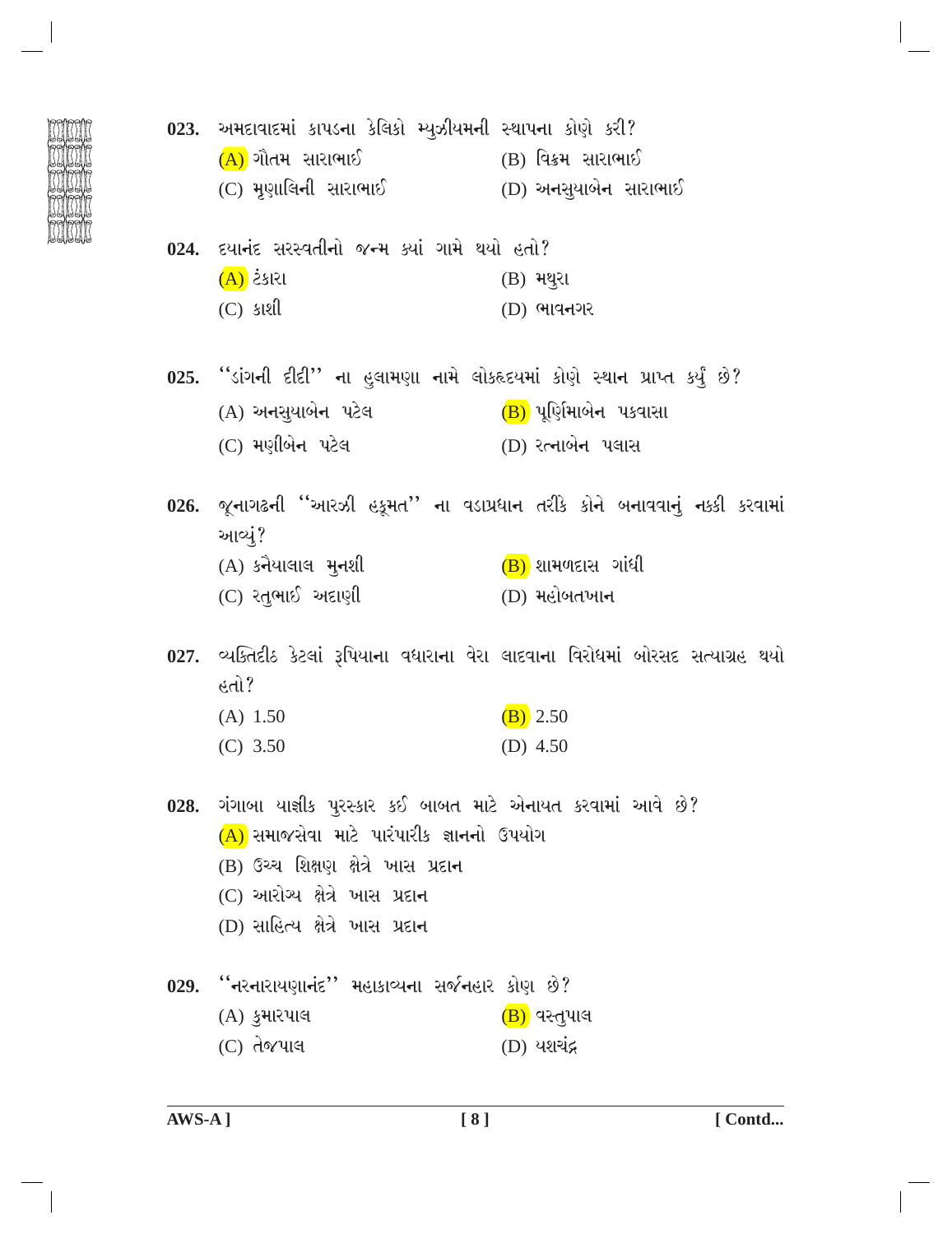|  | 023. અમદાવાદમાં કાપડના કેલિકો મ્યુઝીયમની સ્થાપના કોણે કરી?                    |                                                                                   |
|--|-------------------------------------------------------------------------------|-----------------------------------------------------------------------------------|
|  | (A) ગૌતમ સારાભાઈ                                                              | (B) વિક્રમ સારાભાઈ                                                                |
|  | (C) મૃણાલિની સારાભાઈ          (D) અનસુયાબેન સારાભાઈ                           |                                                                                   |
|  | 024. દયાનંદ સરસ્વતીનો જન્મ ક્યાં ગામે થયો હતો?                                |                                                                                   |
|  | (A) ટેકારા                                                                    | $(B)$ મથુરા                                                                       |
|  | $(C)$ siell                                                                   | $(D)$ ભાવનગર                                                                      |
|  | 025. ''ડાંગની દીદી'' ના હુલામણા નામે લોકહૃદયમાં કોણે સ્થાન પ્રાપ્ત કર્યું છે? |                                                                                   |
|  | (A) અનસુયાબેન પટેલ                                                            | (B) પૂર્ણિમાબેન પકવાસા                                                            |
|  | (C) મણીબેન પટેલ                                                               | (D) રત્નાબેન પલાસ                                                                 |
|  | આવ્યું?                                                                       | 026. જૂનાગઢની ''આરઝી હકૂમત'' ના વડાપ્રધાન તરીકે કોને બનાવવાનું નક્કી કરવામાં      |
|  | $(A)$ કનૈયાલાલ મુનશી                                                          | $(B)$ શામળદાસ ગાંધી                                                               |
|  | (C) રતુભાઈ અદાણી                                                              | (D) મહોબતખાન                                                                      |
|  |                                                                               | 027. વ્યક્તિદીઠ કેટલાં રૂપિયાના વધારાના વેરા લાદવાના વિરોધમાં બોરસદ સત્યાગ્રહ થયો |
|  | હતો?                                                                          |                                                                                   |
|  | $(A)$ 1.50                                                                    | $(B)$ 2.50                                                                        |
|  | $(C)$ 3.50                                                                    | (D) 4.50                                                                          |
|  | 028. ગંગાબા યાજ્ઞીક પુરસ્કાર કઈ બાબત માટે એનાયત કરવામાં આવે છે?               |                                                                                   |
|  | (A) સમાજસેવા માટે પારંપારીક જ્ઞાનનો ઉપયોગ                                     |                                                                                   |
|  | (B) ઉચ્ચ શિક્ષણ ક્ષેત્રે ખાસ પ્રદાન                                           |                                                                                   |
|  | (C) આરોગ્ય ક્ષેત્રે ખાસ પ્રદાન                                                |                                                                                   |
|  | (D) સાહિત્ય ક્ષેત્રે ખાસ પ્રદાન                                               |                                                                                   |
|  | 029. "નરનારાયણાનંદ" મહાકાવ્યના સર્જનહાર કોણ છે?                               |                                                                                   |
|  | $(A)$ કુમારપાલ                                                                | (B) વસ્તુપાલ                                                                      |
|  | (C) તેજપાલ                                                                    | (D) યશચંદ્ર                                                                       |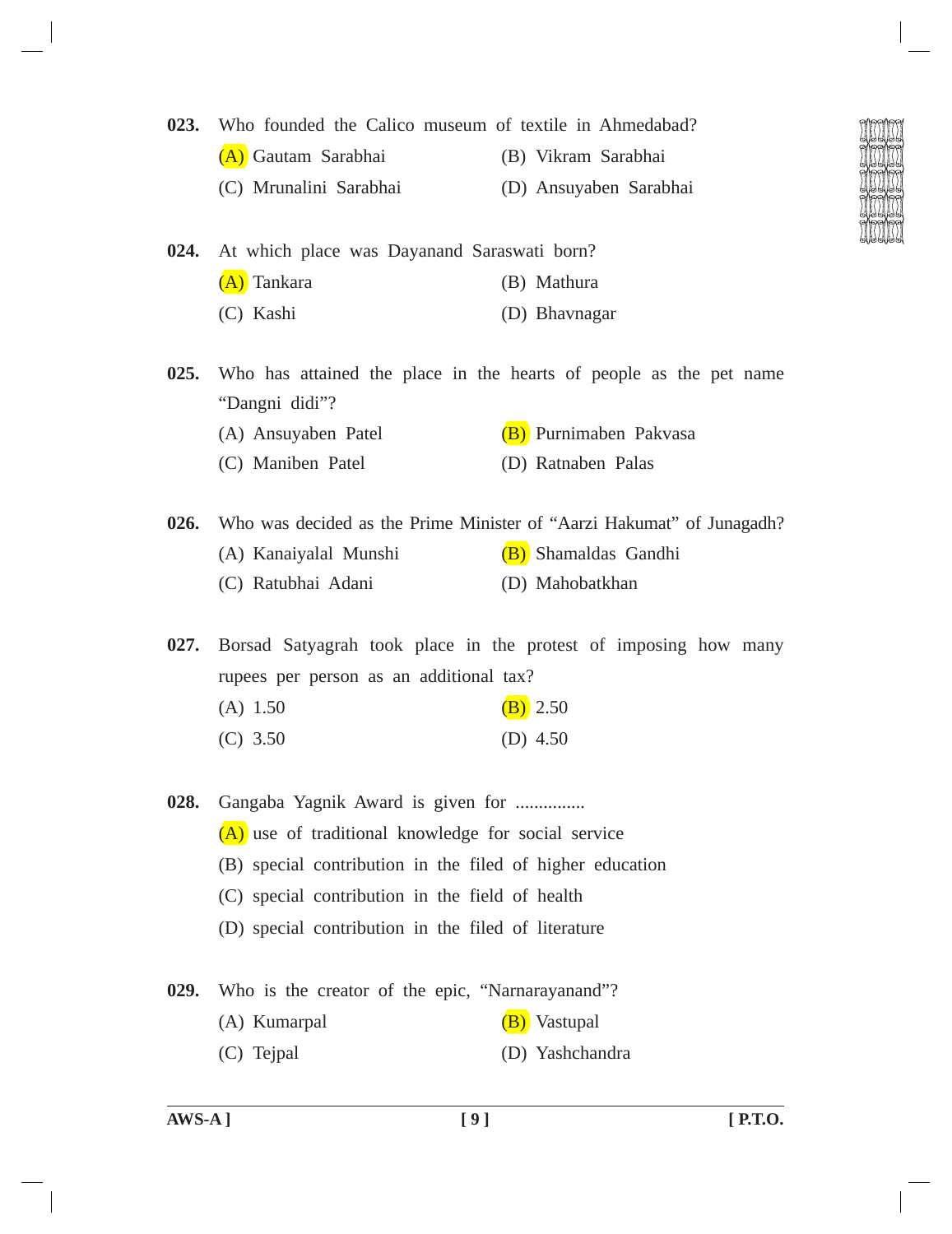- **023.** Who founded the Calico museum of textile in Ahmedabad?
	- (A) Gautam Sarabhai (B) Vikram Sarabhai
	- (C) Mrunalini Sarabhai (D) Ansuyaben Sarabhai
- **024.** At which place was Dayanand Saraswati born? (A) Tankara (B) Mathura (C) Kashi (D) Bhavnagar
- **025.** Who has attained the place in the hearts of people as the pet name "Dangni didi"?
	- (A) Ansuyaben Patel (B) Purnimaben Pakvasa
	- (C) Maniben Patel (D) Ratnaben Palas
- **026.** Who was decided as the Prime Minister of "Aarzi Hakumat" of Junagadh? (A) Kanaiyalal Munshi (B) Shamaldas Gandhi (C) Ratubhai Adani (D) Mahobatkhan

**027.** Borsad Satyagrah took place in the protest of imposing how many rupees per person as an additional tax?

- (A)  $1.50$  (B)  $2.50$
- (C) 3.50 (D) 4.50

**028.** Gangaba Yagnik Award is given for ............... (A) use of traditional knowledge for social service (B) special contribution in the filed of higher education (C) special contribution in the field of health (D) special contribution in the filed of literature

- **029.** Who is the creator of the epic, "Narnarayanand"? (A) Kumarpal (B) Vastupal
	- (C) Tejpal (D) Yashchandra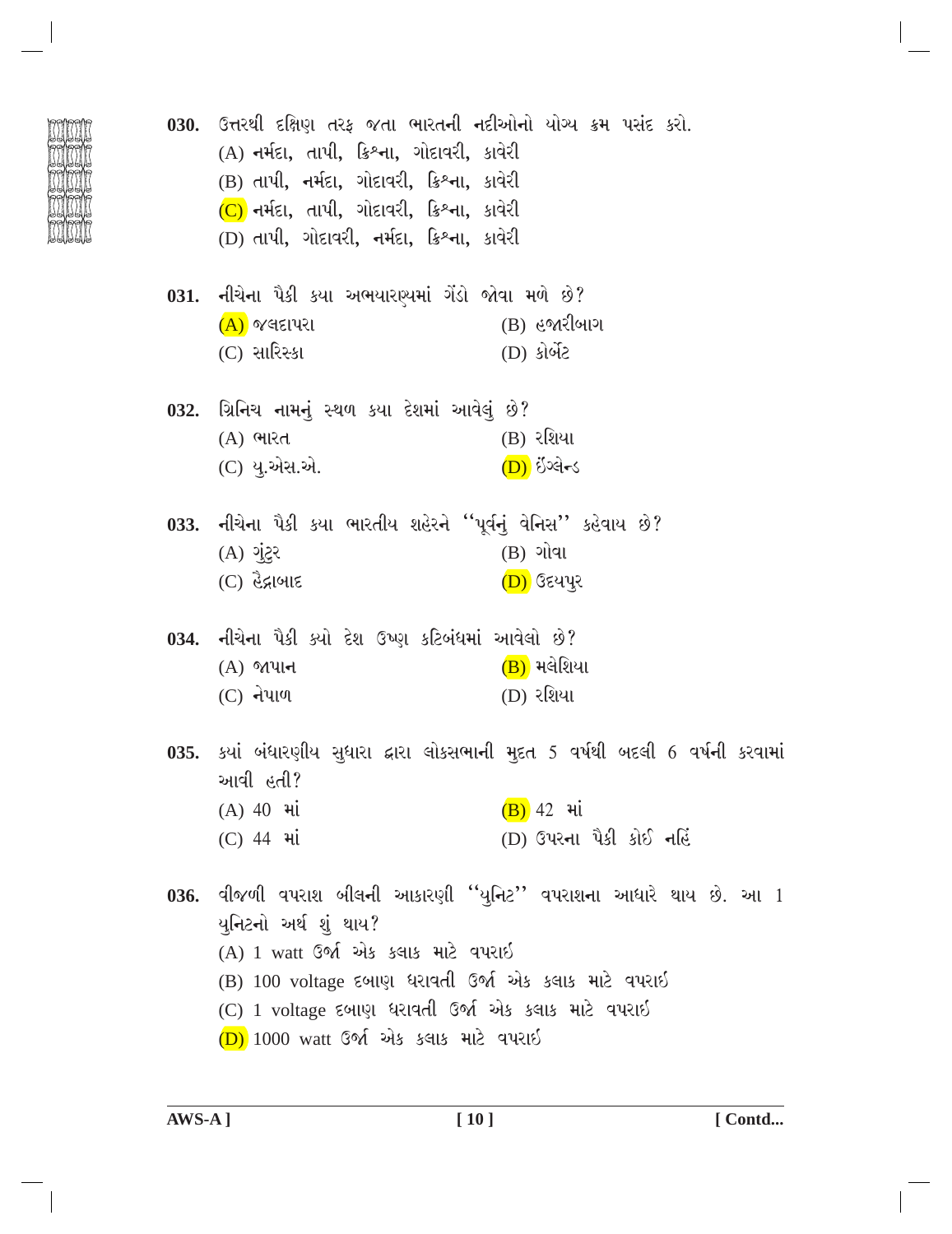|      | 030.  ઉત્તરથી દક્ષિણ તરફ જતા ભારતની નદીઓનો યોગ્ય ક્રમ પસંદ કરો.<br>(A) નર્મદા, તાપી, ક્રિશ્ના, ગોદાવરી, કાવેરી<br>(B) તાપી, નર્મદા, ગોદાવરી, ક્રિશ્ના, કાવેરી<br>$(C)$ નર્મદા, તાપી, ગોદાવરી, ક્રિશ્ના, કાવેરી<br>(D) તાપી, ગોદાવરી, નર્મદા, ક્રિશ્ના, કાવેરી                               |
|------|---------------------------------------------------------------------------------------------------------------------------------------------------------------------------------------------------------------------------------------------------------------------------------------------|
|      | 031. નીચેના પૈકી કયા અભયારણ્યમાં ગેંડો જોવા મળે છે?<br>$(A)$ જલદાપરા<br>$(B)$ હજારીબાગ<br>(C) સારિસ્કા<br>(D) કોર્બેટ                                                                                                                                                                       |
|      | 032.  ગ્રિનિચ નામનું સ્થળ કયા દેશમાં આવેલું છે?<br>(B) રશિયા<br>(A) ભારત<br>(C) યુ.એસ.એ.<br>(D) ઇંગ્લેન્ડ                                                                                                                                                                                   |
|      | 033. નીચેના પૈકી કયા ભારતીય શહેરને ''પૂર્વનું વેનિસ'' કહેવાય છે?<br>$(B)$ ગોવા<br>$55($ A) ગુંટુર<br>$(C)$ હૈદ્રાબાદ<br>(D) ઉદયપુર                                                                                                                                                          |
|      | 034. નીચેના પૈકી ક્યો દેશ ઉષ્ણ કટિબંધમાં આવેલો છે?<br>$(B)$ મલેશિયા<br>$(A)$ જાપાન<br>$(C)$ નેપાળ<br>(D) રશિયા                                                                                                                                                                              |
| 035. | ્કયાં બંધારણીય સુધારા દ્વારા લોકસભાની મુદત 5 વર્ષથી બદલી 6 વર્ષની કરવામાં<br>આવી હતી?<br>$(B)$ 42 $H$<br>$(A)$ 40 $\overline{H}$<br>(D) ઉપરના પૈકી કોઈ નહિં<br>(C) 44 <i>भां</i>                                                                                                            |
|      | 036. વીજળી વપરાશ બીલની આકારણી ''યુનિટ'' વપરાશના આધારે થાય છે. આ 1<br>યુનિટનો અર્થ શું થાય?<br>(A) 1 watt ઉર્જા એક કલાક માટે વપરાઈ<br>(B) 100 voltage દબાણ ધરાવતી ઉર્જા એક કલાક માટે વપરાઈ<br>(C) 1 voltage દબાણ ધરાવતી ઉર્જા એક કલાક માટે વપરાઈ<br>$(D)$ 1000 watt ઉર્જા એક કલાક માટે વપરાઇ |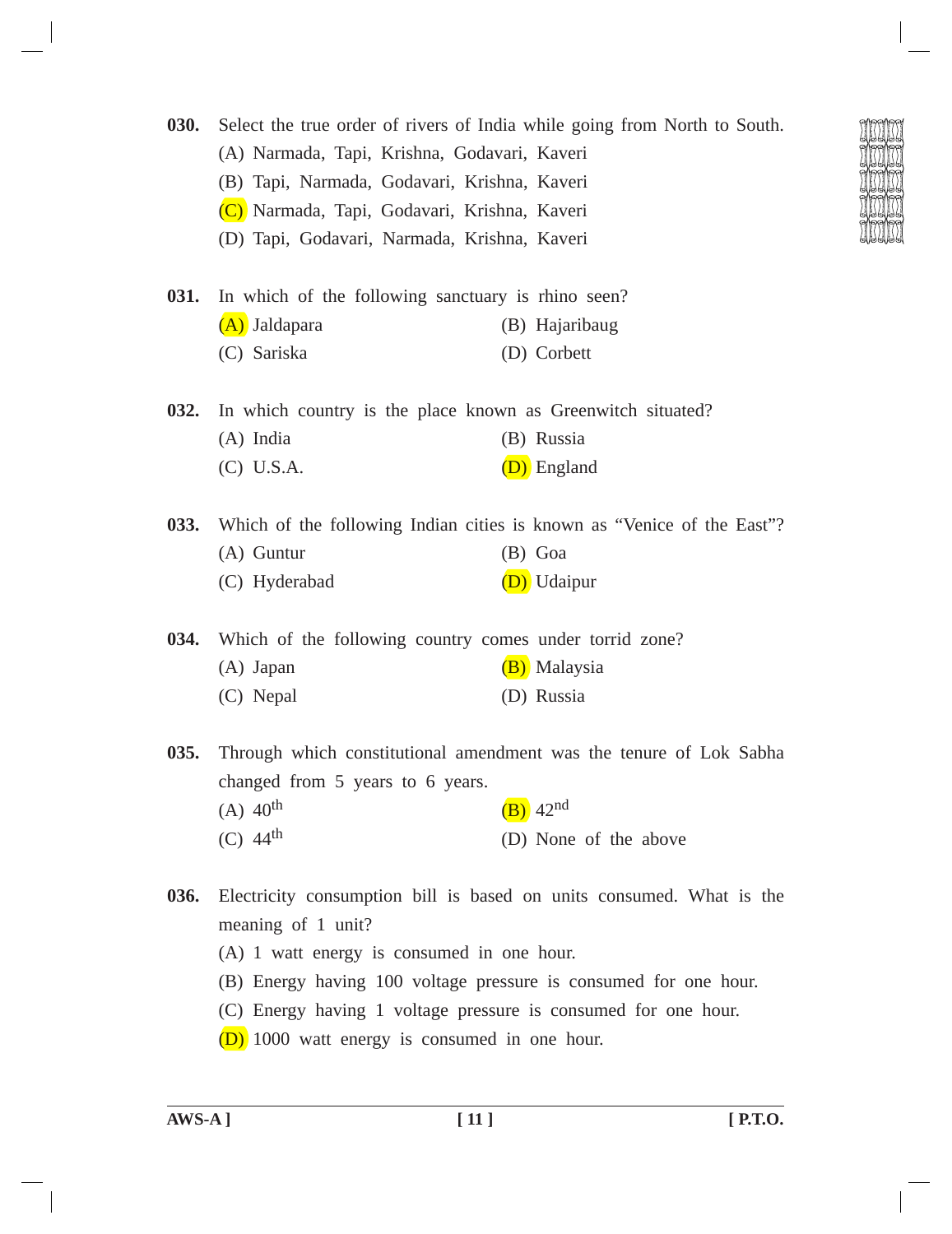| <b>030.</b> | Select the true order of rivers of India while going from North to South. |                                                                        |  |  |  |
|-------------|---------------------------------------------------------------------------|------------------------------------------------------------------------|--|--|--|
|             | (A) Narmada, Tapi, Krishna, Godavari, Kaveri                              |                                                                        |  |  |  |
|             | (B) Tapi, Narmada, Godavari, Krishna, Kaveri                              |                                                                        |  |  |  |
|             | (C) Narmada, Tapi, Godavari, Krishna, Kaveri                              |                                                                        |  |  |  |
|             | (D) Tapi, Godavari, Narmada, Krishna, Kaveri                              |                                                                        |  |  |  |
| 031.        | In which of the following sanctuary is rhino seen?                        |                                                                        |  |  |  |
|             | (A) Jaldapara                                                             | (B) Hajaribaug                                                         |  |  |  |
|             | (C) Sariska                                                               | (D) Corbett                                                            |  |  |  |
| 032.        | In which country is the place known as Greenwitch situated?               |                                                                        |  |  |  |
|             | (A) India                                                                 | (B) Russia                                                             |  |  |  |
|             | $(C)$ U.S.A.                                                              | (D) England                                                            |  |  |  |
| 033.        |                                                                           | Which of the following Indian cities is known as "Venice of the East"? |  |  |  |
|             | $(A)$ Guntur                                                              | $(B)$ Goa                                                              |  |  |  |
|             | (C) Hyderabad                                                             | (D) Udaipur                                                            |  |  |  |
| 034.        | Which of the following country comes under torrid zone?                   |                                                                        |  |  |  |
|             | (A) Japan                                                                 | (B) Malaysia                                                           |  |  |  |
|             | (C) Nepal                                                                 | (D) Russia                                                             |  |  |  |
| 035.        |                                                                           | Through which constitutional amendment was the tenure of Lok Sabha     |  |  |  |
|             | changed from 5 years to 6 years.                                          |                                                                        |  |  |  |
|             | $(A)$ 40 <sup>th</sup>                                                    | $(B)$ 42 <sup>nd</sup>                                                 |  |  |  |
|             | $(C)$ 44 <sup>th</sup>                                                    | (D) None of the above                                                  |  |  |  |
|             |                                                                           |                                                                        |  |  |  |

- **036.** Electricity consumption bill is based on units consumed. What is the meaning of 1 unit?
	- (A) 1 watt energy is consumed in one hour.
	- (B) Energy having 100 voltage pressure is consumed for one hour.
	- (C) Energy having 1 voltage pressure is consumed for one hour.
	- (D) 1000 watt energy is consumed in one hour.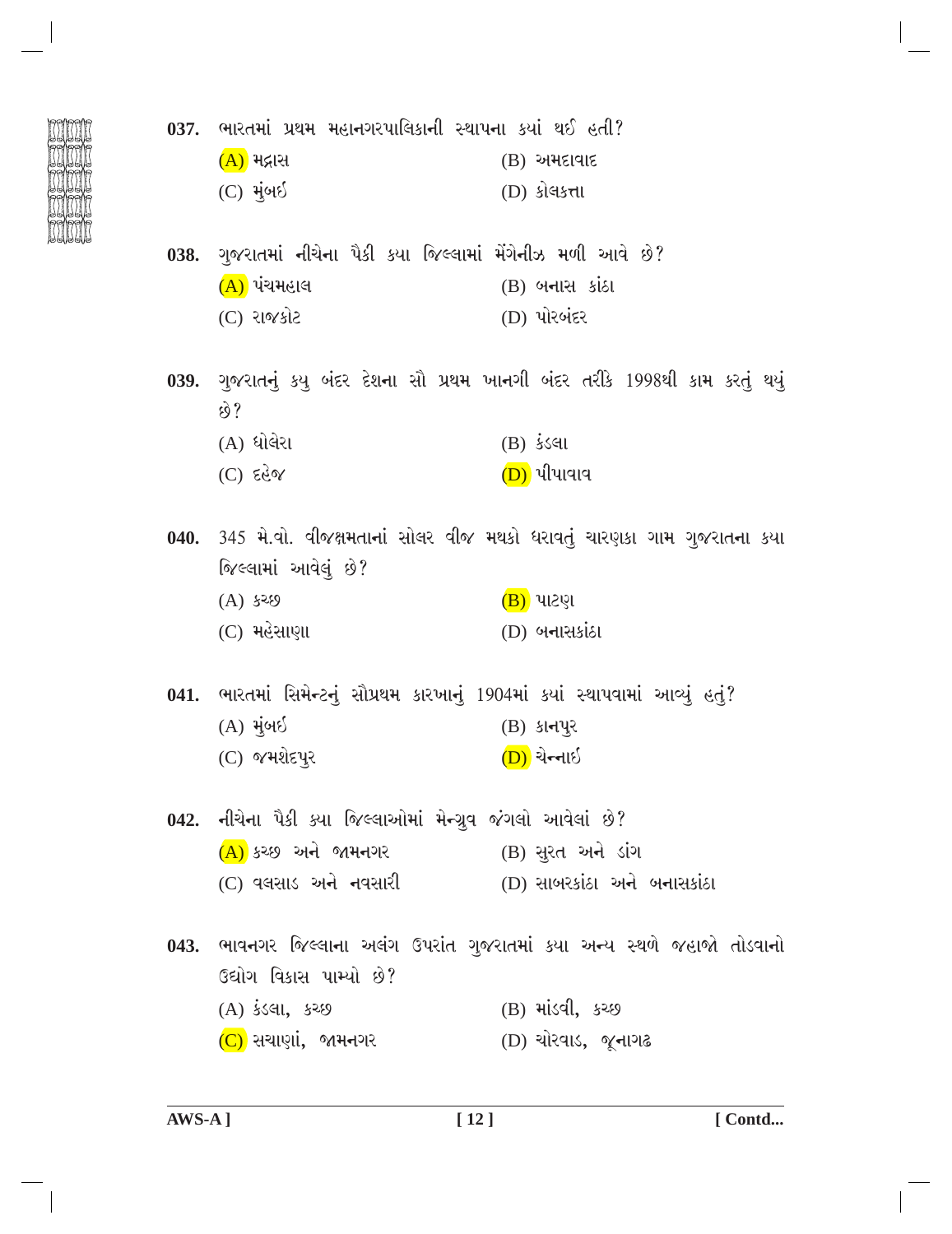|  |  |  | 037. ભારતમાં પ્રથમ મહાનગરપાલિકાની સ્થાપના કયાં થઈ હતી? |  |  |  |  |
|--|--|--|--------------------------------------------------------|--|--|--|--|
|--|--|--|--------------------------------------------------------|--|--|--|--|

| <u>(A)</u> મદ્રાસ | $(B)$ અમદાવાદ |
|-------------------|---------------|
| (C) મુંબઇ         | (D) કોલકત્તા  |

038. ગુજરાતમાં નીચેના પૈકી કયા જિલ્લામાં મેંગેનીઝ મળી આવે છે?  $(A)$  પંચમહાલ  $(B)$  બનાસ કાંઠા (C) રાજકોટ (D) પોરબંદર

039. ગુજરાતનું કયુ બંદર દેશના સૌ પ્રથમ ખાનગી બંદર તરીકે 1998થી કામ કરતું થયું  $\hat{y}$  $(A)$  ધોલેરા  $(B)$  કંડલા

$$
(C) \tE\ddot{C}
$$

040. 345 મે.વો. વીજક્ષમતાનાં સોલર વીજ મથકો ધરાવતું ચારણકા ગામ ગુજરાતના કયા જિલ્લામાં આવેલું છે?

 $(A)$  કચ્છ  $(B)$  પાટણ (C) મહેસાણા  $(D)$  બનાસકાંઠા

041. ભારતમાં સિમેન્ટનું સૌપ્રથમ કારખાનું 1904માં કયાં સ્થાપવામાં આવ્યું હતું?  $(A)$  મુંબઈ  $(B)$  કાનપુર (C) જમશેદપુર <u>(D)</u> ચેન્નાઇ

042. નીચેના પૈકી ક્યા જિલ્લાઓમાં મેન્ગ્રુવ જંગલો આવેલાં છે? (A) કચ્છ અને જામનગર (B) સુરત અને ડાંગ \_\_ (D) સાબરકાંઠા અને બનાસકાંઠા (C) વલસાડ અને નવસારી

043. ભાવનગર જિલ્લાના અલંગ ઉપરાંત ગુજરાતમાં કયા અન્ય સ્થળે જહાજો તોડવાનો ઉદ્યોગ વિકાસ પામ્યો છે? (B) માંડવી, કચ્છ (A) કંડલા, કચ્છ (C) સચાણાં, જામનગર (D) ચોરવાડ, *જ્*નાગઢ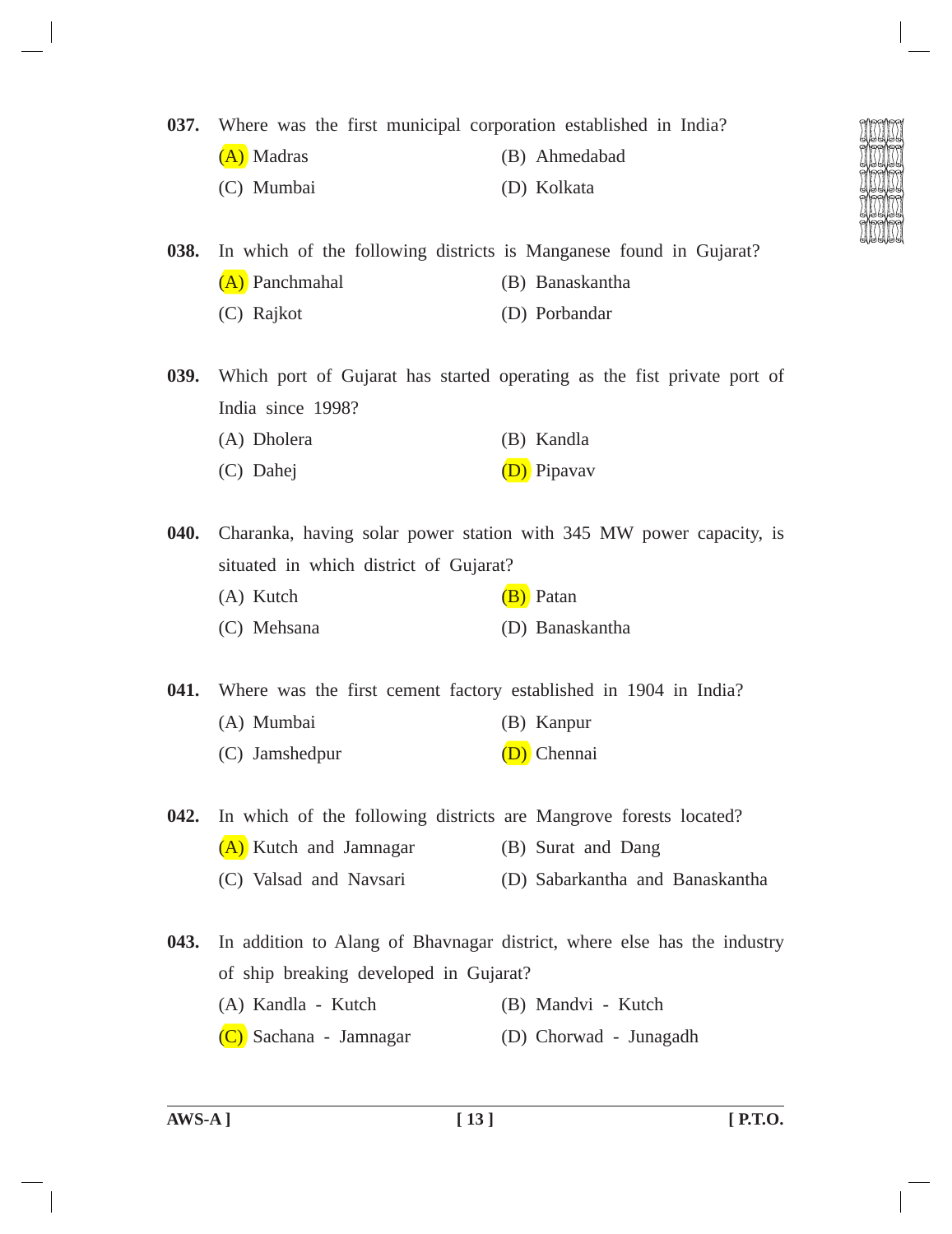## **037.** Where was the first municipal corporation established in India?

- (A) Madras (B) Ahmedabad
- (C) Mumbai (D) Kolkata

**038.** In which of the following districts is Manganese found in Gujarat? (A) Panchmahal (B) Banaskantha (C) Rajkot (D) Porbandar

**039.** Which port of Gujarat has started operating as the fist private port of India since 1998?

- (A) Dholera (B) Kandla
- (C) Dahej (D) Pipavav

**040.** Charanka, having solar power station with 345 MW power capacity, is situated in which district of Gujarat?

- (A) Kutch  $(B)$  Patan
- (C) Mehsana (D) Banaskantha

**041.** Where was the first cement factory established in 1904 in India?

- (A) Mumbai (B) Kanpur
- (C) Jamshedpur (D) Chennai

**042.** In which of the following districts are Mangrove forests located?

- (A) Kutch and Jamnagar (B) Surat and Dang
	- (C) Valsad and Navsari (D) Sabarkantha and Banaskantha

**043.** In addition to Alang of Bhavnagar district, where else has the industry of ship breaking developed in Gujarat?

- (A) Kandla Kutch (B) Mandvi Kutch
- (C) Sachana Jamnagar (D) Chorwad Junagadh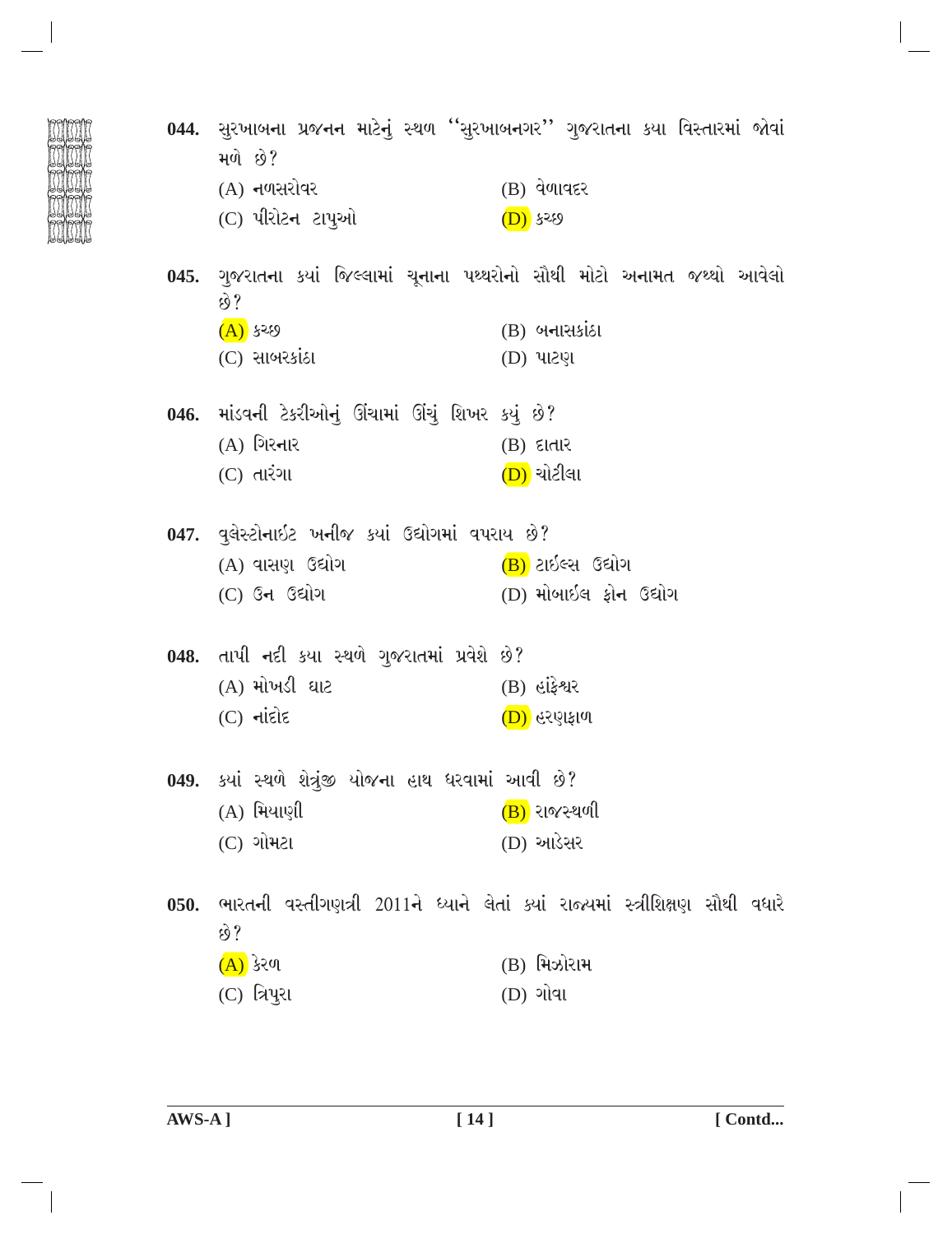|      | મળે છે?                                              | 044. સુરખાબના પ્રજનન માટેનું સ્થળ ''સુરખાબનગર'' ગુજરાતના કયા વિસ્તારમાં જોવાં |
|------|------------------------------------------------------|-------------------------------------------------------------------------------|
|      | $(A)$ નળસરોવર                                        | $(B)$ વેળાવદર                                                                 |
|      | (C) પીરોટન ટાપુઓ                                     | (D) ५२९9                                                                      |
|      | છે?                                                  | 045. ગુજરાતના કયાં જિલ્લામાં ચૂનાના પથ્થરોનો સૌથી મોટો અનામત જથ્થો આવેલો      |
|      | <u>(A)</u> કચ્છ                                      | $(B)$ બનાસકાંઠા                                                               |
|      | $(C)$ સાબરકાંઠા                                      | (D) પાટણ                                                                      |
|      | 046. માંડવની ટેકરીઓનું ઊંચામાં ઊંચું શિખર કયું છે?   |                                                                               |
|      | $(A)$ ગિરનાર                                         | $(B)$ દાતાર                                                                   |
|      | $(C)$ તારંગા                                         | <u>(D)</u> ચોટીલા                                                             |
|      | 047. વુલેસ્ટોનાઇટ ખનીજ કયાં ઉદ્યોગમાં વપરાય છે?      |                                                                               |
|      | (A) વાસણ ઉદ્યોગ                                      | (B) ટાઇલ્સ ઉદ્યોગ                                                             |
|      | $(C)$ ઉન ઉદ્યોગ                                      | (D) મોબાઈલ ફોન ઉદ્યોગ                                                         |
|      | 048. તાપી નદી કયા સ્થળે ગુજરાતમાં પ્રવેશે છે?        |                                                                               |
|      | (A) મોખડી ઘાટ                                        | $(B)$ હાંફેશ્વર                                                               |
|      | $(C)$ $\overline{\mathsf{click}}$                    | (D) હરણફાળ                                                                    |
|      | 049. ક્યાં સ્થળે શેત્રુંજી યોજના હાથ ધરવામાં આવી છે? |                                                                               |
|      | $(A)$ મિયાણી                                         | $(B)$ રાજસ્થળી                                                                |
|      | $(C)$ ગોમટા                                          | (D) આડેસર                                                                     |
| 050. |                                                      | ભારતની વસ્તીગણત્રી 2011ને ધ્યાને લેતાં ક્યાં રાજ્યમાં સ્ત્રીશિક્ષણ સૌથી વધારે |
|      | છે?                                                  |                                                                               |
|      | (A) કેરળ                                             | (B) મિઝોરામ                                                                   |
|      | (C) ત્રિપુરા                                         | (D) ગોવા                                                                      |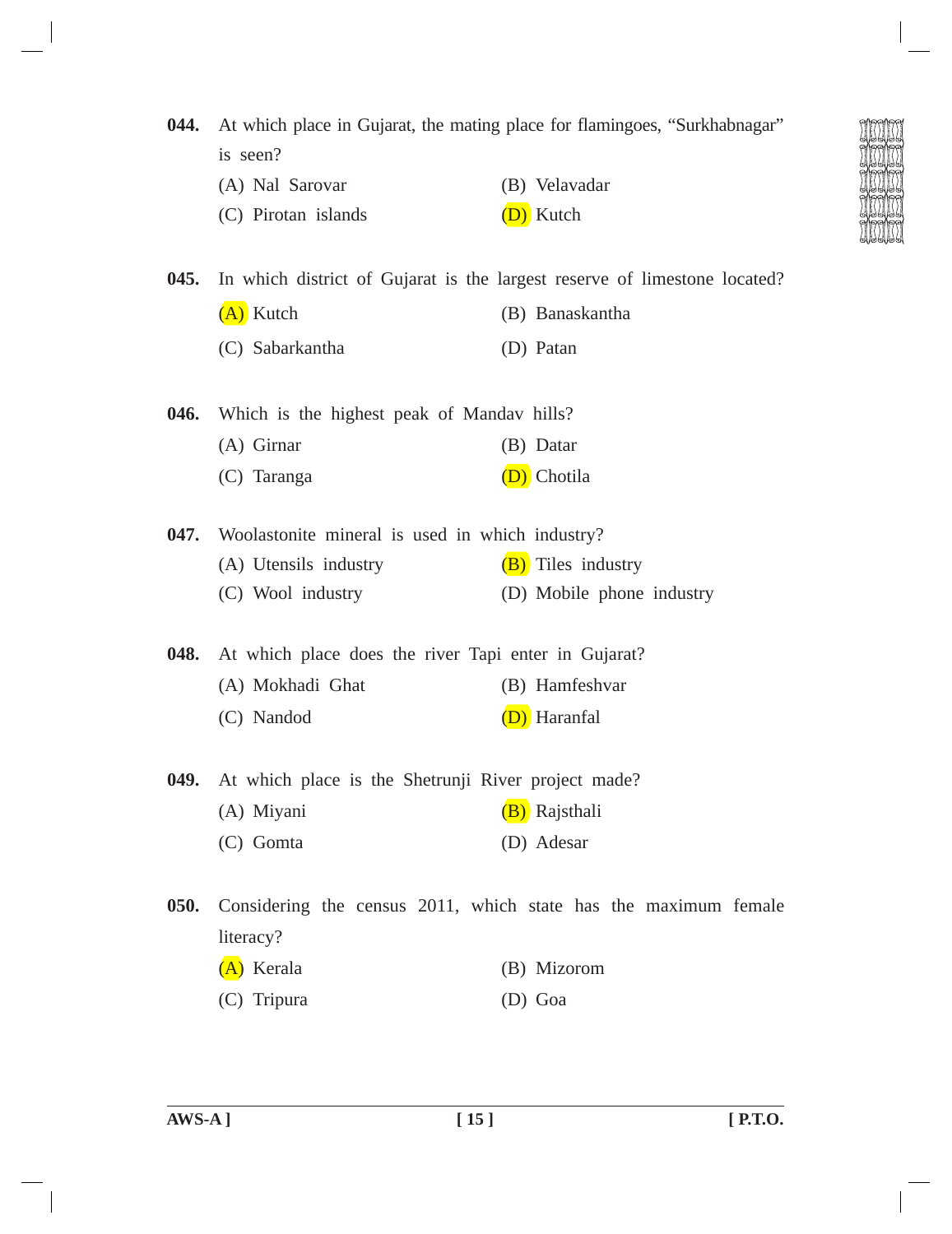| 044. | At which place in Gujarat, the mating place for flamingoes, "Surkhabnagar" |                                                                           |  |
|------|----------------------------------------------------------------------------|---------------------------------------------------------------------------|--|
|      | is seen?                                                                   |                                                                           |  |
|      | (A) Nal Sarovar                                                            | (B) Velavadar                                                             |  |
|      | (C) Pirotan islands                                                        | (D) Kutch                                                                 |  |
| 045. |                                                                            | In which district of Gujarat is the largest reserve of limestone located? |  |
|      | (A) Kutch                                                                  | (B) Banaskantha                                                           |  |
|      | (C) Sabarkantha                                                            | (D) Patan                                                                 |  |
| 046. | Which is the highest peak of Mandav hills?                                 |                                                                           |  |
|      | (A) Girnar                                                                 | (B) Datar                                                                 |  |
|      | (C) Taranga                                                                | D) Chotila                                                                |  |
| 047. | Woolastonite mineral is used in which industry?                            |                                                                           |  |
|      | (A) Utensils industry                                                      | (B) Tiles industry                                                        |  |
|      | (C) Wool industry                                                          | (D) Mobile phone industry                                                 |  |
| 048. | At which place does the river Tapi enter in Gujarat?                       |                                                                           |  |
|      | (A) Mokhadi Ghat                                                           | (B) Hamfeshvar                                                            |  |
|      | (C) Nandod                                                                 | (D) Haranfal                                                              |  |
| 049. | At which place is the Shetrunji River project made?                        |                                                                           |  |
|      | (A) Miyani                                                                 | (B) Rajsthali                                                             |  |
|      | $(C)$ Gomta                                                                | (D) Adesar                                                                |  |
| 050. |                                                                            | Considering the census 2011, which state has the maximum female           |  |
|      | literacy?                                                                  |                                                                           |  |
|      | (A) Kerala                                                                 | (B) Mizorom                                                               |  |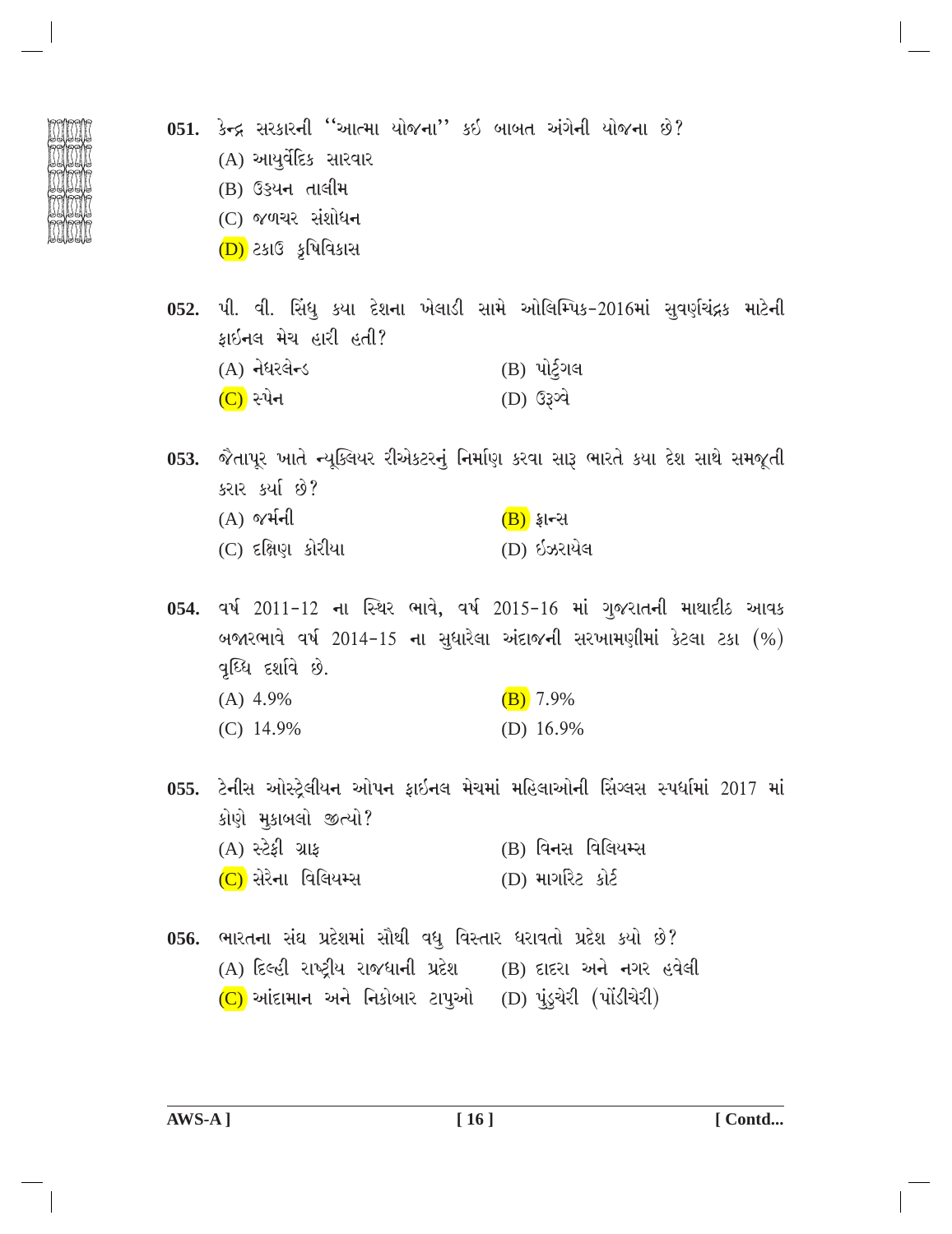- 
- 051. કેન્દ્ર સરકારની ''આત્મા યોજના'' કઈ બાબત અંગેની યોજના છે?  $(A)$  આયર્વેદિક સારવાર (B) ઉડ્યન તાલીમ
	- $(C)$  જળચર સંશોધન
	- $(D)$  ટકાઉ કૃષિવિકાસ
- 052. પી. વી. સિંધુ કયા દેશના ખેલાડી સામે ઓલિમ્પિક-2016માં સવર્ણચંદ્રક માટેની કાઇનલ મેચ હારી હતી?  $(A)$  નેધરલેન્ડ (B) પોર્ટગલ
	- (D) ઉ3ગ્વે  $(C)$  સ્પેન
- 053. જૈતાપૂર ખાતે ન્યુક્લિયર રીએકટરનું નિર્માણ કરવા સારૂ ભારતે કયા દેશ સાથે સમજૂતી કરાર કર્યા છે?
	- $(A)$  %  $H =$  $(B)$  ફ્રાન્સ  $(C)$  દક્ષિણ કોરીયા (D) ઇઝરાયેલ
- 054. વર્ષ 2011-12 ના સ્થિર ભાવે, વર્ષ 2015-16 માં ગુજરાતની માથાદીઠ આવક બજારભાવે વર્ષ 2014-15 ના સુધારેલા અંદાજની સરખામણીમાં કેટલા ટકા  $(%)$ વર્ધ્ધિ દર્શાવે છે.  $(A)$  4.9%  $(B) 7.9%$  $(C)$  14.9% (D)  $16.9%$
- 055. ટેનીસ ઓસ્ટ્રેલીયન ઓપન ફાઇનલ મેચમાં મહિલાઓની સિંગ્લસ સ્પર્ધામાં 2017 માં કોણે મુકાબલો જીત્યો? (A) સ્ટેકી ગ્રાક  $(B)$  વિનસ વિલિયમ્સ
	- (C) સેરેના વિલિયમ્સ (D) માગરિટ કોર્ટ
- 056. ભારતના સંઘ પ્રદેશમાં સૌથી વધુ વિસ્તાર ધરાવતો પ્રદેશ કર્યો છે? (A) દિલ્હી રાષ્ટ્રીય રાજધાની પ્રદેશ (B) દાદરા અને નગર હવેલી  $(C)$  આંદામાન અને નિકોબાર ટાપુઓ  $(D)$  પુડ્ચેરી (પોંડીચેરી)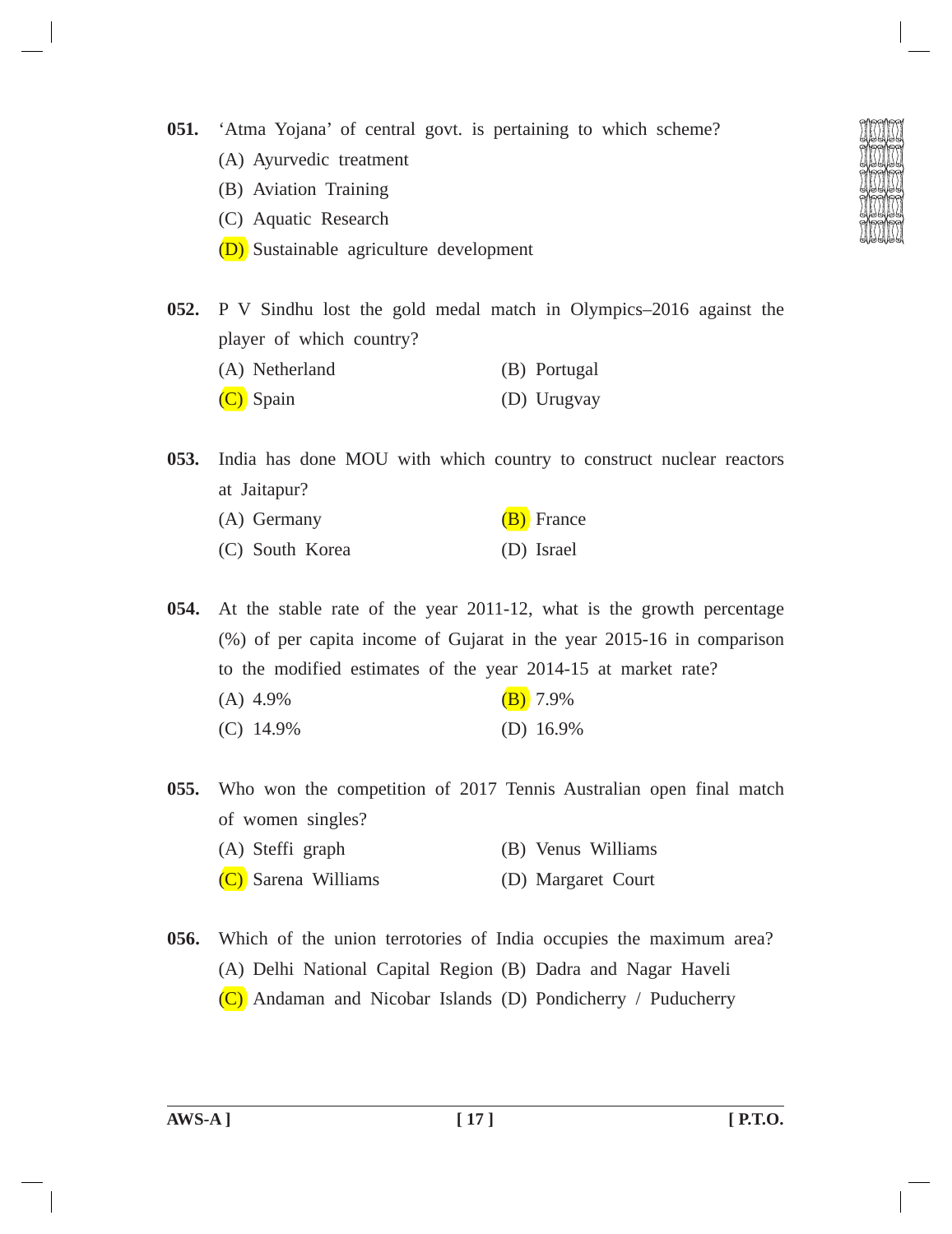- **051.** 'Atma Yojana' of central govt. is pertaining to which scheme?
	- (A) Ayurvedic treatment
	- (B) Aviation Training
	- (C) Aquatic Research
	- (D) Sustainable agriculture development
- 
- **052.** P V Sindhu lost the gold medal match in Olympics–2016 against the player of which country?
	- (A) Netherland (B) Portugal
	- (C) Spain (D) Urugvay

**053.** India has done MOU with which country to construct nuclear reactors at Jaitapur?

(A) Germany  $(B)$  France (C) South Korea (D) Israel

**054.** At the stable rate of the year 2011-12, what is the growth percentage (%) of per capita income of Gujarat in the year 2015-16 in comparison to the modified estimates of the year 2014-15 at market rate?

- (A)  $4.9\%$  (B)  $7.9\%$
- (C) 14.9% (D) 16.9%

**055.** Who won the competition of 2017 Tennis Australian open final match of women singles?

- (A) Steffi graph (B) Venus Williams
- (C) Sarena Williams (D) Margaret Court
- **056.** Which of the union terrotories of India occupies the maximum area? (A) Delhi National Capital Region (B) Dadra and Nagar Haveli (C) Andaman and Nicobar Islands (D) Pondicherry / Puducherry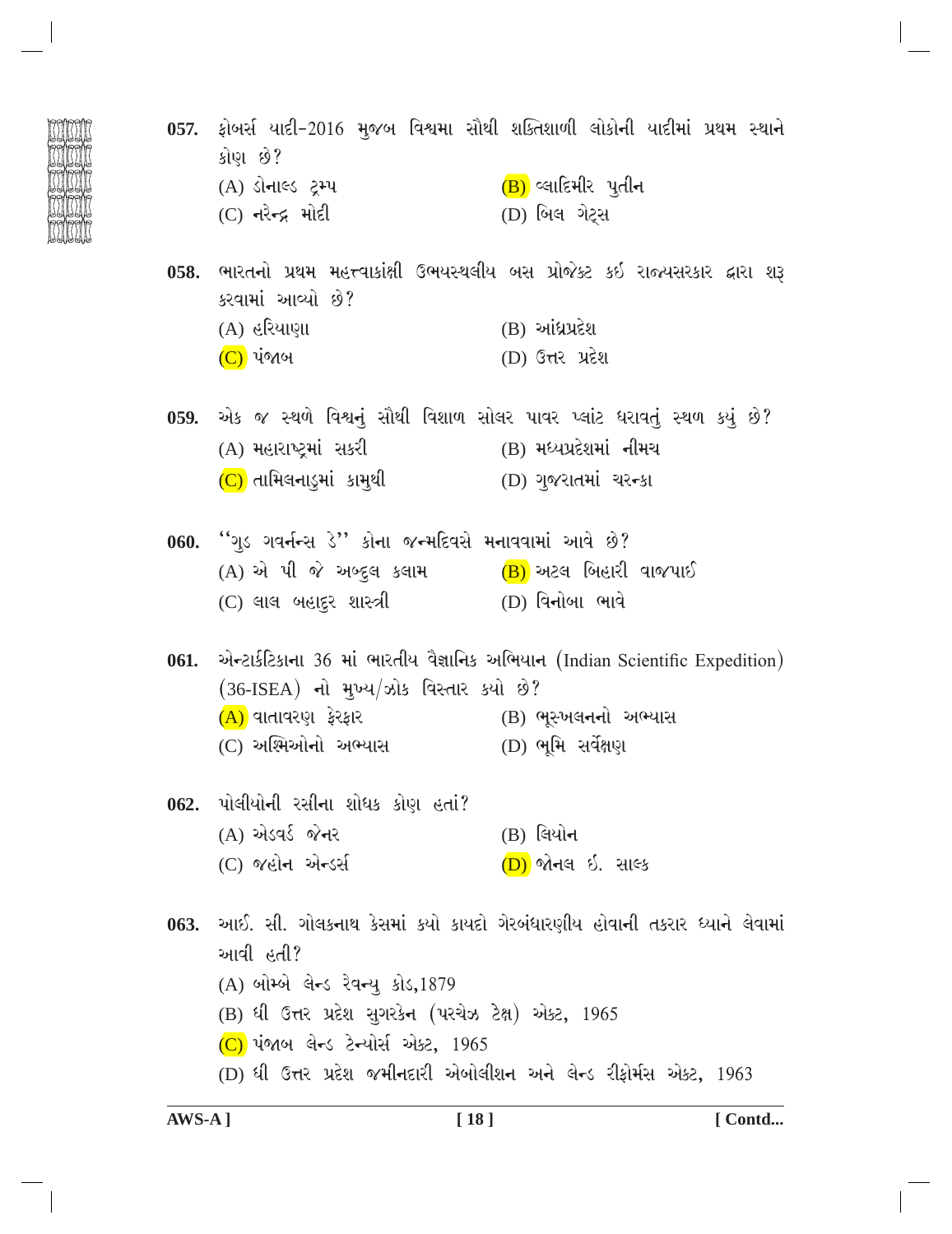- 057. ફોબર્સ યાદી-2016 મુજબ વિશ્વમા સૌથી શક્તિશાળી લોકોની યાદીમાં પ્રથમ સ્થાને કોણ છે? (A) ડોનાલ્ડ ટ્રમ્પ  $(B)$  લ્લાદિમીર પૂતીન  $(C)$  નરેન્દ્ર મોદી (D) બિલ ગેટ્સ 058. ભારતનો પ્રથમ મહત્ત્વાકાંક્ષી ઉભયસ્થલીય બસ પ્રોજેક્ટ કઇ રાજ્યસરકાર દ્વારા શરૂ કરવામાં આવ્યો છે?  $(B)$  આંધ્રપ્રદેશ (A) હરિયાણા (D) ઉત્તર પ્રદેશ (C) પંજાબ 059. એક જ સ્થળે વિશ્વનું સૌથી વિશાળ સોલર પાવર પ્લાંટ ધરાવતું સ્થળ કયું છે? (A) મહારાષ્ટ્રમાં સકરી (B) મધ્યપ્રદેશમાં નીમચ  $(C)$  તામિલનાડુમાં કામુથી  $(D)$  ગુજરાતમાં ચરન્કા 060. "ગુડ ગવર્નન્સ ડે" કોના જન્મદિવસે મનાવવામાં આવે છે?
	- (A) એ પી જે અબ્દુલ કલામ  $(B)$  અટલ બિહારી વાજપાઈ (C) લાલ બહાદ્દર શાસ્ત્રી (D) વિનોબા ભાવે

061. એન્ટાર્કટિકાના 36 માં ભારતીય વૈજ્ઞાનિક અભિયાન (Indian Scientific Expedition)  $(36$ -ISEA) નો મુખ્ય/ઝોક વિસ્તાર કર્યો છે? (A) વાતાવરણ ફેરફાર (B) ભૂસ્ખલ**નનો** અભ્યાસ (C) અશ્મિઓનો અભ્યાસ (D) ભૂમિ સર્વેક્ષણ

062. પોલીયોની રસીના શોધક કોણ હતાં? (A) એડવર્ડ જેનર (B) લિયો**ન** (C) જહોન એન્ડર્સ (D) જોનલ ઇ. સાલ્ક

063. આઈ. સી. ગોલકનાથ કેસમાં કયો કાયદો ગેરબંધારણીય હોવાની તકરાર ધ્યાને લેવામાં આવી હતી? (A) બોમ્બે લેન્ડ રેવન્ય કોડ, 1879 (B) ધી ઉત્તર પ્રદેશ સુગરકેન (પરચેઝ ટેક્ષ) એક્ટ, 1965  $(C)$  પંજાબ લેન્ડ ટેન્યોર્સ એક્ટ, 1965 (D) ધી ઉત્તર પ્રદેશ જમીનદારી એબોલીશન અને લેન્ડ રીફોર્મસ એક્ટ, 1963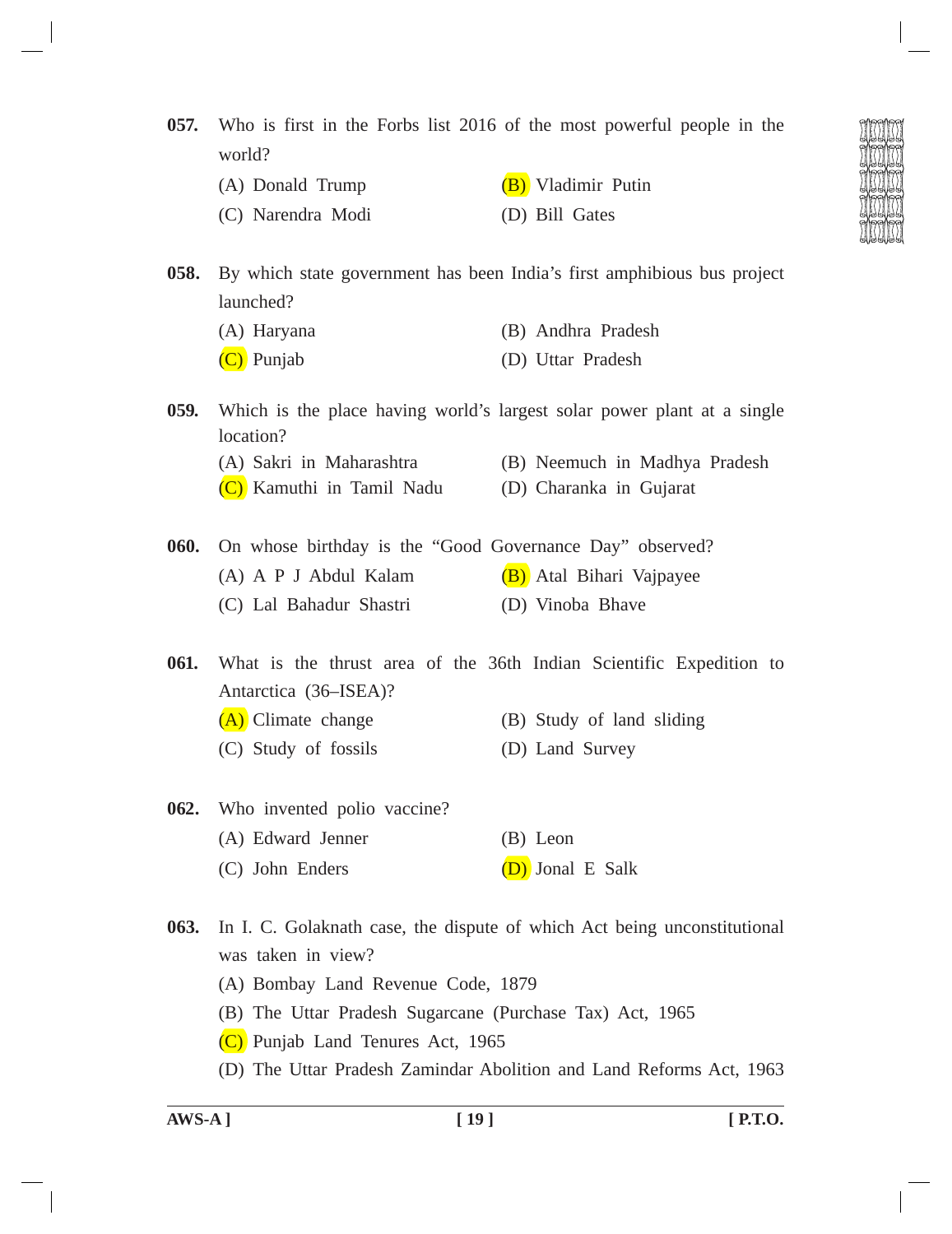**057.** Who is first in the Forbs list 2016 of the most powerful people in the world?

- (A) Donald Trump  $(B)$  Vladimir Putin
- (C) Narendra Modi (D) Bill Gates

**058.** By which state government has been India's first amphibious bus project launched?

- (A) Haryana (B) Andhra Pradesh
- (C) Punjab (D) Uttar Pradesh

**059.** Which is the place having world's largest solar power plant at a single location? (A) Sakri in Maharashtra (B) Neemuch in Madhya Pradesh (C) Kamuthi in Tamil Nadu (D) Charanka in Gujarat

- **060.** On whose birthday is the "Good Governance Day" observed?
	- (A) A P J Abdul Kalam  $(B)$  Atal Bihari Vajpayee
	- (C) Lal Bahadur Shastri (D) Vinoba Bhave

**061.** What is the thrust area of the 36th Indian Scientific Expedition to Antarctica (36–ISEA)?

- (A) Climate change (B) Study of land sliding
- (C) Study of fossils (D) Land Survey
- **062.** Who invented polio vaccine? (A) Edward Jenner (B) Leon (C) John Enders (D) Jonal E Salk

**063.** In I. C. Golaknath case, the dispute of which Act being unconstitutional was taken in view?

- (A) Bombay Land Revenue Code, 1879
- (B) The Uttar Pradesh Sugarcane (Purchase Tax) Act, 1965
- (C) Punjab Land Tenures Act, 1965
- (D) The Uttar Pradesh Zamindar Abolition and Land Reforms Act, 1963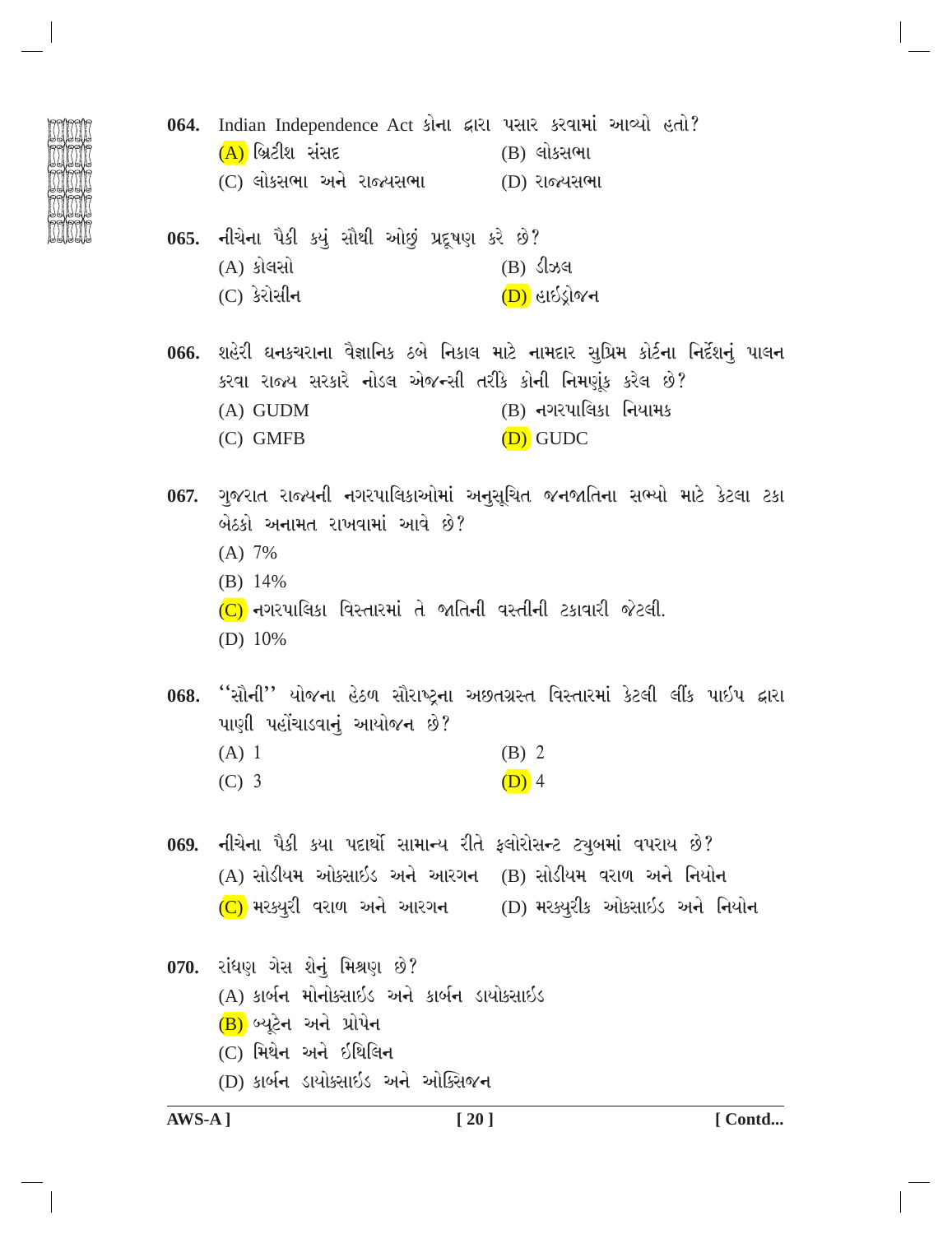- 
- 064. Indian Independence Act કોના દ્વારા પસાર કરવામાં આવ્યો હતો?  $(A)$  બ્રિટીશ સંસદ (B) લોકસભા (C) લોકસભા અને રાજ્યસભા (D) રાજ્યસભા
- નીચેના પૈકી કયું સૌથી ઓછું પ્રદૂષણ કરે છે?  $065.$ (A) કોલસો  $(B)$   $S \rightarrow S$  $(C)$  કેરોસીન (D) હાઇડ્રોજન
- 066. શહેરી ઘનકચરાના વૈજ્ઞાનિક ઠબે નિકાલ માટે નામદાર સુપ્રિમ કોર્ટના નિર્દેશનું પાલન કરવા રાજ્ય સરકારે નોડલ એજન્સી તરીકે કોની નિમણુંક કરેલ છે? (B) નગરપાલિકા નિયામક  $(A)$  GUDM  $(C)$  GMFB (D) GUDC

067. ગુજરાત રાજ્યની નગરપાલિકાઓમાં અનુસૂચિત જનજાતિના સભ્યો માટે કેટલા ટકા બેઠકો અનામત રાખવામાં આવે છે?

- $(A) 7%$
- $(B)$  14%
- (C) નગરપાલિકા વિસ્તારમાં તે જાતિની વસ્તીની ટકાવારી જેટલી.
- (D)  $10\%$

068. ''સૌની'' યોજના હેઠળ સૌરાષ્ટના અછતગ્રસ્ત વિસ્તારમાં કેટલી લીંક પાઈપ દ્વારા પાણી પહોંચાડવાનું આયોજન છે?

 $(A)$  1  $(B)$  2  $(C)$  3  $(D)$  4

069. નીચેના પૈકી કયા પદાર્થો સામાન્ય રીતે ફ્લોરોસન્ટ ટ્યૂબમાં વપરાય છે? (A) સોડીયમ ઓક્સાઇડ અને આરગન (B) સોડીયમ વરાળ અને નિયોન  $(C)$  મરક્યુરી વરાળ અને આરગન  $(D)$  મરક્યુરીક ઓક્સાઇડ અને નિયોન

070. રાંધણ ગેસ શેનું મિશ્રણ છે? (A) કાર્બન મોનોકસાઇડ અને કાર્બન ડાયોક્સાઇડ (B) બ્યુટેન અને પ્રોપેન (C) મિથેન અને ઇથિલિન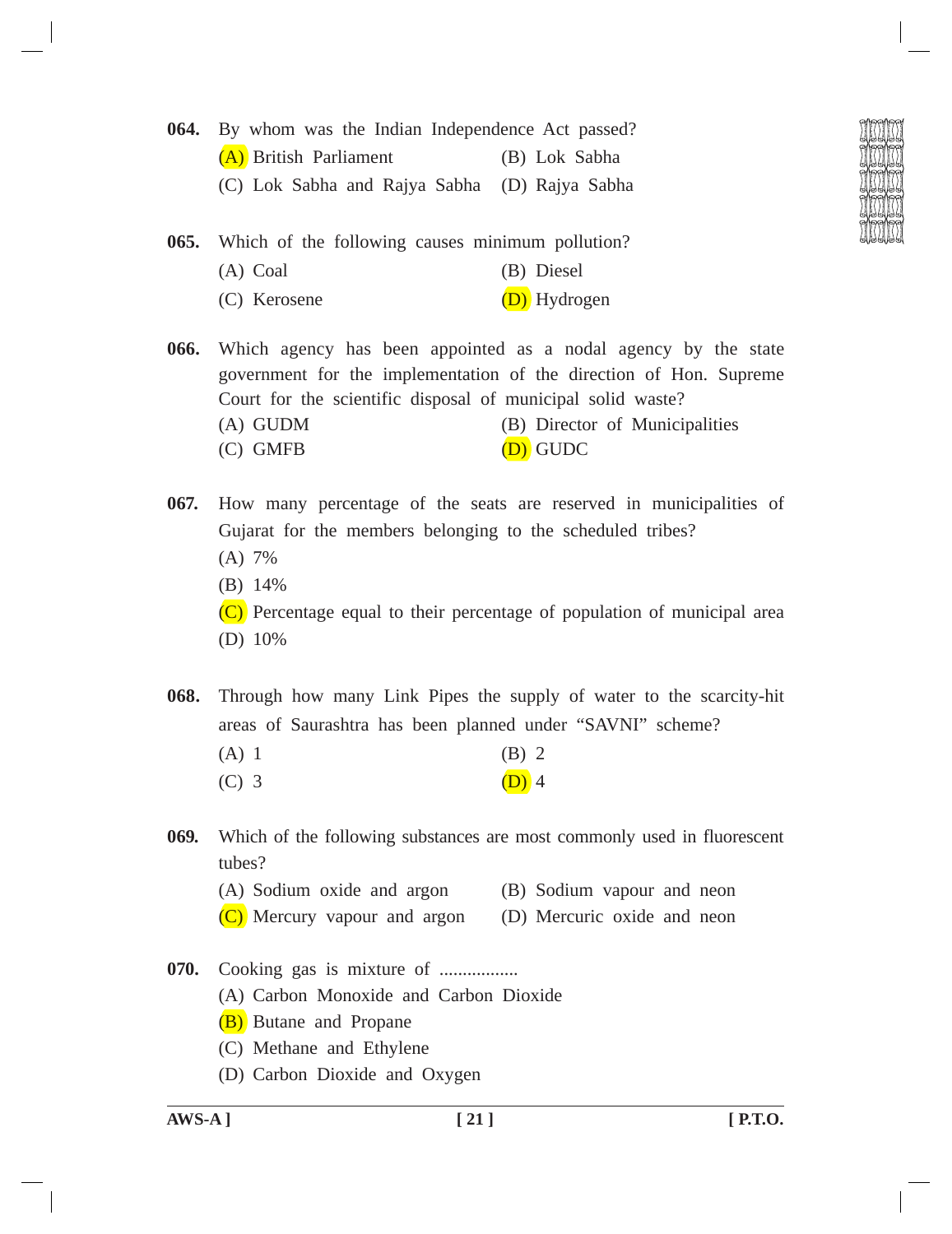- **064.** By whom was the Indian Independence Act passed? (A) British Parliament (B) Lok Sabha (C) Lok Sabha and Rajya Sabha (D) Rajya Sabha
- **065.** Which of the following causes minimum pollution? (A) Coal (B) Diesel (C) Kerosene (D) Hydrogen
- **066.** Which agency has been appointed as a nodal agency by the state government for the implementation of the direction of Hon. Supreme Court for the scientific disposal of municipal solid waste? (A) GUDM (B) Director of Municipalities (C) GMFB (D) GUDC

**067.** How many percentage of the seats are reserved in municipalities of Gujarat for the members belonging to the scheduled tribes? (A) 7%

- (B) 14%
- (C) Percentage equal to their percentage of population of municipal area (D) 10%

**068.** Through how many Link Pipes the supply of water to the scarcity-hit areas of Saurashtra has been planned under "SAVNI" scheme?

- $(A) 1$  (B) 2
- (C) 3 (D) 4
- **069.** Which of the following substances are most commonly used in fluorescent tubes?
	- (A) Sodium oxide and argon (B) Sodium vapour and neon
	- (C) Mercury vapour and argon (D) Mercuric oxide and neon
- **070.** Cooking gas is mixture of .................
	- (A) Carbon Monoxide and Carbon Dioxide
	- (B) Butane and Propane
	- (C) Methane and Ethylene
	- (D) Carbon Dioxide and Oxygen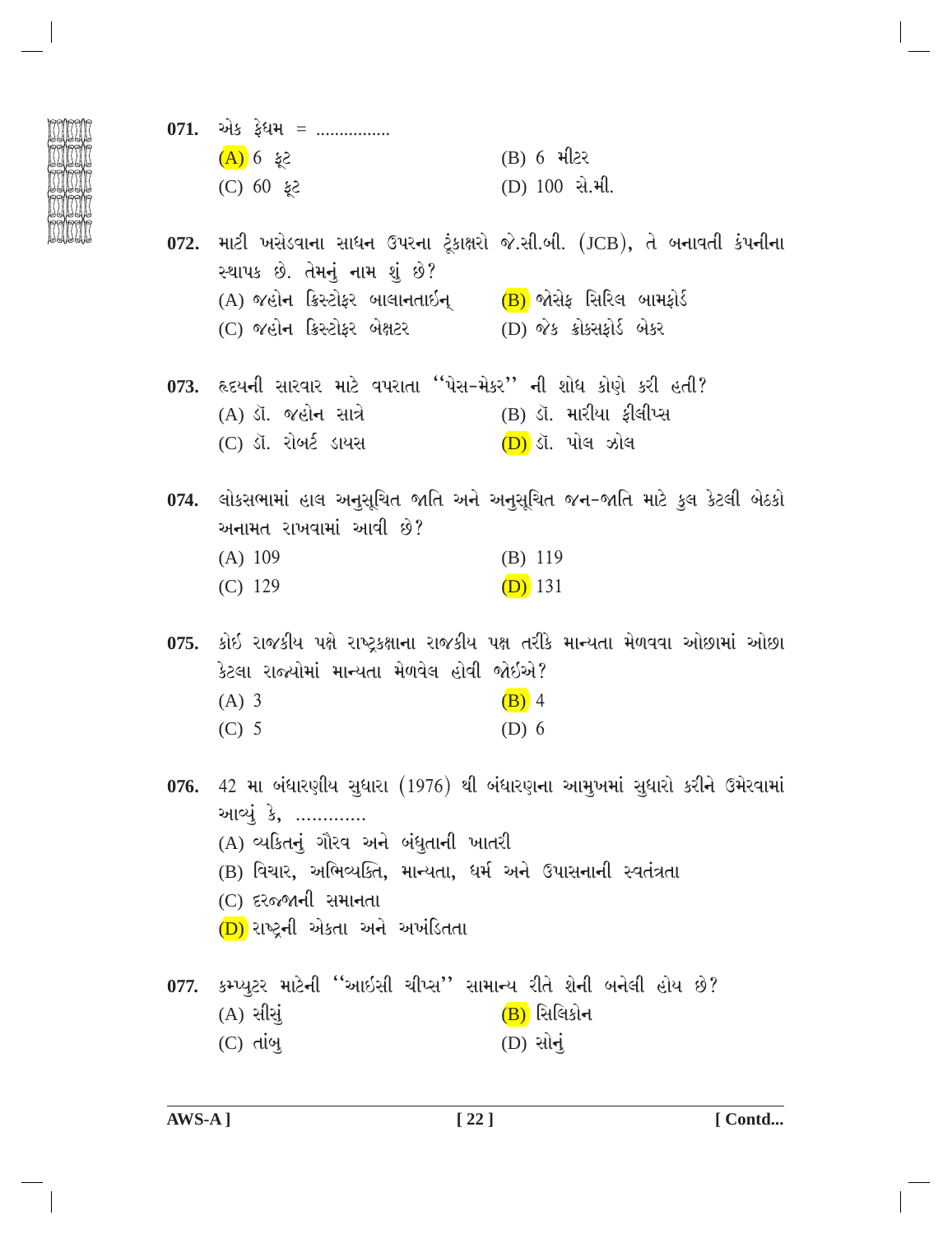- 
- 071. એક ફેધમ = ...............  $5\frac{1}{6}$  6 (A) (B) 6 મીટર  $5 \xi$  00 (O)  $(D)$  100 સે.મી.
- 072. માટી ખસેડવાના સાધન ઉપરના ટૂંકાક્ષરો જે.સી.બી. (JCB), તે બનાવતી કંપનીના સ્થાપક છે. તેમનું નામ શું છે? (A) જહોન ક્રિસ્ટોફર બાલાનતાઇન  $(B)$  જોસેફ સિરિલ બામકોર્ડ (D) જેક ક્રોક્સકોર્ડ બેકર (C) જહોન ક્રિસ્ટોકર બેક્ષટર
- 073. હૃદયની સારવાર માટે વપરાતા "પેસ-મેકર" ની શોધ કોણે કરી હતી? (B) ડૉ. મારીયા કીલીપ્સ (A) ડૉ. જહોન સાત્રે (C) ડૉ. રોબર્ટ ડાયસ  $(D)$  ડૉ. પોલ ઝોલ
- 074. લોકસભામાં હાલ અનુસૂચિત જાતિ અને અનુસૂચિત જન-જાતિ માટે કુલ કેટલી બેઠકો અનામત રાખવામાં આવી છે?  $(A) 109$  $(B)$  119  $(D)$  131  $(C)$  129

075. કોઇ રાજકીય પક્ષે રાષ્ટ્રકક્ષાના રાજકીય પક્ષ તરીકે માન્યતા મેળવવા ઓછામાં ઓછા કેટલા રાજ્યોમાં માન્યતા મેળવેલ હોવી જોઇએ?  $(A)$  3  $(B)$  4  $(C)$  5  $(D)$  6

- 076. 42 મા બંધારણીય સુધારા (1976) થી બંધારણના આમુખમાં સુધારો કરીને ઉમેરવામાં આવ્યું કે, ............. (A) વ્યકિતનું ગૌરવ અને બંધતાની ખાતરી (B) વિચાર, અભિવ્યક્તિ, માન્યતા, ધર્મ અને ઉપાસનાની સ્વતંત્રતા
	- (C) દરજ્જાની સમાનતા
	- (D) રાષ્ટ્રની એકતા અને અખંડિતતા
- 077. કમ્પ્યુટર માટેની ''આઇસી ચીપ્સ'' સામાન્ય રીતે શેની બનેલી હોય છે? (B) સિલિકોન  $(A)$  સીસું
	- $(D)$  સોનું  $(C)$  dig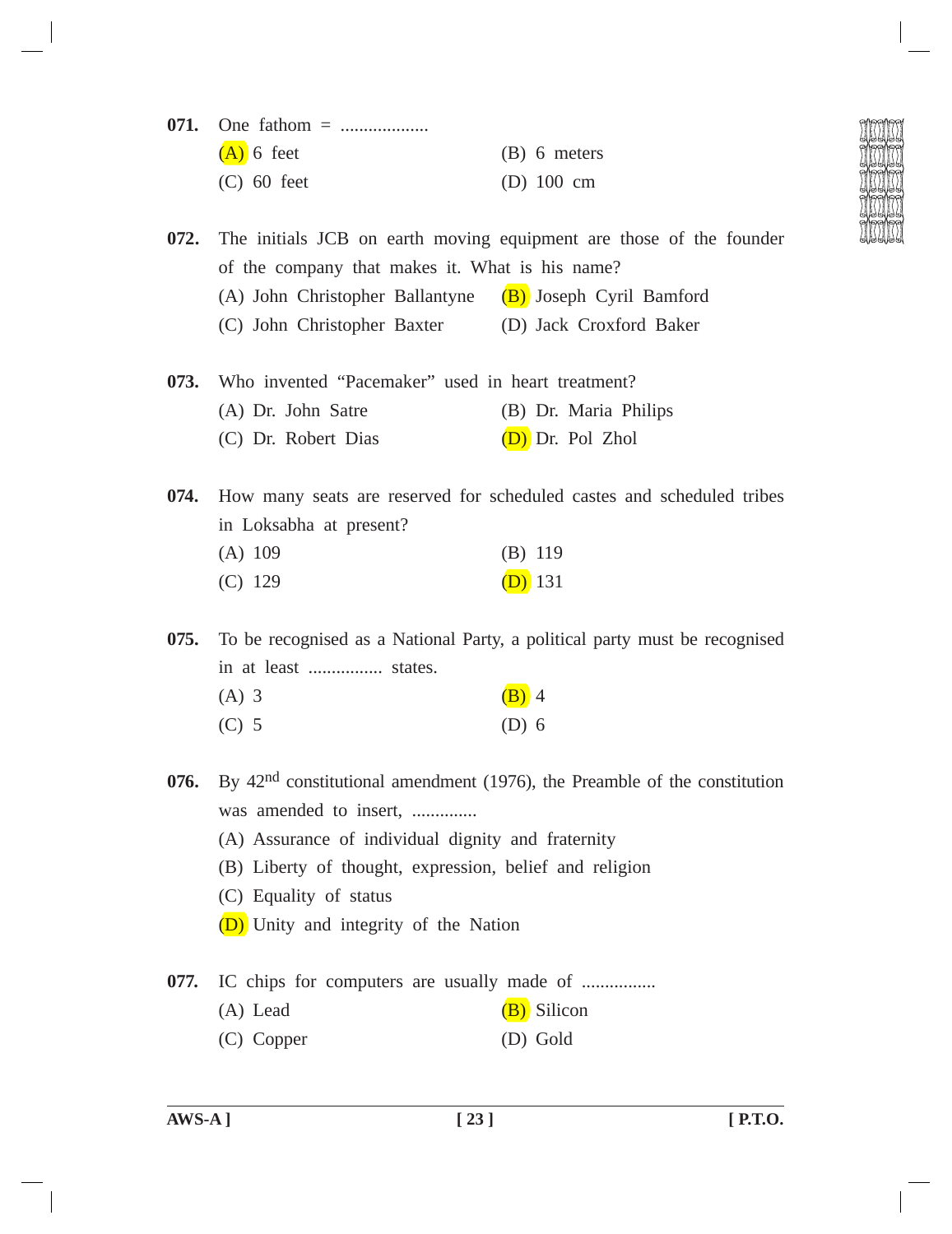| $(A)$ 6 feet  | $(B)$ 6 meters       |
|---------------|----------------------|
| $(C)$ 60 feet | (D) $100 \text{ cm}$ |

**072.** The initials JCB on earth moving equipment are those of the founder of the company that makes it. What is his name? (A) John Christopher Ballantyne  $(B)$  Joseph Cyril Bamford (C) John Christopher Baxter (D) Jack Croxford Baker

**073.** Who invented "Pacemaker" used in heart treatment? (A) Dr. John Satre (B) Dr. Maria Philips (C) Dr. Robert Dias (D) Dr. Pol Zhol

**074.** How many seats are reserved for scheduled castes and scheduled tribes in Loksabha at present?

| $(A)$ 109 | $(B)$ 119 |
|-----------|-----------|
| $(C)$ 129 | $(D)$ 131 |

**075.** To be recognised as a National Party, a political party must be recognised in at least ................ states.

| $(A)$ 3 | $(B)$ 4 |  |
|---------|---------|--|
| $(C)$ 5 | $(D)$ 6 |  |

**076.** By 42nd constitutional amendment (1976), the Preamble of the constitution was amended to insert, ..............

- (A) Assurance of individual dignity and fraternity
- (B) Liberty of thought, expression, belief and religion
- (C) Equality of status
- (D) Unity and integrity of the Nation

**077.** IC chips for computers are usually made of ................

- (A) Lead  $(B)$  Silicon
- (C) Copper (D) Gold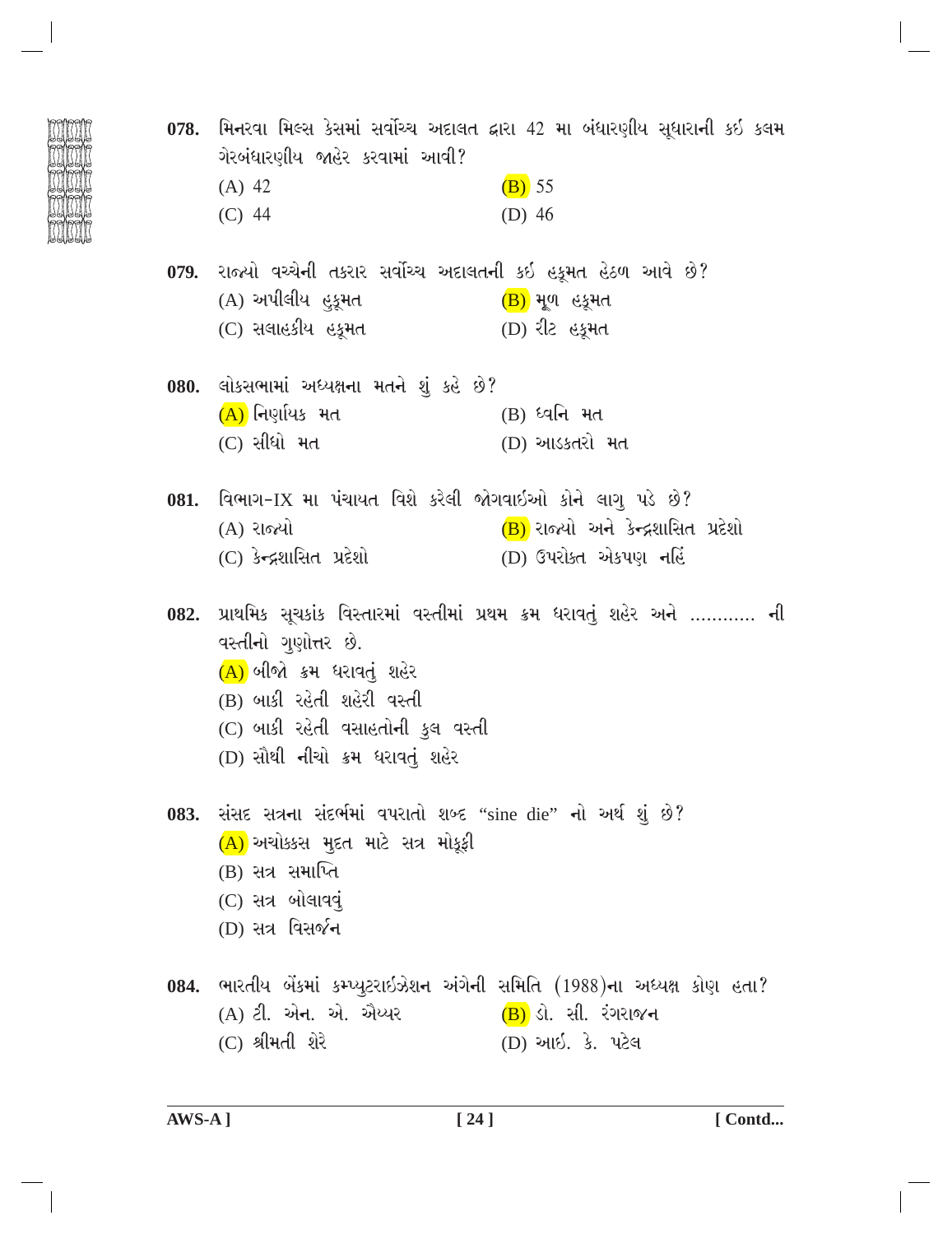| ગેરબંધારણીય જાહેર કરવામાં આવી?                                             | 078.  મિનરવા મિલ્સ કેસમાં સર્વોચ્ચ અદાલત દ્વારા 42 મા બંધારણીય સૂધારાની કઇ કલમ |
|----------------------------------------------------------------------------|--------------------------------------------------------------------------------|
| $(A)$ 42                                                                   | $(B)$ 55                                                                       |
| $(C)$ 44                                                                   | $(D)$ 46                                                                       |
| 079. રાજ્યો વચ્ચેની તકરાર સર્વોચ્ચ અદાલતની કઇ હકૂમત હેઠળ આવે છે?           |                                                                                |
| (A) અપીલીય હુકૂમત                                                          | ( <mark>B)</mark> મૂળ હકૂમત                                                    |
| (C) સલાહકીય હકૂમત                                                          | (D) રીટ હકૂમત                                                                  |
| 080. લોકસભામાં અધ્યક્ષના મતને શું કહે છે?                                  |                                                                                |
| (A) નિર્ણાયક મત                                                            | (B) ધ્વનિ મત                                                                   |
| (C) સીધો મત                                                                | (D) આડકતરો મત                                                                  |
| 081. વિભાગ-IX મા પંચાયત વિશે કરેલી જોગવાઇઓ કોને લાગુ પડે છે?               |                                                                                |
| (A) રાજ્યો                                                                 | (B) રાજ્યો અને કેન્દ્રશાસિત પ્રદેશો                                            |
| (C) કેન્દ્રશાસિત પ્રદેશો                                                   | (D) ઉપરોક્ત એકપણ નહિં                                                          |
| વસ્તીનો ગુણોત્તર છે.                                                       | 082. પ્રાથમિક સૂચકાંક વિસ્તારમાં વસ્તીમાં પ્રથમ ક્રમ ધરાવતું શહેર અને  ની      |
| (A) બીજો ક્રમ ધરાવતું શહેર                                                 |                                                                                |
| (B) બાકી રહેતી શહેરી વસ્તી                                                 |                                                                                |
| (C) બાકી રહેતી વસાહતોની કુલ વસ્તી                                          |                                                                                |
| (D) સૌથી નીચો ક્રમ ધરાવતું શહેર                                            |                                                                                |
| 083. સંસદ સત્રના સંદર્ભમાં વપરાતો શબ્દ "sine die" નો અર્થ શું છે?          |                                                                                |
| (A) અચોક્કસ મુદત માટે સત્ર મોકૂફી                                          |                                                                                |
| $(B)$ સત્ર સમાપ્તિ                                                         |                                                                                |
| (C) સત્ર બોલાવવું                                                          |                                                                                |
| (D) સત્ર વિસર્જ <b>ન</b>                                                   |                                                                                |
| 084. ભારતીય બેંકમાં કમ્પ્યુટરાઇઝેશન અંગેની સમિતિ (1988)ના અધ્યક્ષ કોણ હતા? |                                                                                |
| (A) ટી. એન. એ. ઐય્યર                                                       | (B) ડો. સી. રંગરાજન                                                            |
| (C) શ્રીમતી શેરે                                                           | (D) આઈ. કે. પટેલ                                                               |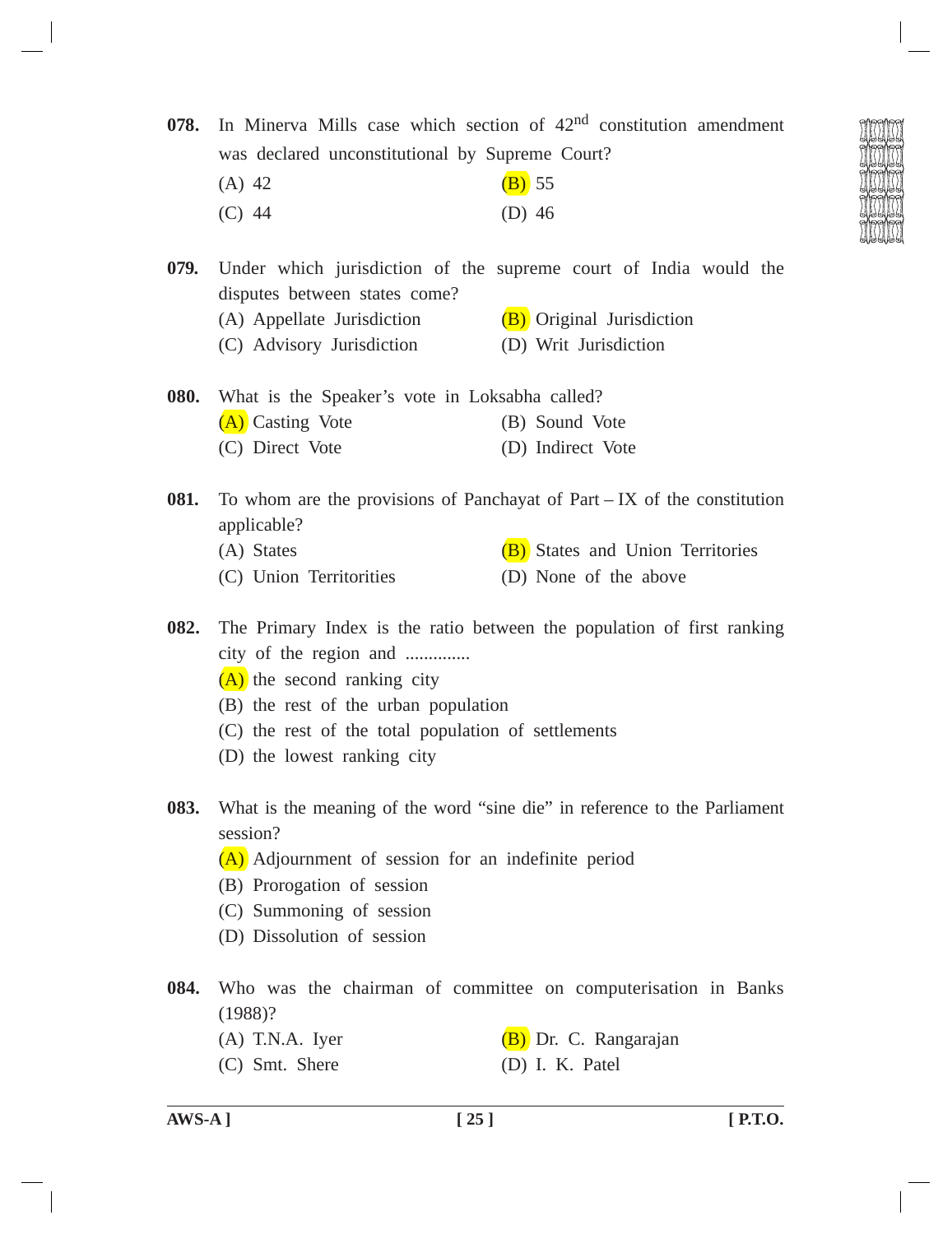**078.** In Minerva Mills case which section of 42nd constitution amendment was declared unconstitutional by Supreme Court?

(A) 42 (B) 55 (C) 44 (D) 46

**079.** Under which jurisdiction of the supreme court of India would the disputes between states come?

- (A) Appellate Jurisdiction  $(B)$  Original Jurisdiction
- (C) Advisory Jurisdiction (D) Writ Jurisdiction

| 080. |                  | What is the Speaker's vote in Loksabha called? |
|------|------------------|------------------------------------------------|
|      | (A) Casting Vote | (B) Sound Vote                                 |
|      | (C) Direct Vote  | (D) Indirect Vote                              |

- **081.** To whom are the provisions of Panchayat of Part IX of the constitution applicable?
	- (A) States  $(B)$  States and Union Territories
	- (C) Union Territorities (D) None of the above
- **082.** The Primary Index is the ratio between the population of first ranking city of the region and ..............
	- (A) the second ranking city
	- (B) the rest of the urban population
	- (C) the rest of the total population of settlements
	- (D) the lowest ranking city
- **083.** What is the meaning of the word "sine die" in reference to the Parliament session?
	- (A) Adjournment of session for an indefinite period
	- (B) Prorogation of session
	- (C) Summoning of session
	- (D) Dissolution of session
- **084.** Who was the chairman of committee on computerisation in Banks (1988)?
	- (A) T.N.A. Iyer  $(B)$  Dr. C. Rangarajan
	- (C) Smt. Shere (D) I. K. Patel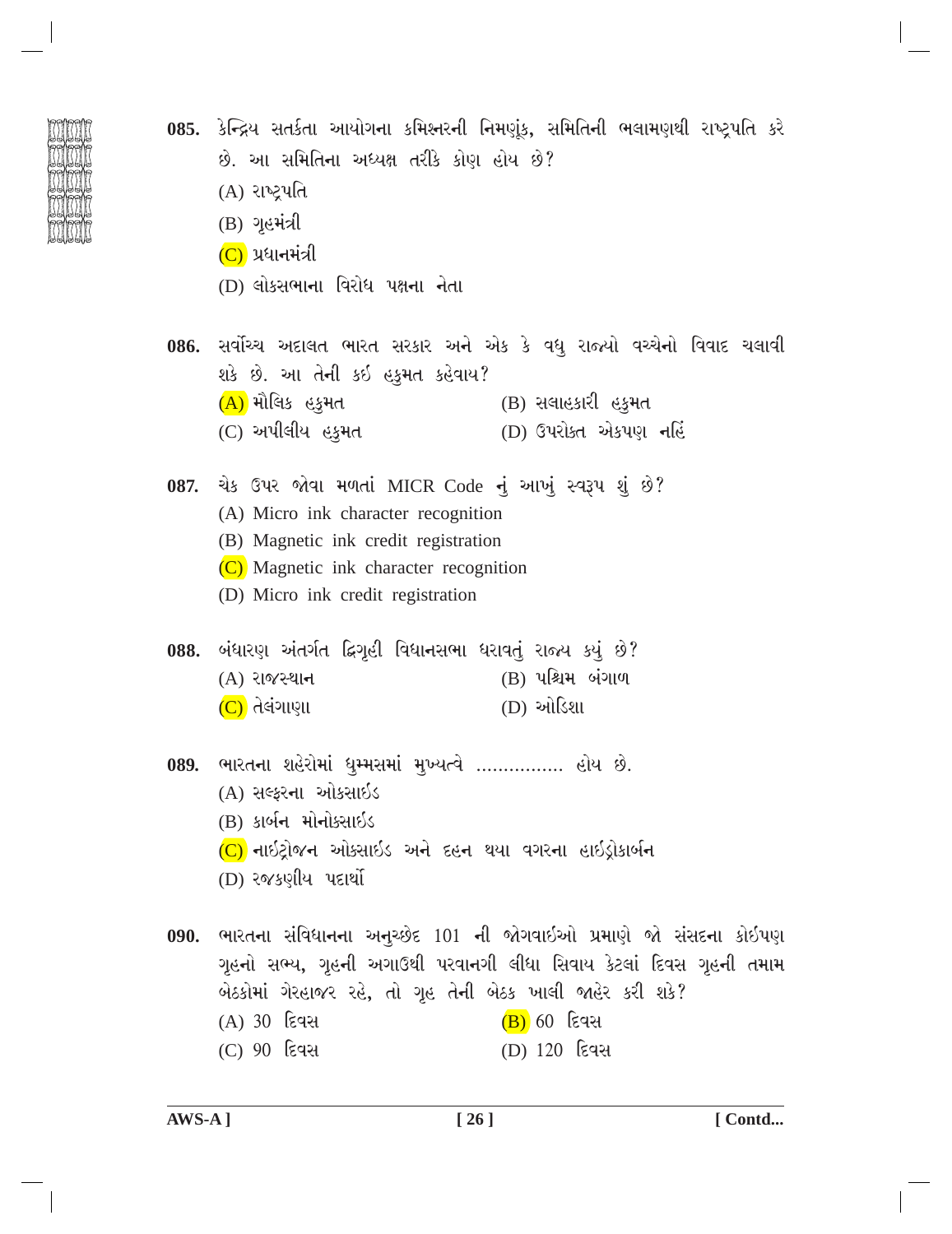| F | € |  |
|---|---|--|
|   | ම |  |
|   |   |  |
|   | ම |  |
|   |   |  |

- 085. કેન્દ્રિય સતર્કતા આયોગના કમિશ્નરની નિમણૂંક, સમિતિની ભલામણથી રાષ્ટ્રપતિ કરે છે. આ સમિતિના અધ્યક્ષ તરીકે કોણ હોય છે? (A) રાષ્ટ્રપતિ  $(B)$  ગૃહમંત્રી  $(C)$  પ્રધાનમંત્રી (D) લોકસભાના વિરોધ પક્ષના નેતા 086. સર્વોચ્ચ અદાલત ભારત સરકાર અને એક કે વધુ રાજ્યો વચ્ચેનો વિવાદ ચલાવી શકે છે. આ તેની કઈ હકુમત કહેવાય? (A) મૌલિક હકમત  $(B)$  સલાહકારી હકુમત (D) ઉપરોક્ત એકપણ નહિં (C) અપીલીય હકુમત 087. ચેક ઉપર જોવા મળતાં MICR Code નું આખું સ્વરૂપ શું છે? (A) Micro ink character recognition (B) Magnetic ink credit registration (C) Magnetic ink character recognition (D) Micro ink credit registration 088. બંધારણ અંતર્ગત દ્વિગૃહી વિધાનસભા ધરાવતું રાજ્ય કયું છે? (B) પશ્ચિમ બંગાળ  $(A)$  રાજસ્થાન (D) ઓડિશા  $(C)$  તેલંગાણા 089. ભારતના શહેરોમાં ધુમ્મસમાં મુખ્યત્વે ................ હોય છે.
	- (A) સલ્કરના ઓકસાઇડ
	- (B) કાર્બન મોનોક્સાઇડ
	- (C) નાઇટ્રોજન ઓક્સાઇડ અને દહન થયા વગરના હાઇડ્રોકાર્બન
	- (D) રજકણીય પદાર્થો
	- 090. ભારતના સંવિધાનના અનુચ્છેદ 101 ની જોગવાઇઓ પ્રમાણે જો સંસદના કોઇપણ ગૃહનો સભ્ય, ગૃહની અગાઉથી પરવાનગી લીધા સિવાય કેટલાં દિવસ ગૃહની તમામ બેઠકોમાં ગેરહાજર રહે, તો ગૃહ તેની બેઠક ખાલી જાહેર કરી શકે? (A) 30 દિવસ  $(B)$  60 દિવસ (C) 90 <u>દિવસ</u> (D) 120 દિવસ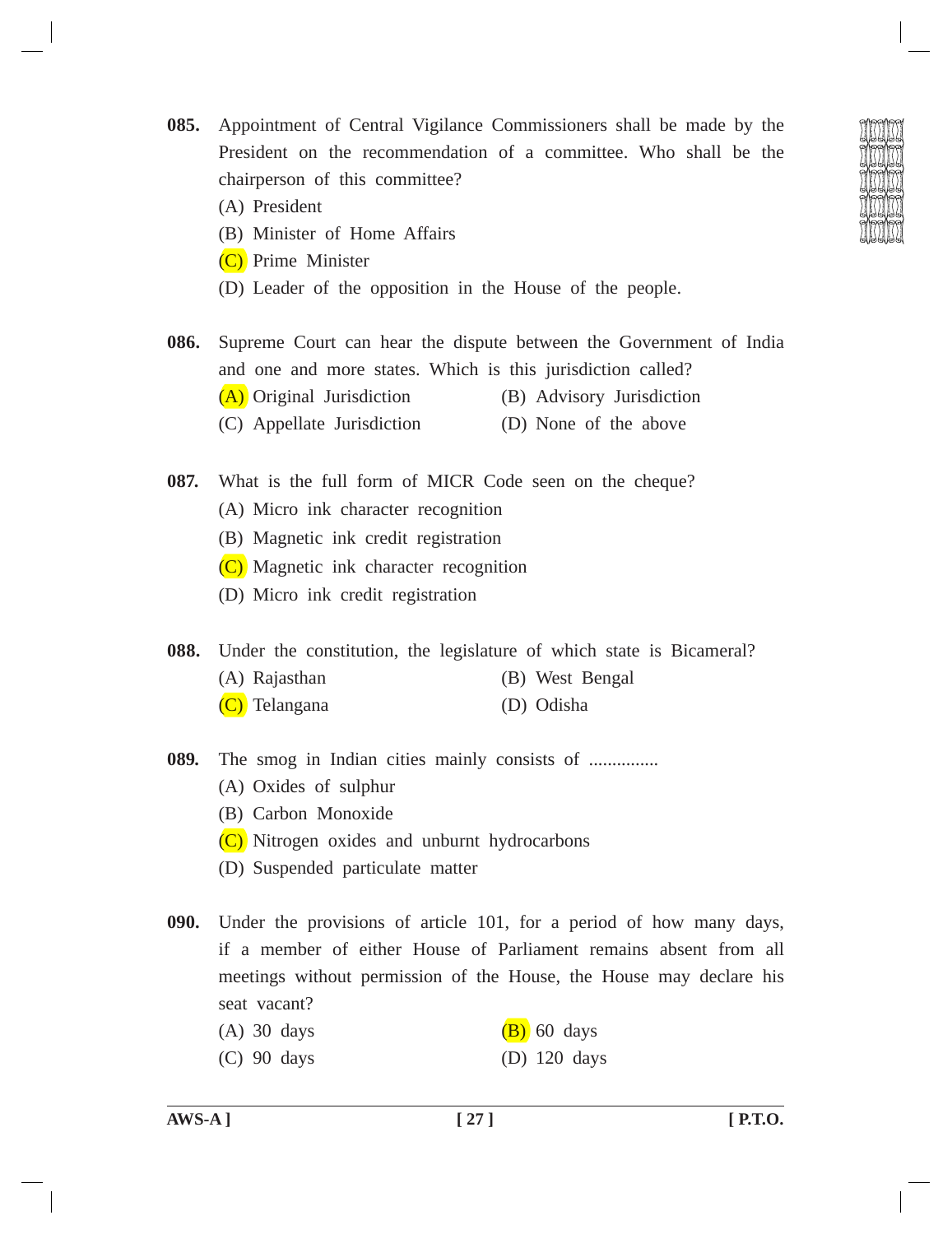**085.** Appointment of Central Vigilance Commissioners shall be made by the President on the recommendation of a committee. Who shall be the chairperson of this committee?

- (A) President
- (B) Minister of Home Affairs
- (C) Prime Minister
- (D) Leader of the opposition in the House of the people.
- **086.** Supreme Court can hear the dispute between the Government of India and one and more states. Which is this jurisdiction called? (A) Original Jurisdiction (B) Advisory Jurisdiction (C) Appellate Jurisdiction (D) None of the above
- **087.** What is the full form of MICR Code seen on the cheque? (A) Micro ink character recognition
	- (B) Magnetic ink credit registration
	- (C) Magnetic ink character recognition
	- (D) Micro ink credit registration

**088.** Under the constitution, the legislature of which state is Bicameral?

- (A) Rajasthan (B) West Bengal
- (C) Telangana (D) Odisha
- **089.** The smog in Indian cities mainly consists of ...............
	- (A) Oxides of sulphur
	- (B) Carbon Monoxide
	- (C) Nitrogen oxides and unburnt hydrocarbons
	- (D) Suspended particulate matter
- **090.** Under the provisions of article 101, for a period of how many days, if a member of either House of Parliament remains absent from all meetings without permission of the House, the House may declare his seat vacant?
	- (A) 30 days  $(B)$  60 days
	- (C) 90 days (D) 120 days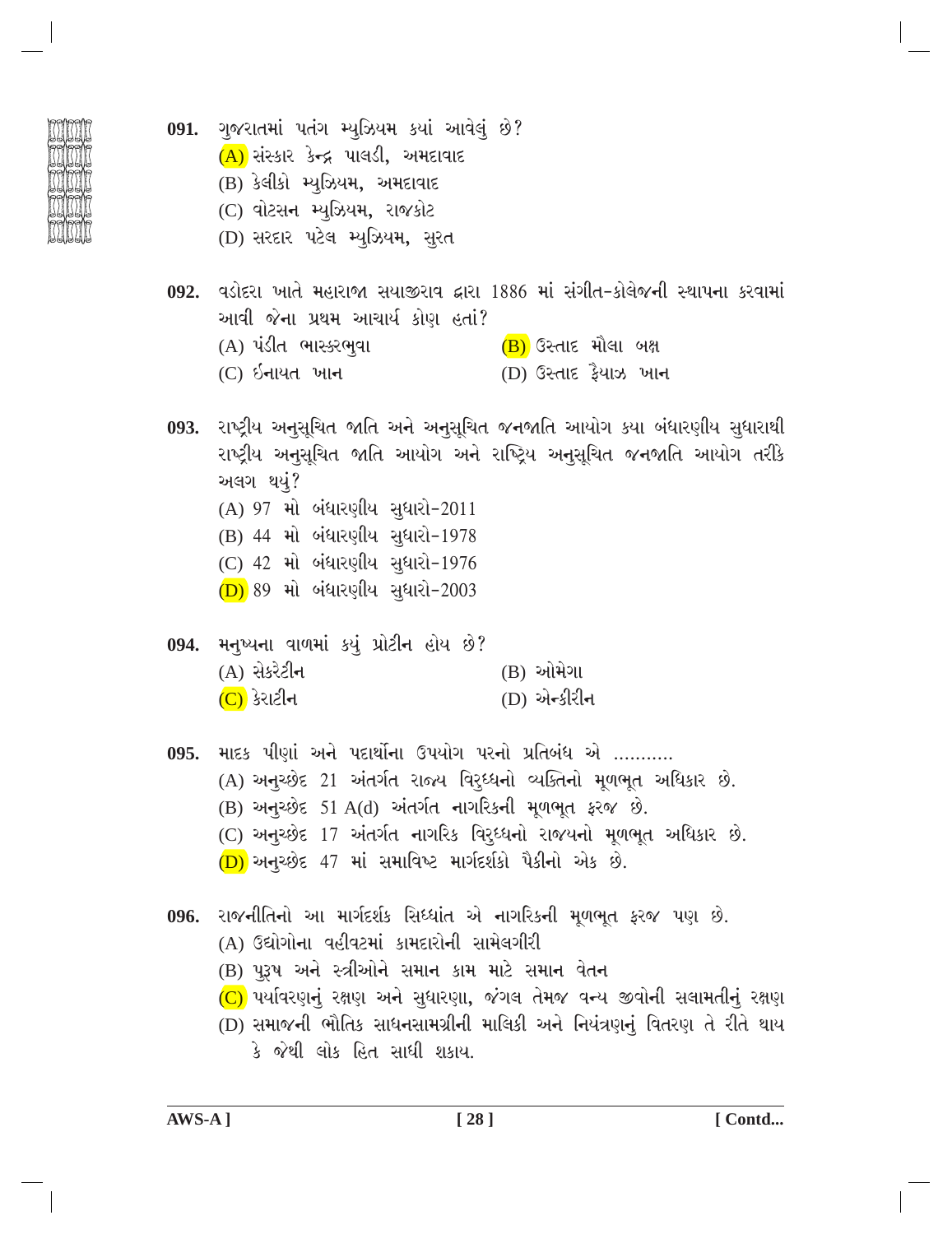091. ગુજરાતમાં પતંગ મ્યુઝિયમ કયાં આવેલું છે?  $(A)$  સંસ્કાર કેન્દ્ર પાલડી, અમદાવાદ (B) કેલીકો મ્યુઝિયમ, અમદાવાદ (C) વોટસન મ્યુઝિયમ, રાજકોટ (D) સરદાર પટેલ મ્યુઝિયમ, સુરત 092. વડોદરા ખાતે મહારાજા સયાજીરાવ દ્વારા 1886 માં સંગીત-કોલેજની સ્થાપના કરવામાં આવી જેના પ્રથમ આચાર્ય કોણ હતાં? (A) પંડીત ભાસ્કરભુવા (B) ઉસ્તાદ મૌલા બક્ષ  $(C)$   $\delta$ નાયત ખાન (D) ઉસ્તાદ કૈયાઝ ખા**ન** 093. રાષ્ટ્રીય અનુસૂચિત જાતિ અને અનુસૂચિત જનજાતિ આયોગ કયા બંધારણીય સુધારાથી રાષ્ટ્રીય અનુસૂચિત જાતિ આયોગ અને રાષ્ટ્રિય અનુસૂચિત જનજાતિ આયોગ તરીકે અલગ થયું? (A) 97 મો બંધારણીય સુધારો-2011 (B) 44 મો બંધારણીય સુધારો-1978 (C) 42 મો બંધારણીય સુધારો-1976 (D) 89 મો બંધારણીય સુધારો-2003 મનુષ્યના વાળમાં કયું પ્રોટીન હોય છે? 094.  $(A)$  સેકરેટીન (B) ઓમેગા  $(C)$  કેરાટીન (D) એન્કીરીન 095. માદક પીણાં અને પદાર્થોના ઉપયોગ પરનો પ્રતિબંધ એ ………. (A) અનુચ્છેદ 21 અંતર્ગત રાજ્ય વિરુધ્ધનો વ્યક્તિનો મૂળભૂત અધિકાર છે.  $(B)$  અનુચ્છેદ 51 A(d) અંતર્ગત નાગરિકની મૂળભૂત ફરજ છે. (C) અનુચ્છેદ 17 અંતર્ગત નાગરિક વિર્*ધ્ધનો રાજયનો મૂળભૂત અધિકાર છે*.  $(D)$  અનુચ્છેદ 47 માં સમાવિષ્ટ માર્ગદર્શકો પૈકીનો એક છે. 096. રાજનીતિનો આ માર્ગદર્શક સિધ્ધાંત એ નાગરિકની મૂળભૂત ફરજ પણ છે. (A) ઉદ્યોગોના વહીવટમાં કામદારોની સામેલગીરી (B) પુરૂષ અને સ્ત્રીઓને સમાન કામ માટે સમાન વેતન (C) પર્યાવરણનું રક્ષણ અને સુધારણા, જંગલ તેમજ વન્ય જીવોની સલામતીનું રક્ષણ (D) સમાજની ભૌતિક સાધનસામગ્રીની માલિકી અને નિયંત્રણનું વિતરણ તે રીતે થાય કે જેથી લોક હિત સાધી શકાય.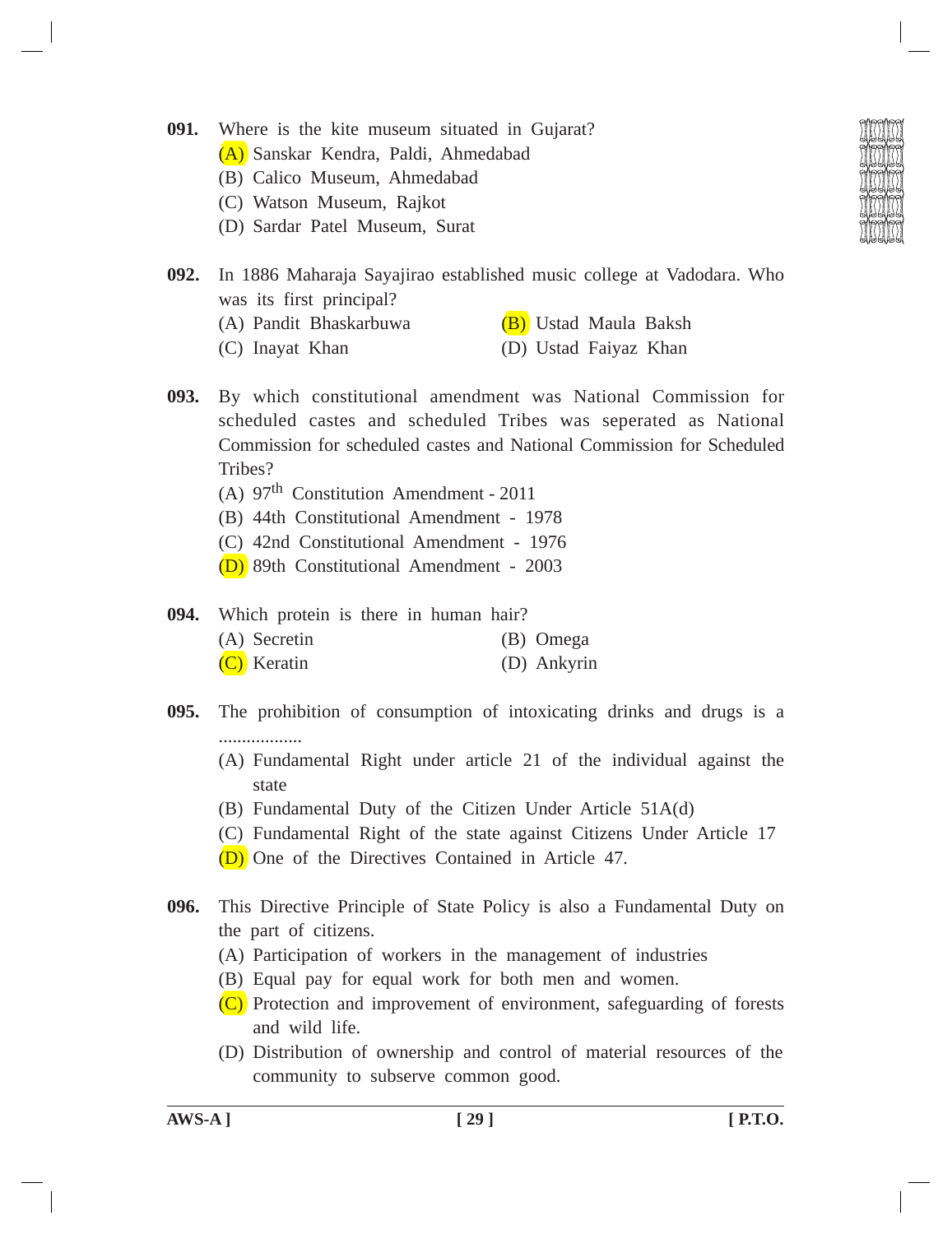- **091.** Where is the kite museum situated in Gujarat?
	- (A) Sanskar Kendra, Paldi, Ahmedabad
	- (B) Calico Museum, Ahmedabad
	- (C) Watson Museum, Rajkot
	- (D) Sardar Patel Museum, Surat

- **092.** In 1886 Maharaja Sayajirao established music college at Vadodara. Who was its first principal?
	- (A) Pandit Bhaskarbuwa (B) Ustad Maula Baksh
	- (C) Inayat Khan (D) Ustad Faiyaz Khan
- **093.** By which constitutional amendment was National Commission for scheduled castes and scheduled Tribes was seperated as National Commission for scheduled castes and National Commission for Scheduled Tribes?
	- (A)  $97<sup>th</sup>$  Constitution Amendment 2011
	- (B) 44th Constitutional Amendment 1978
	- (C) 42nd Constitutional Amendment 1976
	- (D) 89th Constitutional Amendment 2003
- **094.** Which protein is there in human hair? (A) Secretin (B) Omega (C) Keratin (D) Ankyrin
- **095.** The prohibition of consumption of intoxicating drinks and drugs is a ..................
	- (A) Fundamental Right under article 21 of the individual against the state
	- (B) Fundamental Duty of the Citizen Under Article 51A(d)
	- (C) Fundamental Right of the state against Citizens Under Article 17
	- (D) One of the Directives Contained in Article 47.
- **096.** This Directive Principle of State Policy is also a Fundamental Duty on the part of citizens.
	- (A) Participation of workers in the management of industries
	- (B) Equal pay for equal work for both men and women.
	- (C) Protection and improvement of environment, safeguarding of forests and wild life.
	- (D) Distribution of ownership and control of material resources of the community to subserve common good.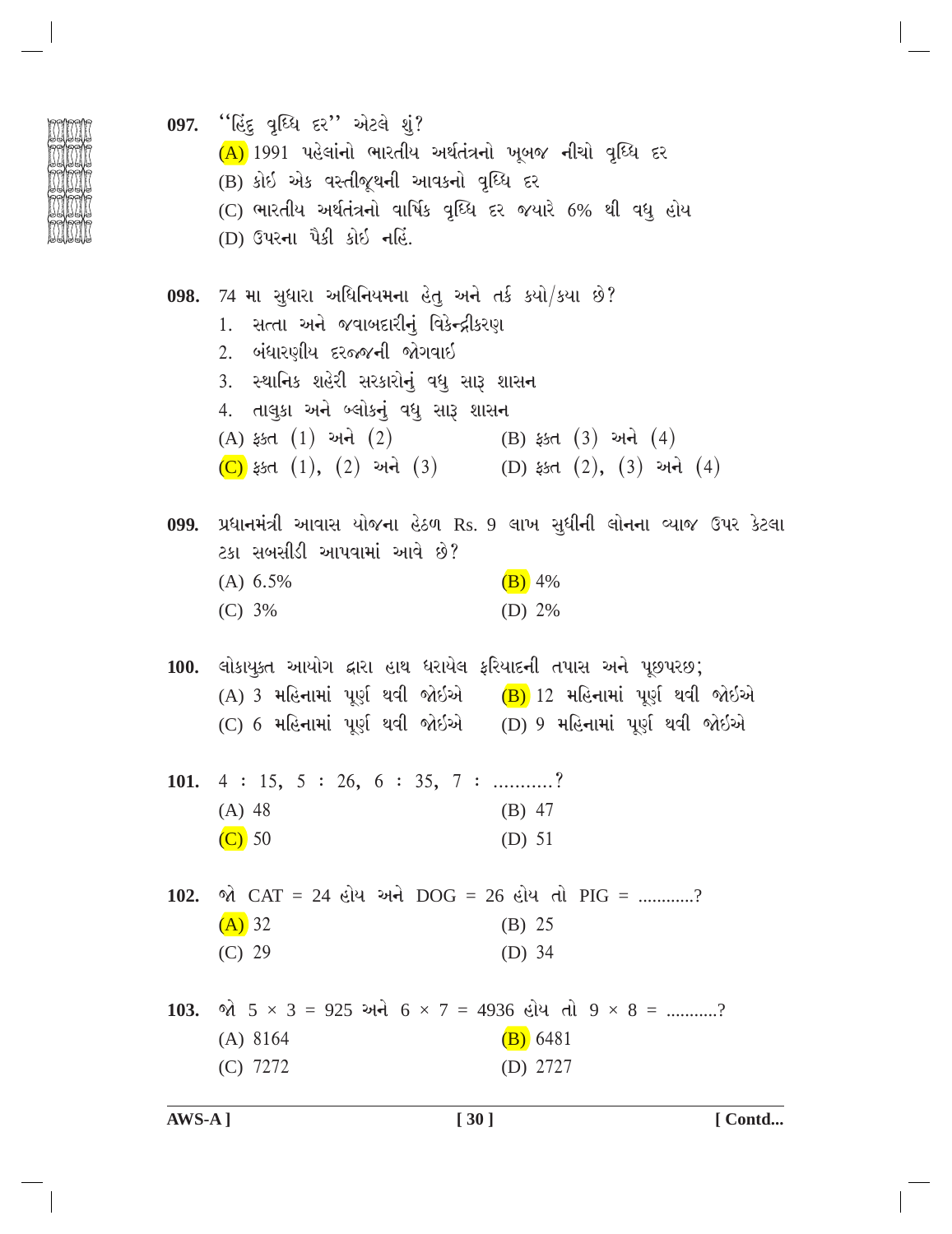| 097. ''હિંદુ વૃધ્ધિ દર'' એટલે શું?<br>(A) 1991 પહેલાંનો ભારતીય અર્થતંત્રનો ખૂબજ નીચો વૃધ્ધિ દર        |                                                                          |
|-------------------------------------------------------------------------------------------------------|--------------------------------------------------------------------------|
| (B) કોઈ એક વસ્તીજૂથની આવકનો વૃધ્ધિ દર<br>(C) ભારતીય અર્થતંત્રનો વાર્ષિક વૃઘ્ધિ દર જયારે 6% થી વધુ હોય |                                                                          |
| (D) ઉપરના પૈકી કોઇ નહિં.                                                                              |                                                                          |
| 098. 74 મા સુધારા અધિનિયમના હેતુ અને તર્ક કર્યો/કયા છે?                                               |                                                                          |
| 1. સત્તા અને જવાબદારીનું વિકેન્દ્રીકરણ                                                                |                                                                          |
| 2. બંધારણીય દરજ્જની જોગવાઈ<br>3.  સ્થાનિક શહેરી સરકારોનું વધુ સારૂ શાસન                               |                                                                          |
| 4. તાલુકા અને બ્લોકનું વધુ સારૂ શાસન                                                                  |                                                                          |
| (A) ફક્ત $(1)$ અને $(2)$ (B) ફક્ત $(3)$ અને $(4)$                                                     |                                                                          |
| (C) ફક્ત $(1)$ , $(2)$ અને $(3)$ (D) ફક્ત $(2)$ , $(3)$ અને $(4)$                                     |                                                                          |
| ટકા સબસીડી આપવામાં આવે છે?                                                                            | 099. પ્રધાનમંત્રી આવાસ યોજના હેઠળ Rs. 9 લાખ સુધીની લોનના વ્યાજ ઉપર કેટલા |
| (A) 6.5%                                                                                              | $(B)$ 4%                                                                 |
| (C) 3%                                                                                                | (D) $2%$                                                                 |
| 100. લોકાયુક્ત આયોગ દ્વારા હાથ ધરાયેલ ફરિયાદની તપાસ અને પૂછપરછ;                                       |                                                                          |
| (A) 3 મહિનામાં પૂર્ણ થવી જોઇએ (B) 12 મહિનામાં પૂર્ણ થવી જોઇએ                                          |                                                                          |
| (C) 6 મહિનામાં પૂર્ણ થવી જોઇએ   (D) 9 મહિનામાં પૂર્ણ થવી જોઇએ                                         |                                                                          |
| 101. $4: 15, 5: 26, 6: 35, 7: \dots$                                                                  |                                                                          |
| $(A)$ 48                                                                                              | $(B)$ 47                                                                 |
| $(C)$ 50                                                                                              | (D) $51$                                                                 |
| 102. જો CAT = 24 હોય અને DOG = 26 હોય તો PIG = ?                                                      |                                                                          |
| $(A)$ 32                                                                                              | (B) 25                                                                   |
| (C) 29                                                                                                | (D) $34$                                                                 |
| 103. જો $5 \times 3 = 925$ અને $6 \times 7 = 4936$ હોય તો $9 \times 8 =$ ?                            |                                                                          |
| $(A)$ 8164                                                                                            | (B) 6481                                                                 |
| (C) 7272                                                                                              | (D) 2727                                                                 |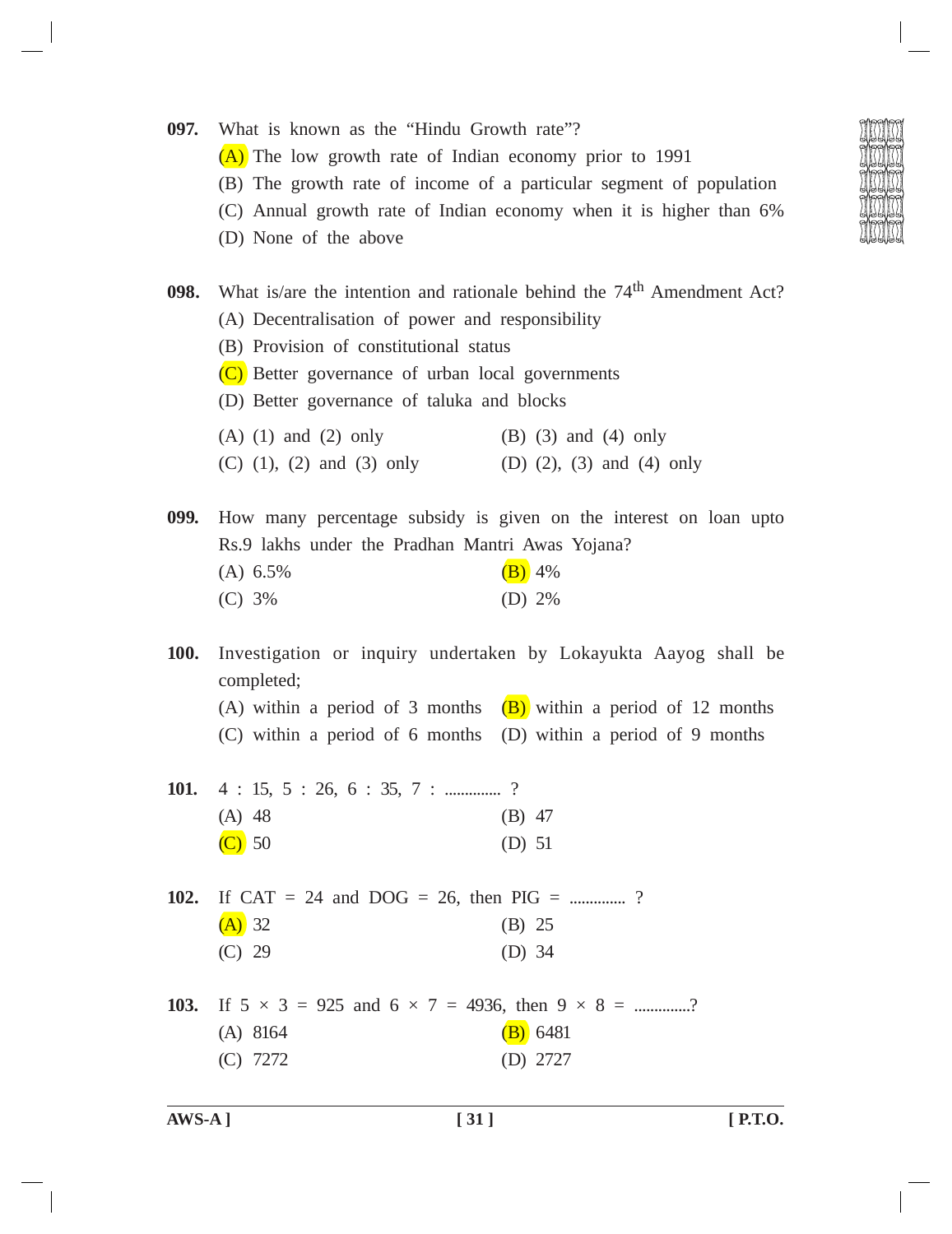- **097.** What is known as the "Hindu Growth rate"?
	- (A) The low growth rate of Indian economy prior to 1991
	- (B) The growth rate of income of a particular segment of population
	- (C) Annual growth rate of Indian economy when it is higher than 6%
	- (D) None of the above
- **098.** What is/are the intention and rationale behind the 74<sup>th</sup> Amendment Act?
	- (A) Decentralisation of power and responsibility
	- (B) Provision of constitutional status
	- (C) Better governance of urban local governments
	- (D) Better governance of taluka and blocks
	- $(A)$  (1) and (2) only (B) (3) and (4) only
	- (C) (1), (2) and (3) only (D) (2), (3) and (4) only

**099.** How many percentage subsidy is given on the interest on loan upto Rs.9 lakhs under the Pradhan Mantri Awas Yojana? (A)  $6.5\%$  (B)  $4\%$ 

| (C) 3%<br>(D) $2\%$ |  |
|---------------------|--|
|                     |  |

**100.** Investigation or inquiry undertaken by Lokayukta Aayog shall be completed;

- (A) within a period of 3 months  $(B)$  within a period of 12 months
- (C) within a period of 6 months (D) within a period of 9 months
- **101.** 4 : 15, 5 : 26, 6 : 35, 7 : ..................? (A) 48 (B) 47 (C) 50 (D) 51

**102.** If CAT = 24 and DOG = 26, then PIG = ................?  $(A)$  32 (B) 25 (C) 29 (D) 34

**103.** If  $5 \times 3 = 925$  and  $6 \times 7 = 4936$ , then  $9 \times 8 =$  ...............? (A) 8164 (B) 6481 (C) 7272 (D) 2727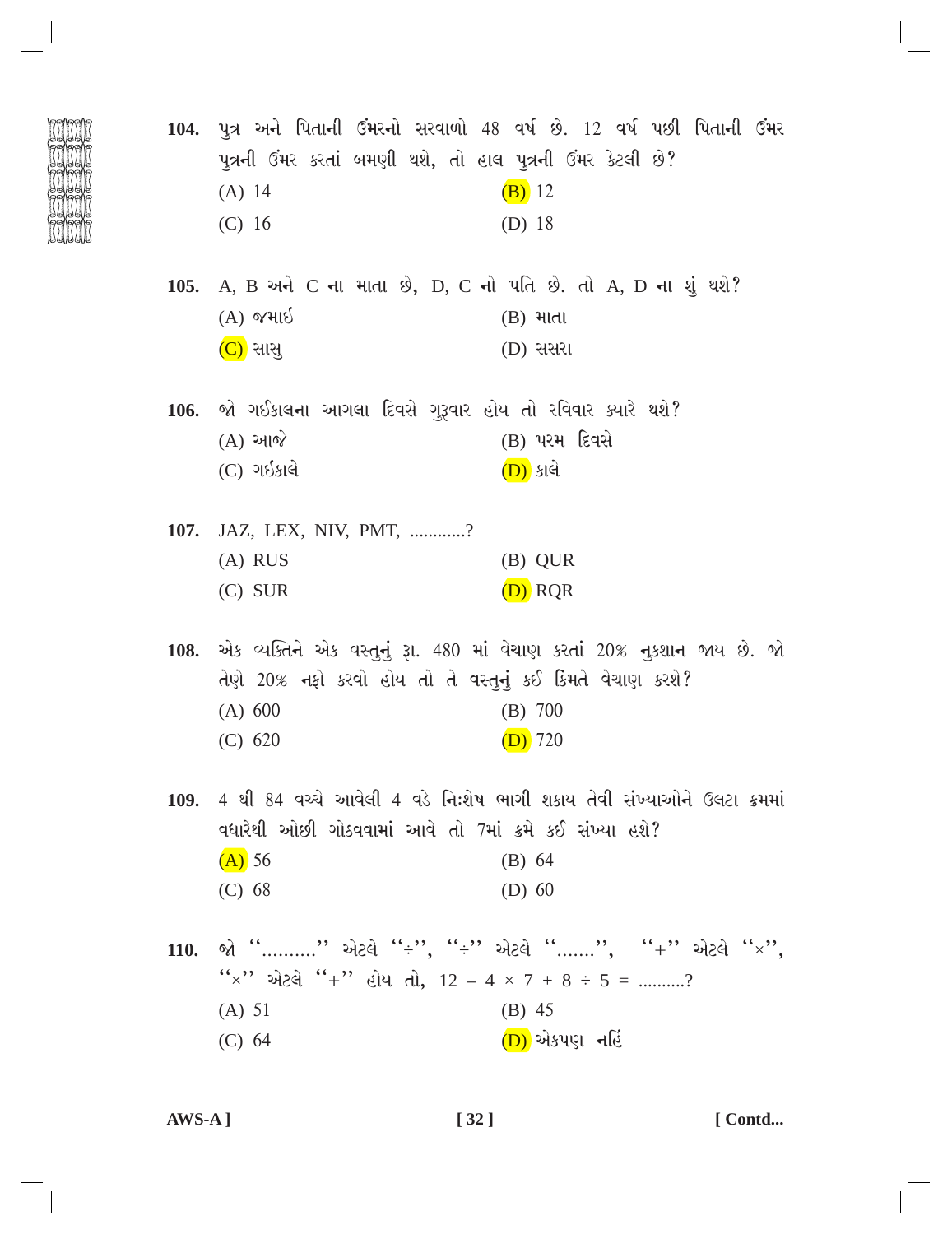|             | પુત્રની ઉમર કરતાં બમણી થશે, તો હાલ પુત્રની ઉમર કેટલી છે?        | 104. પુત્ર અને પિતાની ઉંમરનો સરવાળો 48 વર્ષ છે. 12 વર્ષ પછી પિતાની ઉંમર      |
|-------------|-----------------------------------------------------------------|------------------------------------------------------------------------------|
|             | (A) 14                                                          | $(B)$ 12                                                                     |
|             | (C) 16                                                          | (D) 18                                                                       |
|             | 105. A, B અને C ના માતા છે, D, C નો પતિ છે. તો A, D ના શું થશે? |                                                                              |
|             | $(A)$ જમાઈ                                                      | $(B)$ માતા                                                                   |
|             | $(C)$ સાસુ                                                      | $(D)$ સસરા                                                                   |
|             | 106. જો ગઈકાલના આગલા દિવસે ગુરૂવાર હોય તો રવિવાર ક્યારે થશે?    |                                                                              |
|             | $(A)$ આજે                                                       | (B) પરમ દિવસે                                                                |
|             | $(C)$ ગઈકાલે                                                    | <u>(D)</u> કાલે                                                              |
| <b>107.</b> | JAZ, LEX, NIV, PMT, ?                                           |                                                                              |
|             | $(A)$ RUS                                                       | (B) QUR                                                                      |
|             | $(C)$ SUR                                                       | $(D)$ RQR                                                                    |
|             | તેણે 20% નફો કરવો હોય તો તે વસ્તુનું કઈ કિંમતે વેચાણ કરશે?      | 108. એક વ્યક્તિને એક વસ્તુનું રૂા. 480 માં વેચાણ કરતાં 20% નુકશાન જાય છે. જો |
|             | (A) 600                                                         | $(B)$ 700                                                                    |
|             | (C) 620                                                         | $(D)$ 720                                                                    |
|             | વધારેથી ઓછી ગોઠવવામાં આવે તો 7માં ક્રમે કઈ સંખ્યા હશે?          | 109. 4 થી 84 વચ્ચે આવેલી 4 વડે નિઃશેષ ભાગી શકાય તેવી સંખ્યાઓને ઉલટા ક્રમમાં  |
|             | $(A)$ 56                                                        | (B) 64                                                                       |
|             | (C) 68                                                          | $(D)$ 60                                                                     |
| <b>110.</b> |                                                                 | જો " " એટલે "÷", "÷" એટલે "", "+" એટલે "×",                                  |
|             | "x" એટલે "+" હોય તો, $12 - 4 \times 7 + 8 \div 5 =$ ?           |                                                                              |
|             | (A) 51                                                          | $(B)$ 45                                                                     |
|             | (C) 64                                                          | (D) એકપણ નહિં                                                                |
|             |                                                                 |                                                                              |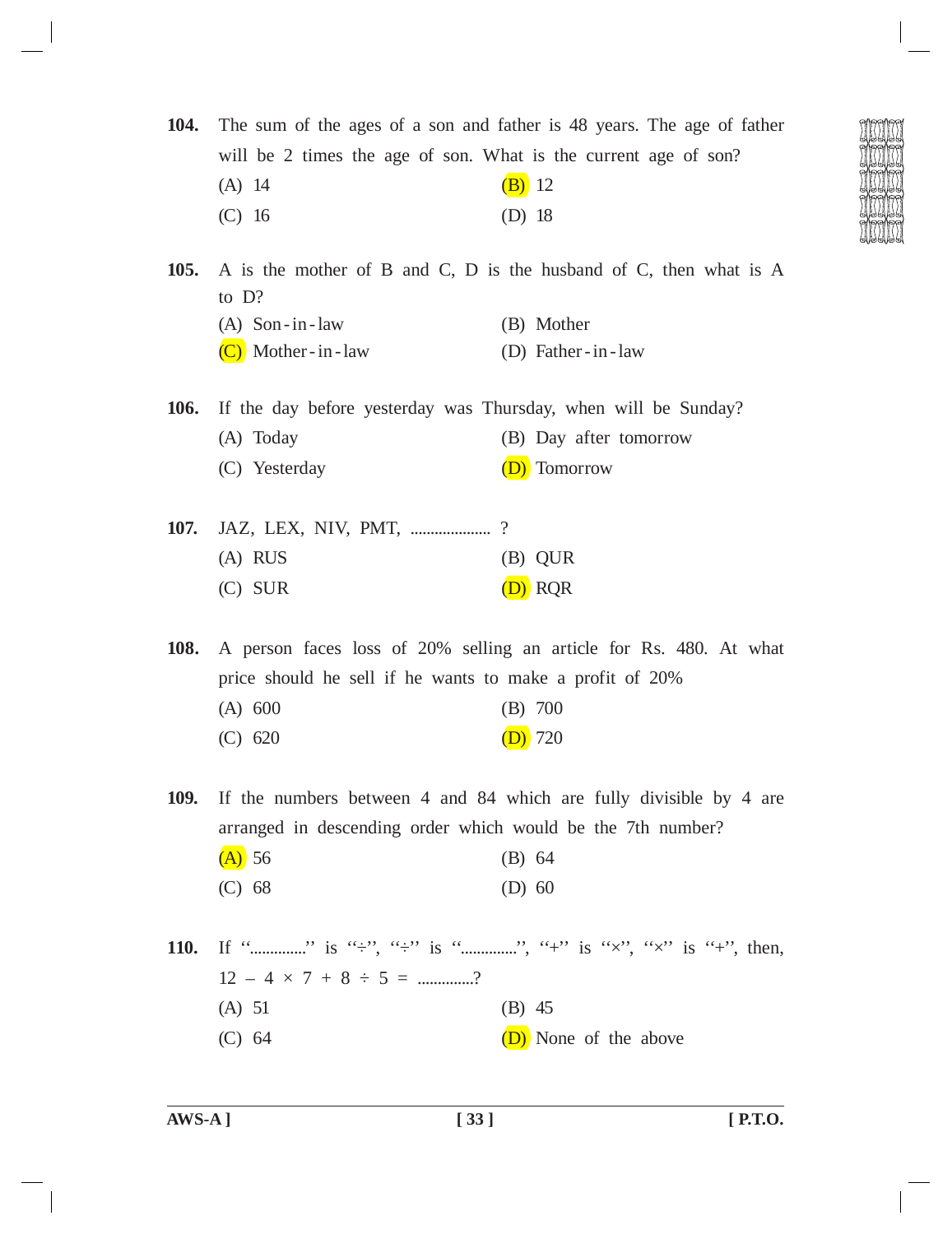**104.** The sum of the ages of a son and father is 48 years. The age of father will be 2 times the age of son. What is the current age of son? (A) 14 (B) 12 (C) 16 (D) 18 **105.** A is the mother of B and C, D is the husband of C, then what is A to D? (A) Son -in -law (B) Mother

 $(C)$  Mother-in-law  $(D)$  Father-in-law

**106.** If the day before yesterday was Thursday, when will be Sunday? (A) Today (B) Day after tomorrow

- (C) Yesterday (D) Tomorrow
- **107.** JAZ, LEX, NIV, PMT, ........................? (A) RUS (B) QUR (C) SUR (D) RQR

**108.** A person faces loss of 20% selling an article for Rs. 480. At what price should he sell if he wants to make a profit of 20% (A) 600 (B) 700 (C) 620 (D) 720

**109.** If the numbers between 4 and 84 which are fully divisible by 4 are arranged in descending order which would be the 7th number?

| $(A)$ 56 | (B) 64   |  |
|----------|----------|--|
| (C) 68   | $(D)$ 60 |  |

**110.** If ''..............'' is ''÷'', ''÷'' is ''..............'', ''+'' is ''×'', ''×'' is ''+'', then,  $12 - 4 \times 7 + 8 \div 5 =$  ..............? (A) 51 (B) 45 (C)  $64$  (D) None of the above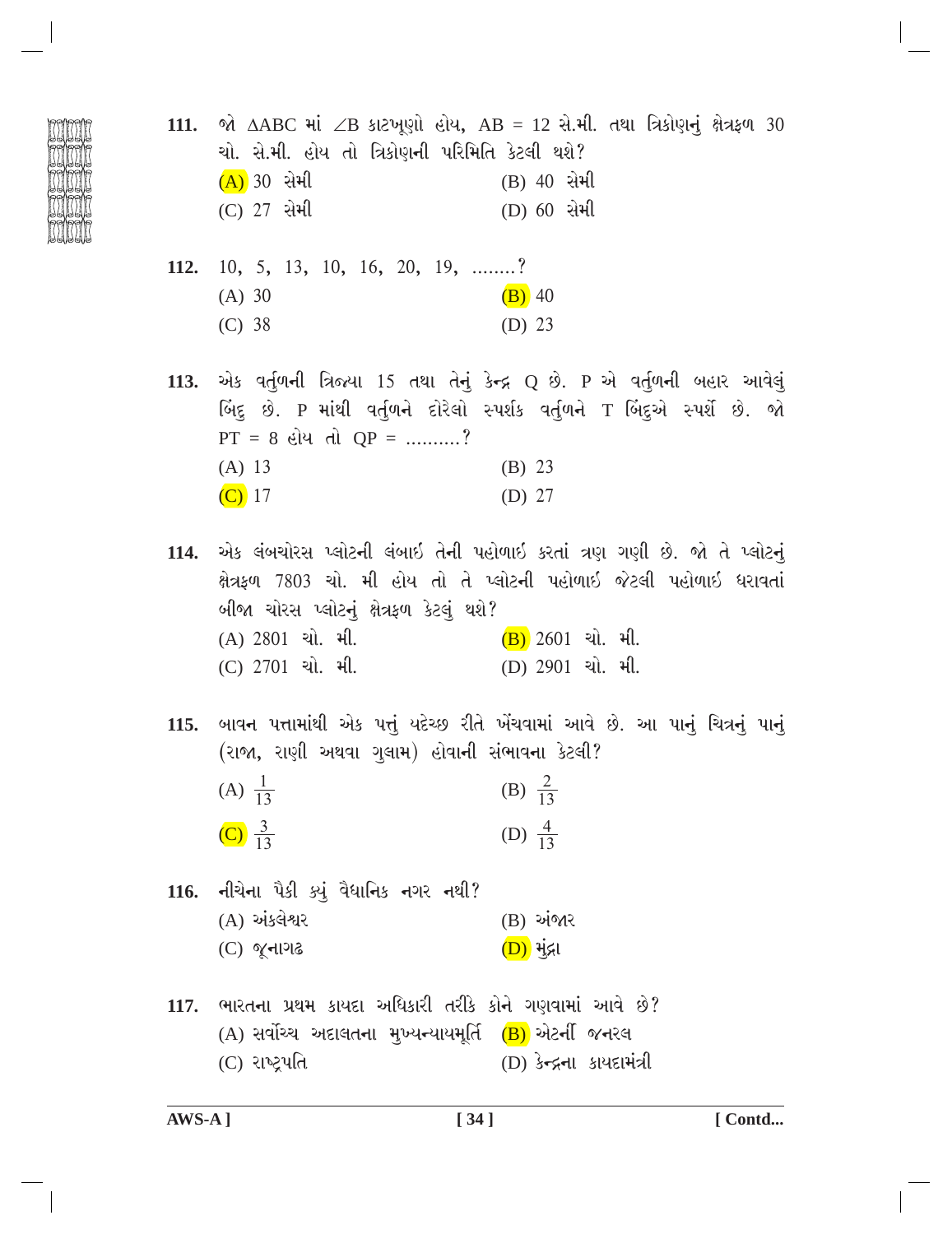111. જો  $\triangle$ ABC માં  $\angle$ B કાટખૂણો હોય, AB = 12 સે.મી. તથા ત્રિકોણનું ક્ષેત્રફળ 30 ચો. સે.મી. હોય તો ત્રિકોણની પરિમિતિ કેટલી થશે?  $(A)$  30 સેમી (B) 40 સેમી  $(C)$  27 સેમી (D) 60 સેમી

- 112. 10, 5, 13, 10, 16, 20, 19, ........?  $(A) 30$  $(B)$  40  $(C) 38$  $(D)$  23
- એક વર્તુળની ત્રિજ્યા 15 તથા તેનું કેન્દ્ર Q છે. P એ વર્તુળની બહાર આવેલું 113. બિંદુ છે. P માંથી વર્તુળને દોરેલો સ્પર્શક વર્તુળને T બિંદુએ સ્પર્શે છે. જો  $PT = 8$  હોય તો  $QP =$  ..........?  $(A) 13$  $(B) 23$  $(C)$  17  $(D)$  27

114. એક લંબચોરસ પ્લોટની લંબાઇ તેની પહોળાઇ કરતાં ત્રણ ગણી છે. જો તે પ્લોટનું ક્ષેત્રફળ 7803 ચો. મી હોય તો તે પ્લોટની પહોળાઈ જેટલી પહોળાઈ ધરાવતાં બીજા ચોરસ પ્લોટનું ક્ષેત્રફળ કેટલું થશે? (A) 2801 ચો. મી.  $(B)$  2601 ચો. મી. (C) 2701 ચો. મી. (D) 2901 ચો. મી.

115. બાવન પત્તામાંથી એક પત્તું યદેચ્છ રીતે ખેંચવામાં આવે છે. આ પાનું ચિત્રનું પાનું (રાજા, રાણી અથવા ગુલામ) હોવાની સંભાવના કેટલી? (A)  $\frac{1}{13}$ (B)  $\frac{2}{13}$ 

116. નીચેના પૈકી ક્યું વૈધાનિક નગર નથી?  $(A)$  અંકલેશ્વર (B) અંજાર  $(C)$  જૂનાગઢ  $(D)$  મંદ્રા

117. ભારતના પ્રથમ કાયદા અધિકારી તરીકે કોને ગણવામાં આવે છે? (A) સર્વોચ્ચ અદાલતના મુખ્યન્યાયમૂર્તિ (B) એટર્ની જનરલ (C) રાષ્ટ્રપતિ (D) કેન્દ્રના કાયદામંત્રી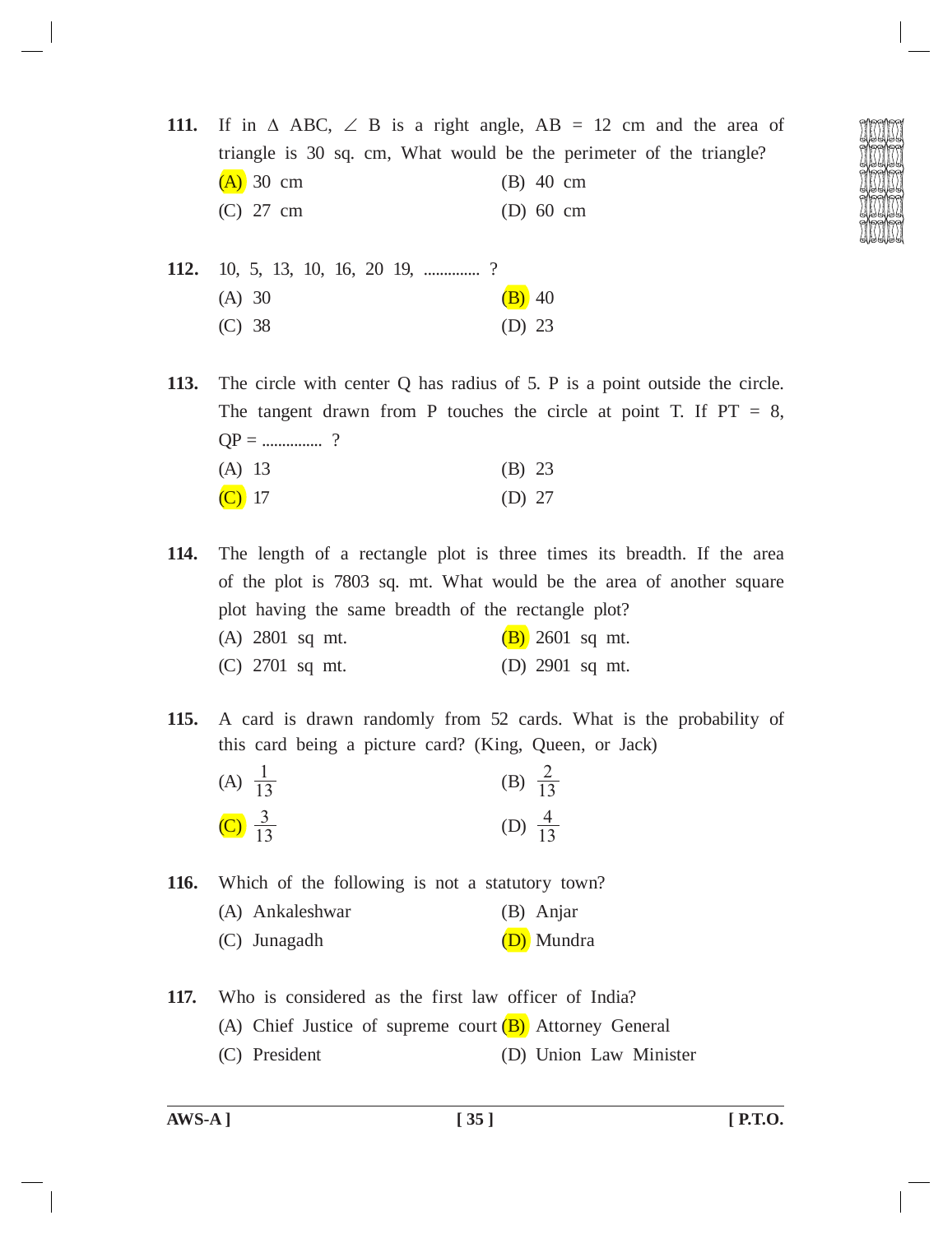**111.** If in  $\triangle$  ABC,  $\angle$  B is a right angle, AB = 12 cm and the area of triangle is 30 sq. cm, What would be the perimeter of the triangle?  $(A)$  30 cm (B) 40 cm (C) 27 cm (D) 60 cm

**112.** 10, 5, 13, 10, 16, 20 19, ..................? (A) 30 (B) 40 (C) 38 (D) 23

 $(C)$  17 (D) 27

**113.** The circle with center Q has radius of 5. P is a point outside the circle. The tangent drawn from P touches the circle at point T. If  $PT = 8$ ,  $QP =$ .....................? (A) 13 (B) 23

- **114.** The length of a rectangle plot is three times its breadth. If the area of the plot is 7803 sq. mt. What would be the area of another square plot having the same breadth of the rectangle plot? (A) 2801 sq mt.  $(B)$  2601 sq mt. (C) 2701 sq mt. (D) 2901 sq mt.
- **115.** A card is drawn randomly from 52 cards. What is the probability of this card being a picture card? (King, Queen, or Jack)
	- (A)  $\frac{1}{13}$  $\frac{1}{13}$  (B)  $\frac{2}{13}$ (C)  $\frac{3}{13}$  $\frac{3}{13}$  (D)  $\frac{4}{13}$

**116.** Which of the following is not a statutory town?

- (A) Ankaleshwar (B) Anjar
- (C) Junagadh (D) Mundra
- **117.** Who is considered as the first law officer of India? (A) Chief Justice of supreme court  $(B)$  Attorney General (C) President (D) Union Law Minister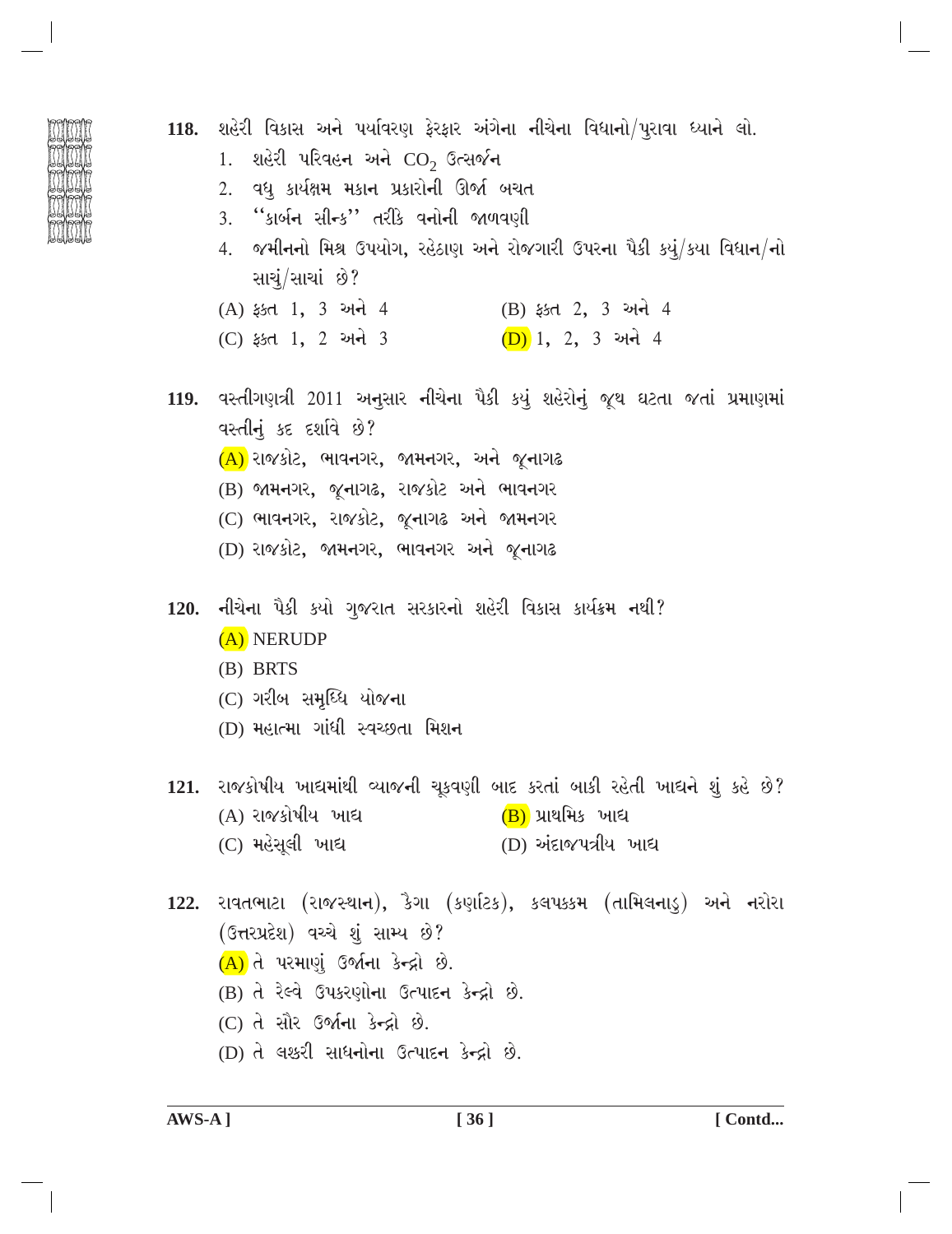| ij<br>ī<br>β<br>ŀz | (F)<br>I |  |
|--------------------|----------|--|
| Ē<br>ŋ<br>h        | ø        |  |
| ť<br>b<br>Œ        | ම        |  |
| į<br>β<br>仨        | ම        |  |
| į<br>ή             |          |  |

- 118. શહેરી વિકાસ અને પર્યાવરણ ફેરફાર અંગેના નીચેના વિધાનો/પુરાવા ધ્યાને લો.
	- 1. શહેરી પરિવહન અને  $CO<sub>2</sub>$  ઉત્સર્જન
	- 2. વધ કાર્યક્ષમ મકાન પ્રકારોની ઊર્જા બચત
	- ''કાર્બન સીન્ક'' તરીકે વનોની જાળવણી  $3.$
	- 4. જમીનનો મિશ્ર ઉપયોગ, રહેઠાણ અને રોજગારી ઉપરના પૈકી કયું/કયા વિધાન/નો સાચં/સાચાં છે?
	- (A) ફક્ત 1, 3 અને 4 (B) ફક્ત 2, 3 અને 4
	- (D) 1, 2, 3 અને 4 (C) ફક્ત 1, 2 અને 3
- 119. વસ્તીગણત્રી 2011 અનુસાર નીચેના પૈકી કયું શહેરોનું જૂથ ઘટતા જતાં પ્રમાણમાં **9** पस्तीनं કદ દર્શાવે છે?
	- $(A)$  રાજકોટ, ભાવનગર, જામનગર, અને જૂનાગઢ
	- (B) જામનગર, જુનાગઢ, રાજકોટ અને ભાવનગર
	- (C) ભાવનગર, રાજકોટ, જૂનાગઢ અને જામનગર
	- (D) રાજકોટ, જામનગર, ભાવનગર અને જૂનાગઢ
- 120. નીચેના પૈકી કયો ગુજરાત સરકારનો શહેરી વિકાસ કાર્યક્રમ નથી? (A) NERUDP
	- $(B)$  BRTS
	- (C) ગરીબ સમધ્ધિ યોજના
	- (D) મહાત્મા ગાંધી સ્વચ્છતા મિશન
- 121. રાજકોષીય ખાદ્યમાંથી વ્યાજની ચૂકવણી બાદ કરતાં બાકી રહેતી ખાદ્યને શું કહે છે? (A) રાજકોષીય ખાદ્ય (B) પ્રાથમિક ખાદ્ય (D) અંદાજપત્રીય ખાદ્ય (C) મહેસુલી ખાદ્ય
- 122. રાવતભાટા (રાજસ્થાન), કૈગા (કર્ણાટક), કલપક્કમ (તામિલનાડુ) અને નરોરા (ઉત્તરપ્રદેશ) વચ્ચે શું સામ્ય છે?  $(A)$  તે પરમાણું ઉર્જાના કેન્દ્રો છે.
	- (B) તે રેલ્વે ઉપકરણોના ઉત્પાદન કેન્દ્રો છે.
	- (C) તે સૌર ઉર્જાના કેન્દ્રો છે.
	- (D) તે લશ્કરી સાધનોના ઉત્પાદન કેન્દ્રો છે.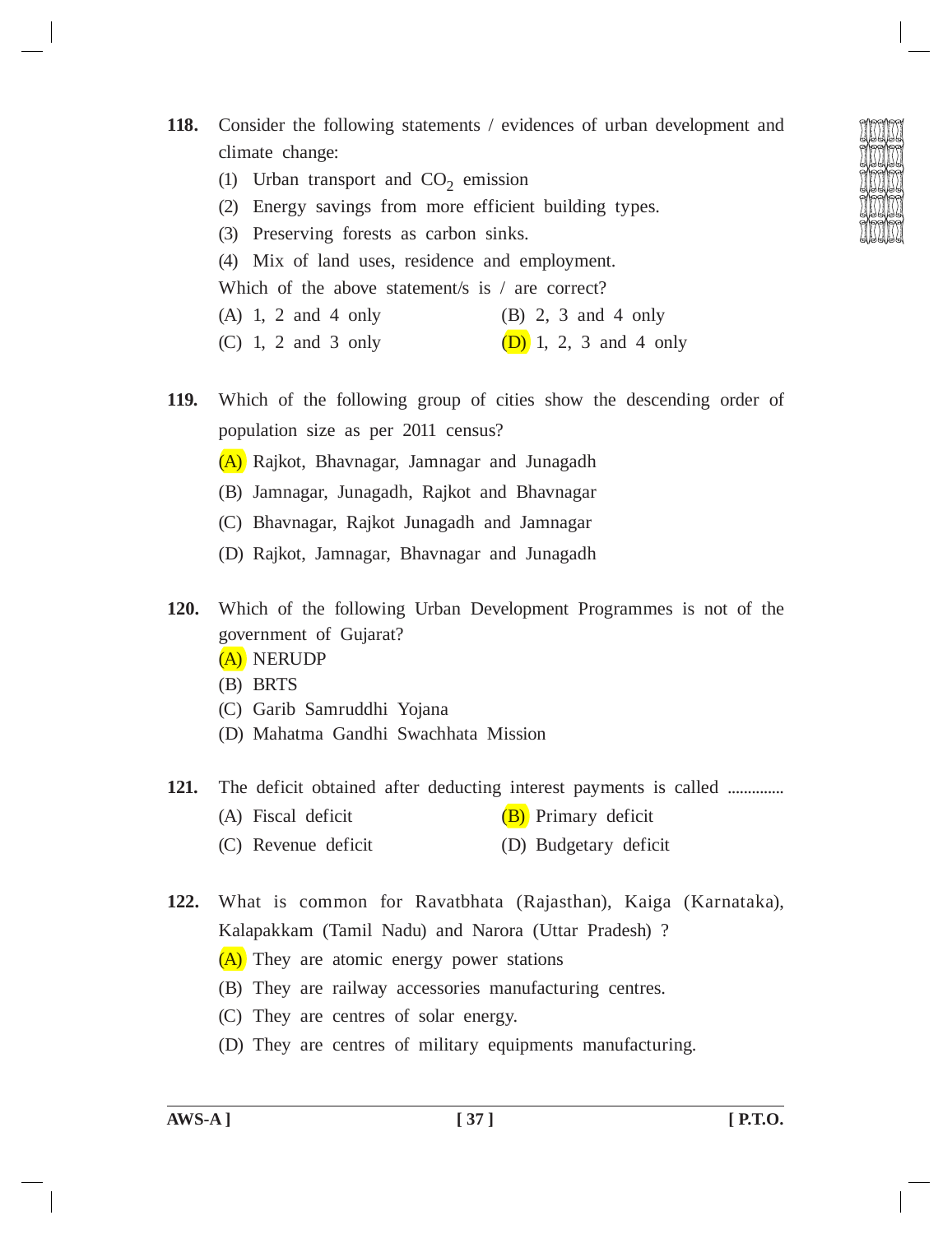- (1) Urban transport and  $CO<sub>2</sub>$  emission
- (2) Energy savings from more efficient building types.
- (3) Preserving forests as carbon sinks.
- (4) Mix of land uses, residence and employment.

Which of the above statement/s is / are correct?

- (A) 1, 2 and 4 only (B) 2, 3 and 4 only
- (C) 1, 2 and 3 only (D) 1, 2, 3 and 4 only
- **119.** Which of the following group of cities show the descending order of population size as per 2011 census?
	- (A) Rajkot, Bhavnagar, Jamnagar and Junagadh
	- (B) Jamnagar, Junagadh, Rajkot and Bhavnagar
	- (C) Bhavnagar, Rajkot Junagadh and Jamnagar
	- (D) Rajkot, Jamnagar, Bhavnagar and Junagadh
- **120.** Which of the following Urban Development Programmes is not of the government of Gujarat?
	- (A) NERUDP
	- (B) BRTS
	- (C) Garib Samruddhi Yojana
	- (D) Mahatma Gandhi Swachhata Mission

## **121.** The deficit obtained after deducting interest payments is called ..............

- (A) Fiscal deficit  $(B)$  Primary deficit
- (C) Revenue deficit (D) Budgetary deficit
- **122.** What is common for Ravatbhata (Rajasthan), Kaiga (Karnataka), Kalapakkam (Tamil Nadu) and Narora (Uttar Pradesh) ?
	- (A) They are atomic energy power stations
	- (B) They are railway accessories manufacturing centres.
	- (C) They are centres of solar energy.
	- (D) They are centres of military equipments manufacturing.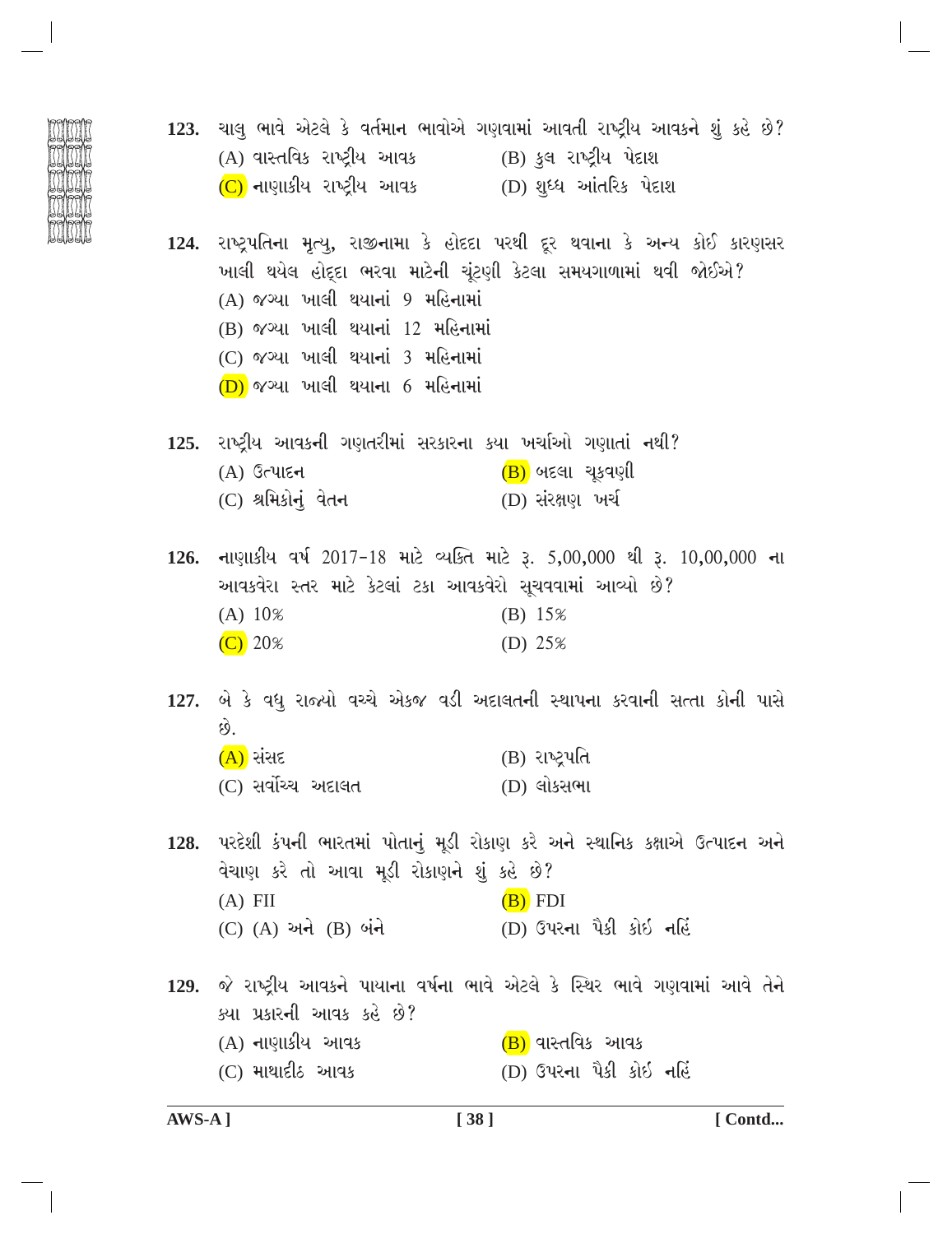- 123. ચાલુ ભાવે એટલે કે વર્તમાન ભાવોએ ગણવામાં આવતી રાષ્ટ્રીય આવકને શું કહે છે?  $(A)$  વાસ્તવિક રાષ્ટ્રીય આવક (B) કુલ રાષ્ટ્રીય પેદાશ (C) નાણાકીય રાષ્ટ્રીય આવક \_\_ (D) શુધ્ધ આંતરિક પેદાશ
	- 124. રાષ્ટ્રપતિના મૃત્યુ, રાજીનામા કે હોદદા પરથી દૂર થવાના કે અન્ય કોઈ કારણસર ખાલી થયેલ હોદ્દા ભરવા માટેની ચૂંટણી કેટલા સમયગાળામાં થવી જોઈએ? (A) જગ્યા ખાલી થયાનાં 9 મહિનામાં (B) જગ્યા ખાલી થયાનાં 12 મહિનામાં (C) જગ્યા ખાલી થયાનાં 3 મહિનામાં  $(D)$  જગ્યા ખાલી થયાના 6 મહિનામાં
	- 125. રાષ્ટ્રીય આવકની ગણતરીમાં સરકારના કયા ખર્ચાઓ ગણાતાં નથી?  $(B)$  બદલા ચકવણી  $(A)$  ઉત્પાદન (C) શ્રમિકોનું વેતન (D) સંરક્ષણ ખર્ચ
	- 126. નાણાકીય વર્ષ 2017-18 માટે વ્યક્તિ માટે રૂ. 5,00,000 થી રૂ. 10,00,000 ના આવકવેરા સ્તર માટે કેટલાં ટકા આવકવેરો સુચવવામાં આવ્યો છે?  $(A) 10%$  $(B) 15%$  $\overline{(C)}$  20% (D)  $25%$
	- 127. બે કે વધુ રાજ્યો વચ્ચે એકજ વડી અદાલતની સ્થાપના કરવાની સત્તા કોની પાસે  $\hat{8}$ . (B) રાષ્ટ્રપતિ  $(A)$  સંસદ (C) સર્વોચ્ચ અદાલત (D) લોકસભા

128. પરદેશી કંપની ભારતમાં પોતાનું મૂડી રોકાણ કરે અને સ્થાનિક કક્ષાએ ઉત્પાદન અને વેચાણ કરે તો આવા મૂડી રોકાણને શું કહે છે?  $(A)$  FII  $(B)$  FDI (C) (A) અને (B) બંને (D) ઉપરના પૈકી કોઇ નહિં

129. જે રાષ્ટ્રીય આવકને પાયાના વર્ષના ભાવે એટલે કે સ્થિર ભાવે ગણવામાં આવે તેને ક્યા પ્રકારની આવક કહે છે? (A) નાણાકીય આવક  $(B)$  વાસ્તવિક આવક  $(C)$  માથાદી $\delta$  આવક (D) ઉપરના પૈકી કોઇ નહિં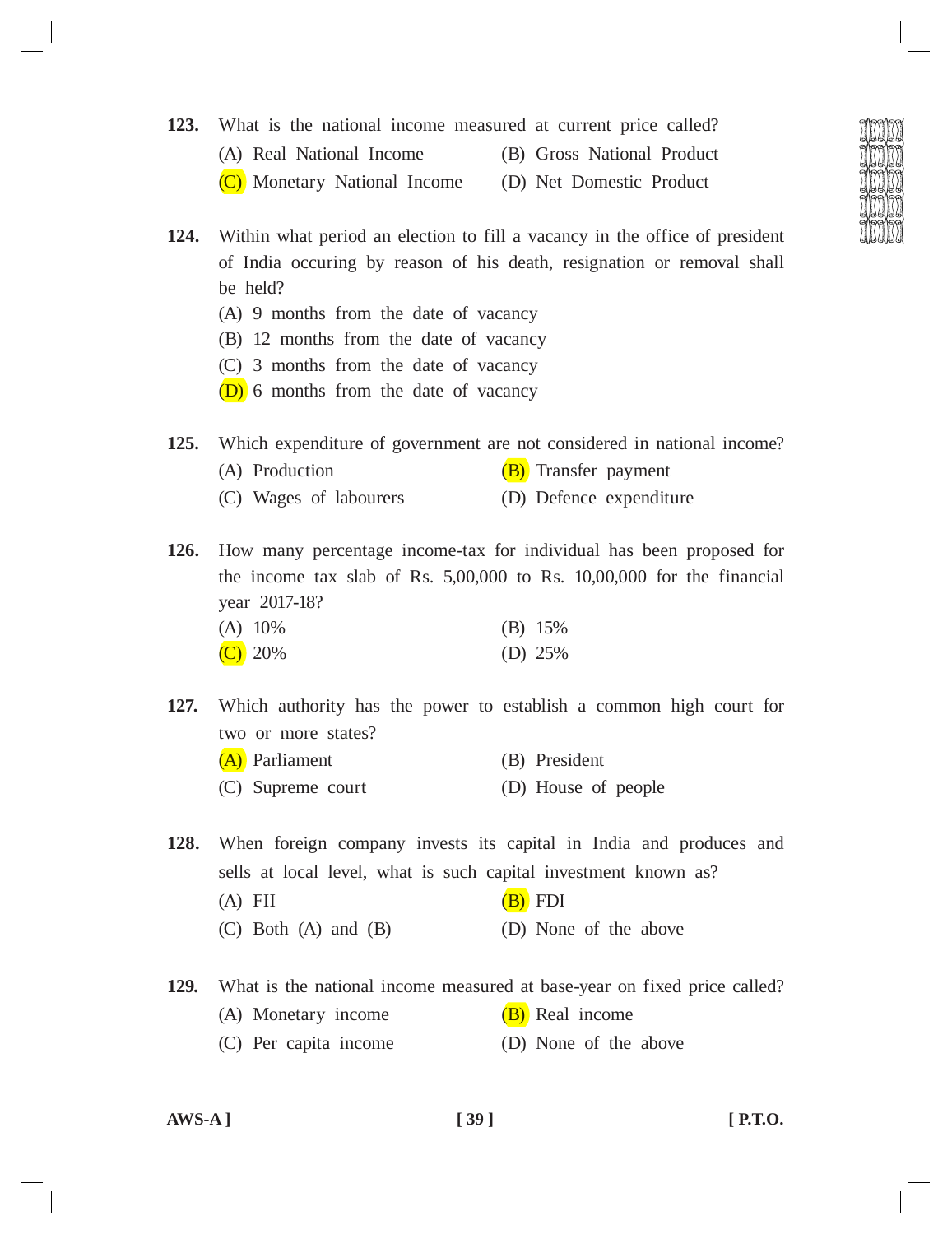- **123.** What is the national income measured at current price called?
	- (A) Real National Income (B) Gross National Product
		-
	- (C) Monetary National Income (D) Net Domestic Product
- **124.** Within what period an election to fill a vacancy in the office of president of India occuring by reason of his death, resignation or removal shall be held?
	- (A) 9 months from the date of vacancy
	- (B) 12 months from the date of vacancy
	- (C) 3 months from the date of vacancy
	- (D) 6 months from the date of vacancy

|  | 125. Which expenditure of government are not considered in national income? |  |  |  |  |
|--|-----------------------------------------------------------------------------|--|--|--|--|
|  |                                                                             |  |  |  |  |

- (A) Production  $(B)$  Transfer payment
- (C) Wages of labourers (D) Defence expenditure

**126.** How many percentage income-tax for individual has been proposed for the income tax slab of Rs. 5,00,000 to Rs. 10,00,000 for the financial year 2017-18?

| (A) 10%   | $(B)$ 15% |
|-----------|-----------|
| $(C)$ 20% | (D) $25%$ |

- **127.** Which authority has the power to establish a common high court for two or more states?
	- (A) Parliament (B) President (C) Supreme court (D) House of people

**128.** When foreign company invests its capital in India and produces and sells at local level, what is such capital investment known as?

- (A) FII  $(B)$  FDI
- (C) Both (A) and (B) (D) None of the above

**129.** What is the national income measured at base-year on fixed price called?

- (A) Monetary income  $(B)$  Real income
- (C) Per capita income (D) None of the above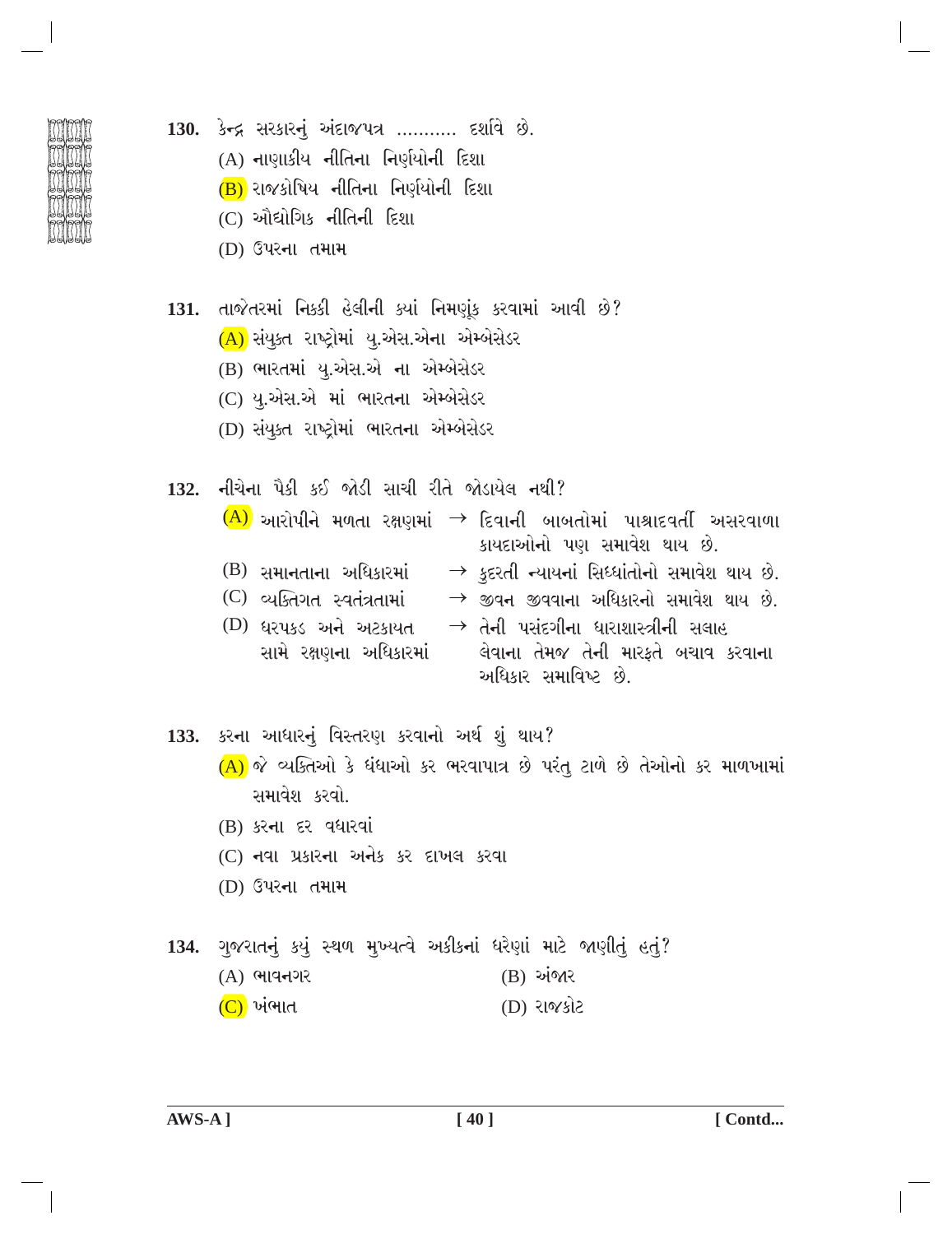- 
- 130. કેન્દ્ર સરકારનું અંદાજપત્ર ........... દર્શાવે છે.
	- (A) નાણાકીય નીતિના નિર્ણયોની દિશા
	- $(B)$  રાજકોષિય નીતિના નિર્ણયોની દિશા
	- $(C)$  ઔદ્યોગિક નીતિની દિશા
	- (D) ઉપરના તમામ
- 131. તાજેતરમાં નિક્કી હેલીની ક્યાં નિમણૂંક કરવામાં આવી છે? (A) સંયુક્ત રાષ્ટ્રોમાં યુ.એસ.એના એમ્બેસેડર
	- (B) ભારતમાં યુ.એસ.એ ના એમ્બેસેડર
	- (C) યુ.એસ.એ માં ભારતના એમ્બેસેડર
	- (D) સંયુક્ત રાષ્ટ્રોમાં ભારતના એમ્બેસેડર

132. નીચેના પૈકી કઈ જોડી સાચી રીતે જોડાયેલ નથી?

 $\overline{(A)}$  આરોપીને મળતા રક્ષણમાં  $\rightarrow$  દિવાની બાબતોમાં પાશ્રાદવર્તી અસરવાળા કાયદાઓનો પણ સમાવેશ થાય છે.

- (B) સમાનતાના અધિકારમાં  $\rightarrow$  કુદરતી ન્યાયનાં સિધ્ધાંતોનો સમાવેશ થાય છે.
- $\rightarrow$  જીવન જીવવાના અધિકારનો સમાવેશ થાય છે. (C) વ્યક્તિગત સ્વતંત્રતામાં
- $\;\rightarrow$  તેની પસંદગીના ધારાશાસ્ત્રીની સલાહ (D) ઘરપકડ અને અટકાયત લેવાના તેમજ તેની મારફતે બચાવ કરવાના સામે રક્ષણના અધિકારમાં અધિકાર સમાવિષ્ટ છે.

133. કરના આધારનું વિસ્તરણ કરવાનો અર્થ શું થાય?  $(A)$  જે વ્યક્તિઓ કે ધંધાઓ કર ભરવાપાત્ર છે પરંત ટાળે છે તેઓનો કર માળખામાં સમાવેશ કરવો.

- (B) કરના દર વધારવાં
- (C) નવા પ્રકારના અનેક કર દાખલ કરવા
- (D) ઉપરના તમામ
- 134. ગુજરાતનું કયું સ્થળ મુખ્યત્વે અકીકનાં ધરેણાં માટે જાણીતું હતું? (B) અંજાર (A) ભાવનગર (C) ખંભાત (D) રાજકોટ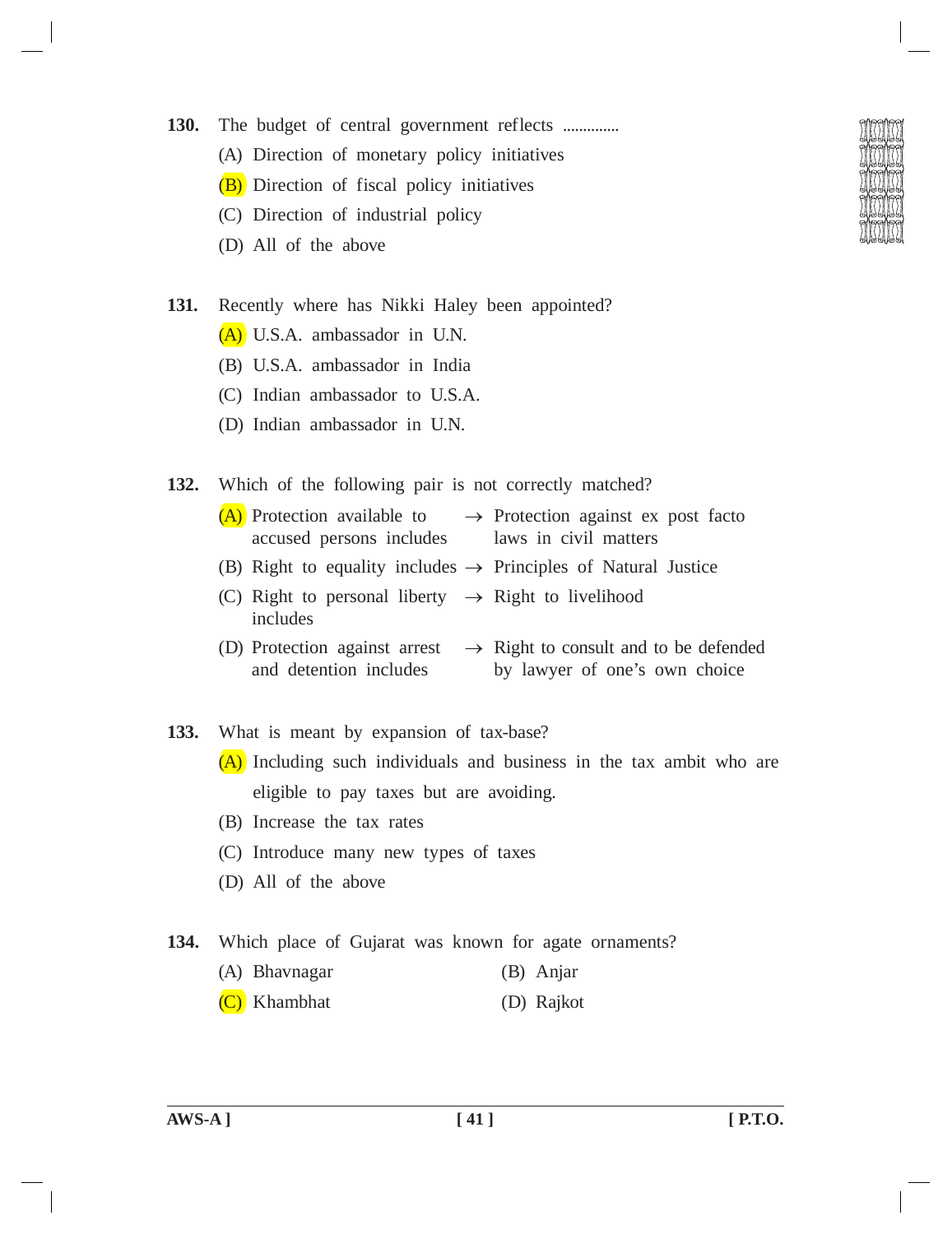- 130. The budget of central government reflects ..............
	- (A) Direction of monetary policy initiatives
	- (B) Direction of fiscal policy initiatives
	- (C) Direction of industrial policy
	- (D) All of the above
- **131.** Recently where has Nikki Haley been appointed?
	- (A) U.S.A. ambassador in U.N.
	- (B) U.S.A. ambassador in India
	- (C) Indian ambassador to U.S.A.
	- (D) Indian ambassador in U.N.
- **132.** Which of the following pair is not correctly matched?
	- (A) Protection available to  $\rightarrow$  Protection against ex post facto accused persons includes laws in civil matters
	- (B) Right to equality includes  $\rightarrow$  Principles of Natural Justice
	- (C) Right to personal liberty  $\rightarrow$  Right to livelihood includes
	- (D) Protection against arrest  $\rightarrow$  Right to consult and to be defended and detention includes by lawyer of one's own choice
- **133.** What is meant by expansion of tax-base?
	- (A) Including such individuals and business in the tax ambit who are eligible to pay taxes but are avoiding.
	- (B) Increase the tax rates
	- (C) Introduce many new types of taxes
	- (D) All of the above
- **134.** Which place of Gujarat was known for agate ornaments?
	- (A) Bhavnagar (B) Anjar
	- (C) Khambhat (D) Rajkot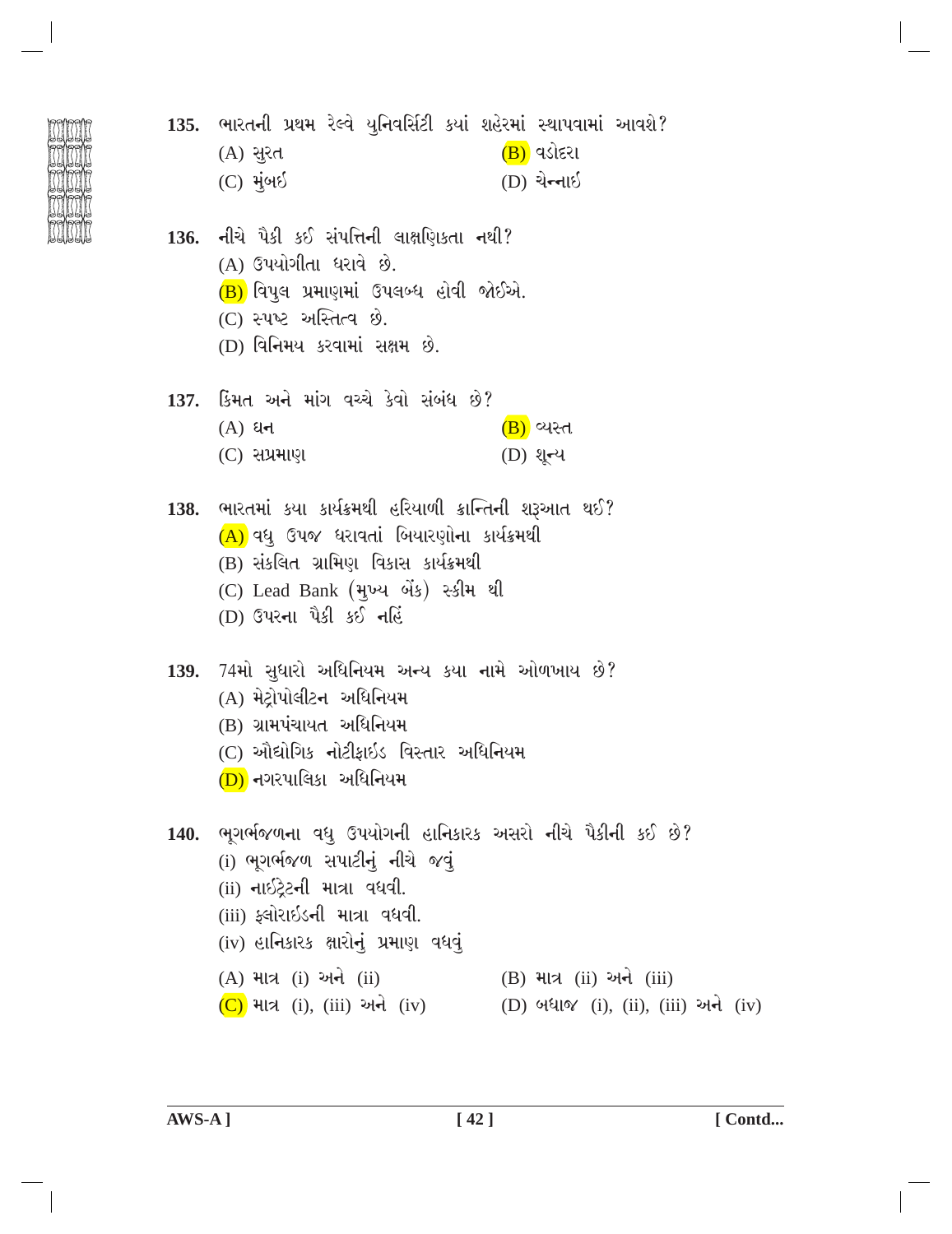135. ભારતની પ્રથમ રેલ્વે યુનિવર્સિટી કયાં શહેરમાં સ્થાપવામાં આવશે? (A) સૂરત  $(B)$  વડોદરા  $(C)$  મુંબઈ (D) ચેન્નાઈ 136. નીચે પૈકી કઈ સંપત્તિની લાક્ષણિકતા નથી? (A) ઉપયોગીતા ધરાવે છે.  $(B)$  વિપુલ પ્રમાણમાં ઉપલબ્ધ હોવી જોઈએ. (C) સ્પષ્ટ અસ્તિત્વ છે. (D) વિનિમય કરવામાં સક્ષમ છે. 137. કિંમત અને માંગ વચ્ચે કેવો સંબંધ છે?  $(A)$  ધન  $(B)$  વ્યસ્ત  $(C)$  સપ્રમાણ (D) থન્ય 138. ભારતમાં કયા કાર્યક્રમથી હરિયાળી ક્રાન્તિની શરૂઆત થઈ? (A) વધુ ઉપજ ધરાવતાં બિયારણોના કાર્યક્રમથી (B) સંકલિત ગ્રામિણ વિકાસ કાર્યક્રમથી (C) Lead Bank (मुખ્ય બેંક) સ્કીમ થી (D) ઉપરના પૈકી કઈ નહિં 139. 74મો સુધારો અધિનિયમ અન્ય કયા નામે ઓળખાય છે? (A) મેટ્રોપોલીટન અધિનિયમ (B) ગ્રામપંચાયત અધિનિયમ (C) ઔદ્યોગિક નોટીકાઇડ વિસ્તાર અધિનિયમ (D) નગરપાલિકા અધિનિયમ 140. ભૂગર્ભજળના વધુ ઉપયોગની હાનિકારક અસરો નીચે પૈકીની કઈ છે? (i) ભગર્ભજળ સપાટીનું નીચે જવું (ii) નાઇટ્રેટની માત્રા વધવી. (iii) ફ્લોરાઇડની માત્રા વધવી. (iv) હાનિકારક ક્ષારોનું પ્રમાણ વધવું (B) માત્ર (ii) અને (iii) (A) માત્ર (i) અને (ii)  $(C)$  માત્ર (i), (iii) અને (iv) (D) બધાજ (i), (ii), (iii) અને (iv)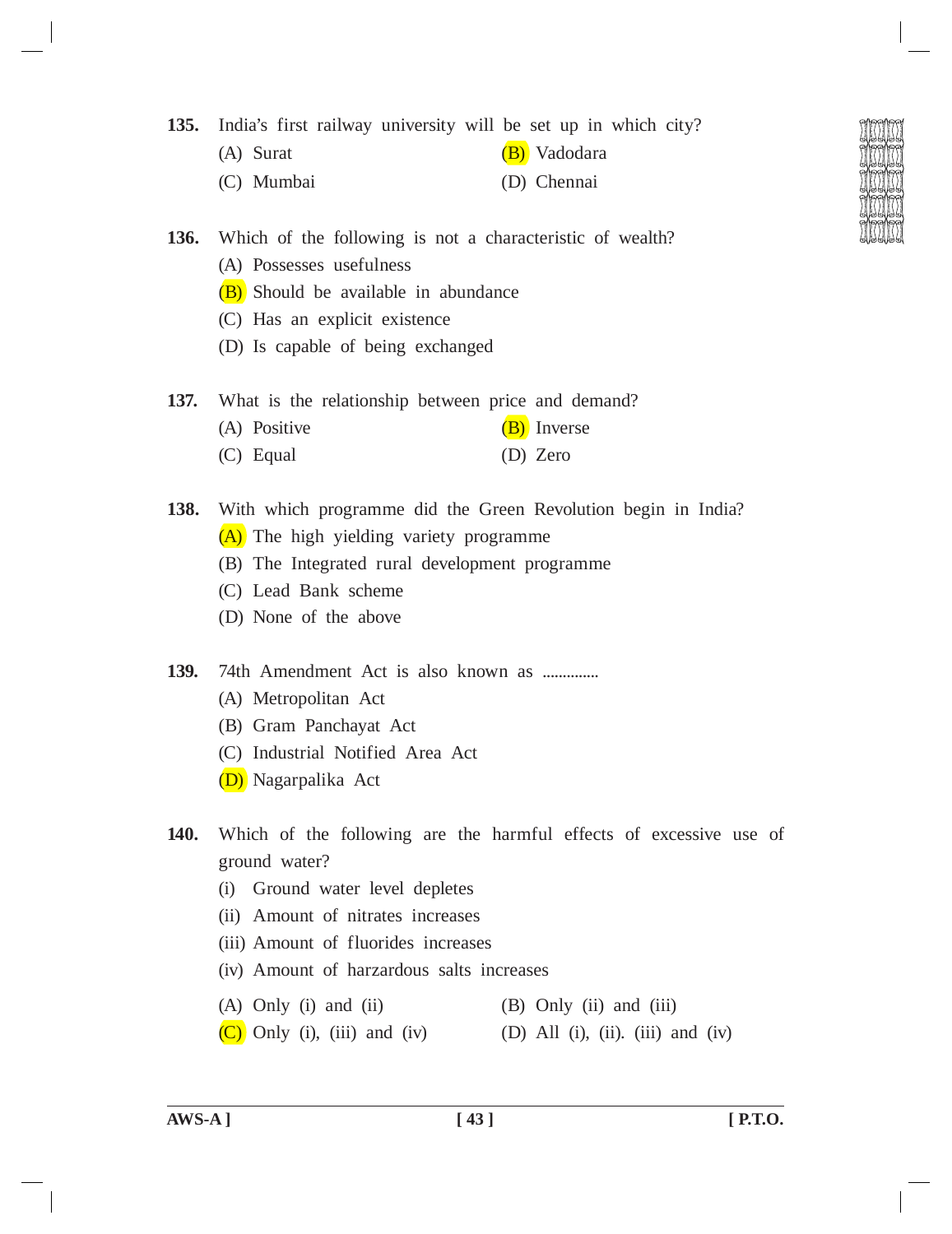**135.** India's first railway university will be set up in which city?

- (A) Surat (B) Vadodara
- (C) Mumbai (D) Chennai
- 
- **136.** Which of the following is not a characteristic of wealth?
	- (A) Possesses usefulness
	- (B) Should be available in abundance
	- (C) Has an explicit existence
	- (D) Is capable of being exchanged
- **137.** What is the relationship between price and demand?
	- (A) Positive  $(B)$  Inverse
	- (C) Equal (D) Zero

**138.** With which programme did the Green Revolution begin in India? (A) The high yielding variety programme

- (B) The Integrated rural development programme
- (C) Lead Bank scheme
- (D) None of the above
- **139.** 74th Amendment Act is also known as ..............
	- (A) Metropolitan Act
	- (B) Gram Panchayat Act
	- (C) Industrial Notified Area Act
	- (D) Nagarpalika Act
- **140.** Which of the following are the harmful effects of excessive use of ground water?
	- (i) Ground water level depletes
	- (ii) Amount of nitrates increases
	- (iii) Amount of fluorides increases
	- (iv) Amount of harzardous salts increases
	- (A) Only (i) and (ii)  $(B)$  Only (ii) and (iii)
	- $(C)$  Only (i), (iii) and (iv) (D) All (i), (ii). (iii) and (iv)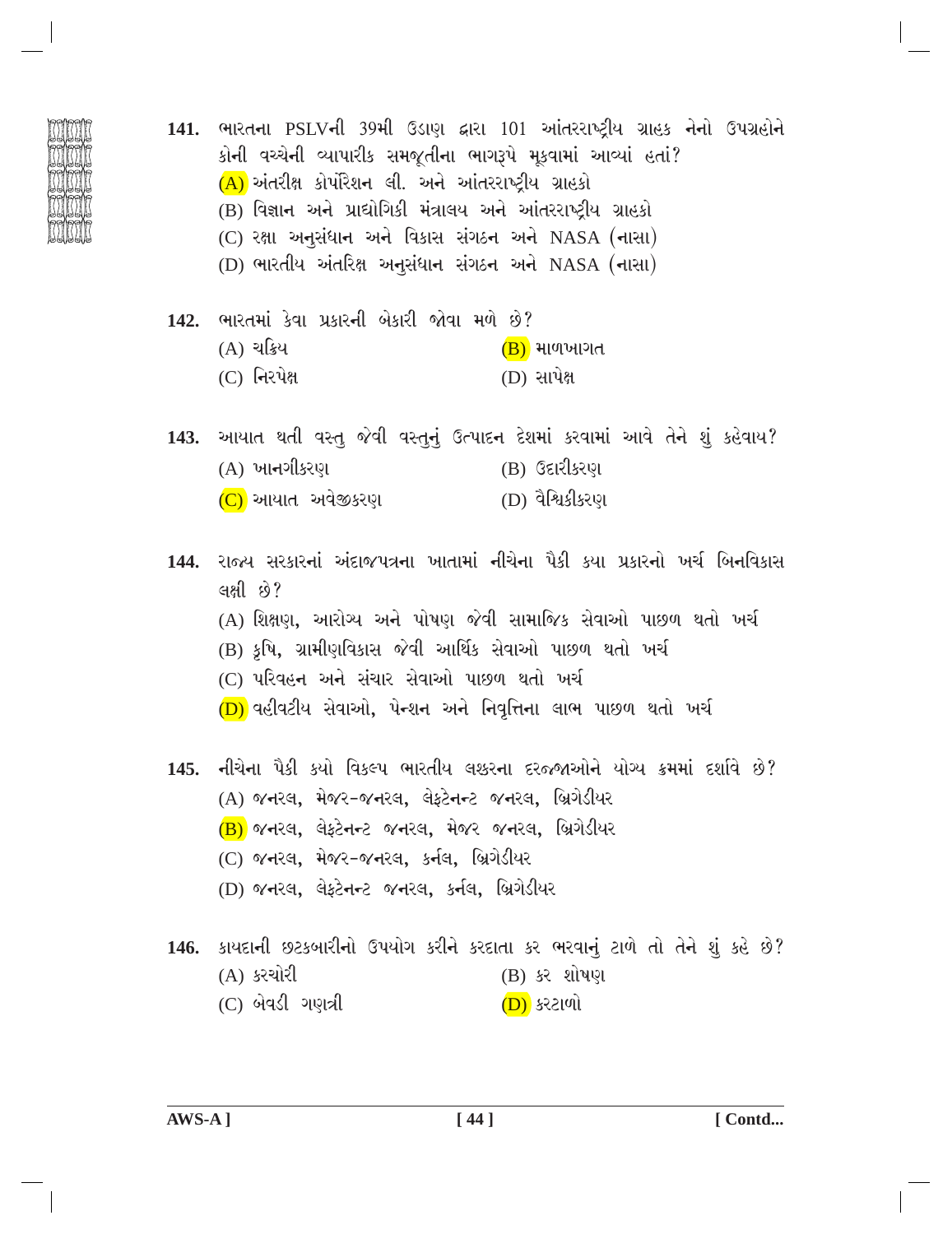- 141. ભારતના PSLVની 39મી ઉડાણ દ્વારા 101 આંતરરાષ્ટીય ગ્રાહક નેનો ઉપગ્રહોને કોની વચ્ચેની વ્યાપારીક સમજૂતીના ભાગરૂપે મૂકવામાં આવ્યાં હતાં?  $(A)$  અંતરીક્ષ કોર્પોરેશન લી. અને આંતરરાષ્ટ્રીય ગ્રાહકો (B) વિજ્ઞાન અને પ્રાઘોગિકી મંત્રાલય અને આંતરરાષ્ટીય ગ્રાહકો (C) રક્ષા અનુસંધાન અને વિકાસ સંગઠન અને NASA (નાસા) (D) ભારતીય અંતરિક્ષ અનુસંધાન સંગઠન અને NASA (નાસા)
	- 142. ભારતમાં કેવા પ્રકારની બેકારી જોવા મળે છે? (A) ચક્રિય  $(B)$  માળખાગત  $(C)$  નિરપેક્ષ (D) સાપેક્ષ
	- 143. આયાત થતી વસ્તુ જેવી વસ્તુનું ઉત્પાદન દેશમાં કરવામાં આવે તેને શું કહેવાય? (A) ખા**ન**ગીકરણ (B) ઉદારીકરણ (C) આયાત અવેજીકરણ (D) વૈશ્વિકીકરણ
	- 144. રાજ્ય સરકારનાં અંદાજપત્રના ખાતામાં નીચેના પૈકી કયા પ્રકારનો ખર્ચ બિનવિકાસ લક્ષી છે? (A) શિક્ષણ, આરોગ્ય અને પોષણ જેવી સામાજિક સેવાઓ પાછળ થતો ખર્ચ (B) કૃષિ, ગ્રામીણવિકાસ જેવી આર્થિક સેવાઓ પાછળ થતો ખર્ચ (C) પરિવહન અને સંચાર સેવાઓ પાછળ થતો ખર્ચ  $(D)$  વહીવટીય સેવાઓ, પેન્શન અને નિવૃત્તિના લાભ પાછળ થતો ખર્ચ
	- 145. નીચેના પૈકી કયો વિકલ્પ ભારતીય લશ્કરના દરજ્જાઓને યોગ્ય ક્રમમાં દર્શાવે છે? (A) જનરલ, મેજર-જનરલ, લેફ્ટેનન્ટ જનરલ, બ્રિગેડીયર (B) જનરલ, લેફટેનન્ટ જનરલ, મેજર જનરલ, બ્રિગેડીયર (C) જનરલ, મેજર-જનરલ, કર્નલ, બ્રિગેડીયર (D) જનરલ, લેફટેનન્ટ જનરલ, કર્નલ, બ્રિગેડીયર 146. કાયદાની છટકબારીનો ઉપયોગ કરીને કરદાતા કર ભરવાનું ટાળે તો તેને શું કહે છે?
		- (A) કરચોરી (B) કર શોષણ
		- $(C)$  બેવડી ગણત્રી <u>(D)</u> કરટાળો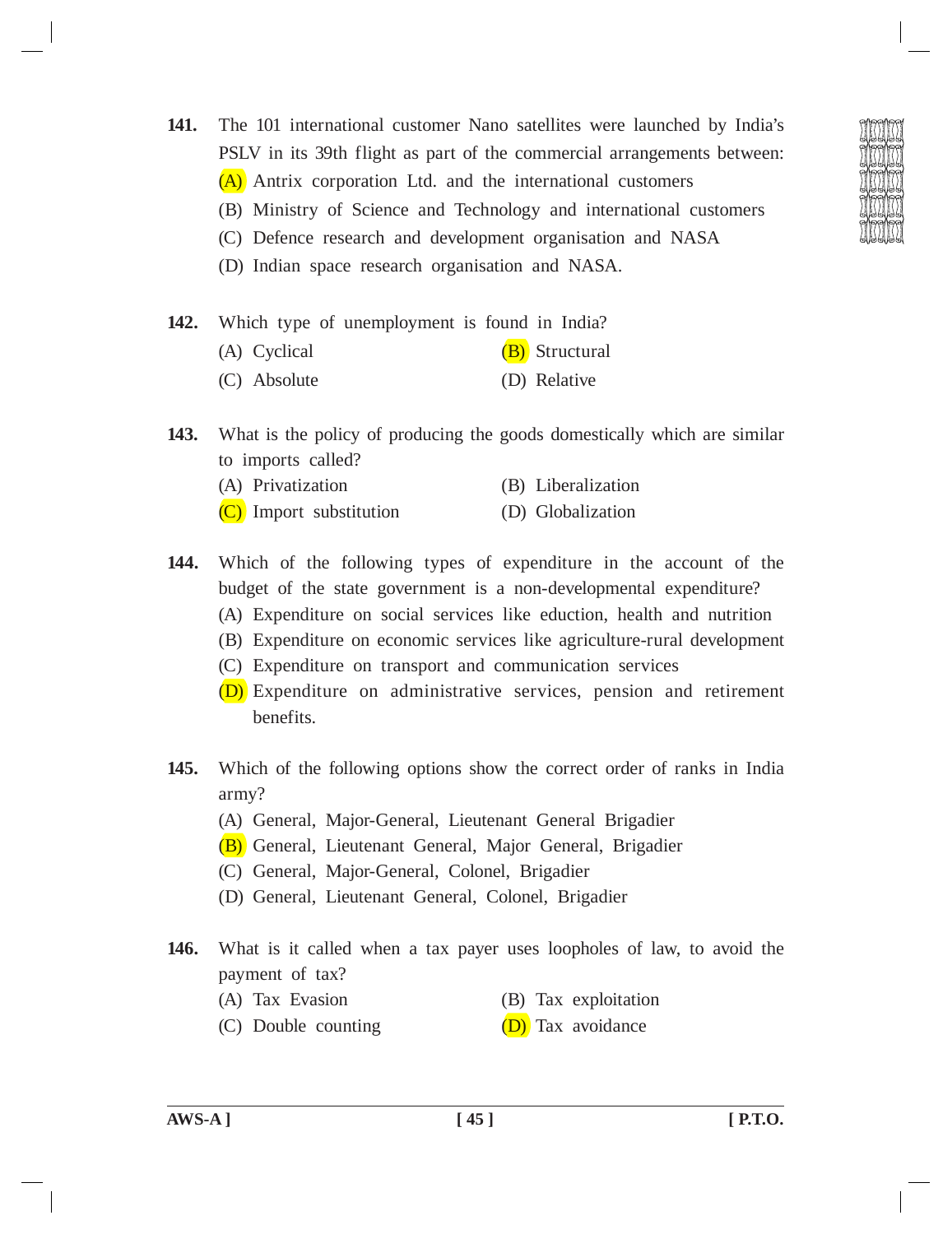**141.** The 101 international customer Nano satellites were launched by India's PSLV in its 39th flight as part of the commercial arrangements between: (A) Antrix corporation Ltd. and the international customers

- (B) Ministry of Science and Technology and international customers
- (C) Defence research and development organisation and NASA
- (D) Indian space research organisation and NASA.

**142.** Which type of unemployment is found in India?

- (A) Cyclical  $(B)$  Structural
- (C) Absolute (D) Relative
- **143.** What is the policy of producing the goods domestically which are similar to imports called?
	- (A) Privatization (B) Liberalization
	- (C) Import substitution (D) Globalization
- **144.** Which of the following types of expenditure in the account of the budget of the state government is a non-developmental expenditure?
	- (A) Expenditure on social services like eduction, health and nutrition
	- (B) Expenditure on economic services like agriculture-rural development
	- (C) Expenditure on transport and communication services
	- (D) Expenditure on administrative services, pension and retirement benefits.
- **145.** Which of the following options show the correct order of ranks in India army?
	- (A) General, Major-General, Lieutenant General Brigadier
	- (B) General, Lieutenant General, Major General, Brigadier
	- (C) General, Major-General, Colonel, Brigadier
	- (D) General, Lieutenant General, Colonel, Brigadier
- **146.** What is it called when a tax payer uses loopholes of law, to avoid the payment of tax?
	-
	- (A) Tax Evasion (B) Tax exploitation
	- (C) Double counting  $(D)$  Tax avoidance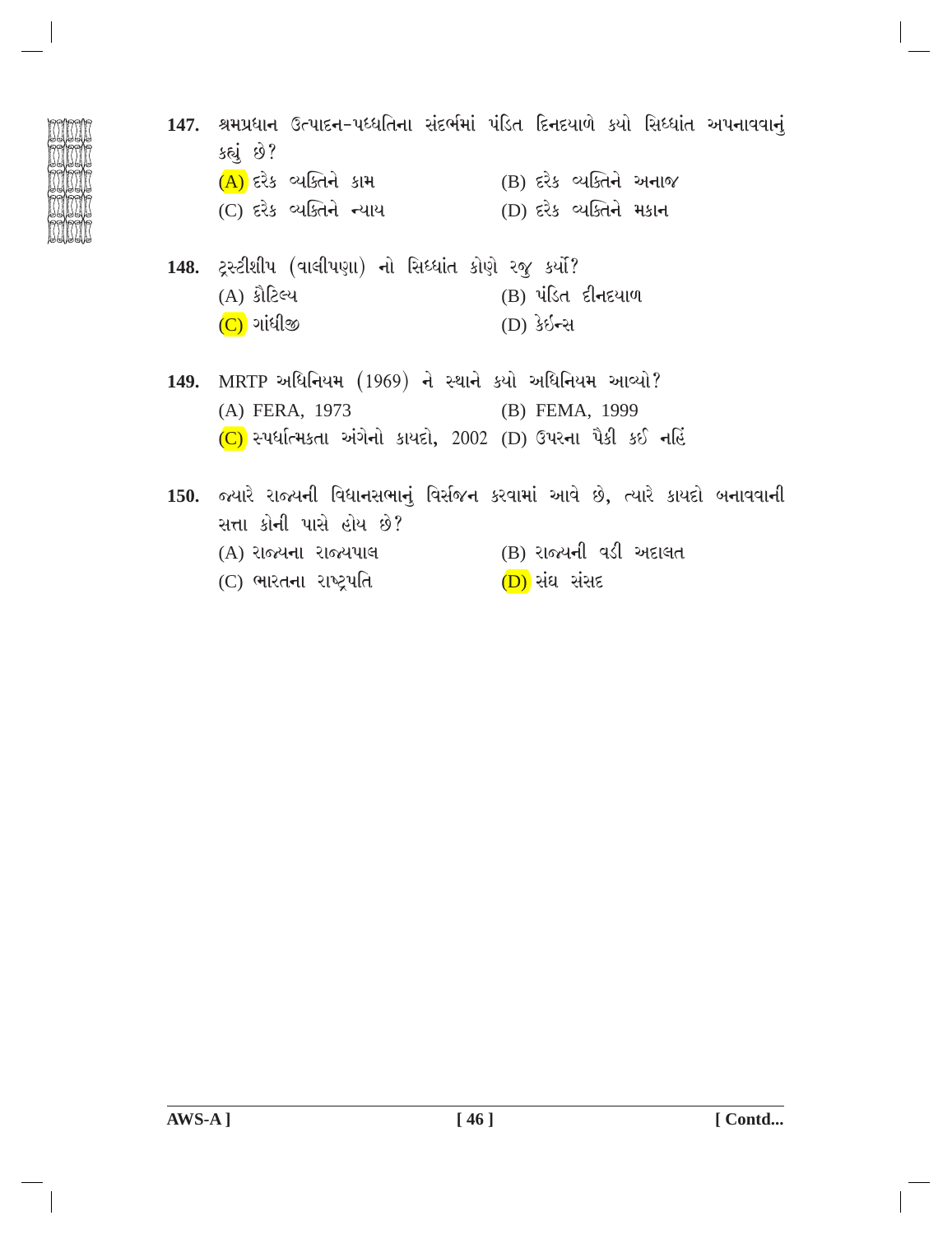- 147. શ્રમપ્રધાન ઉત્પાદન-પધ્ધતિના સંદર્ભમાં પંડિત દિનદયાળે કયો સિધ્ધાંત અપનાવવાનું કહ્યું છે? (A) દરેક વ્યક્તિને કામ (B) દરેક વ્યક્તિને અનાજ (C) દરેક વ્યક્તિને ન્યાય (D) દરેક વ્યક્તિને મકાન 148. ટ્રસ્ટીશીપ (વાલીપણા) નો સિધ્ધાંત કોણે રજૂ કર્યો? (A) કૌટિલ્ય (B) પંડિત દીનદયાળ (C) ગાંધીજી (D) કે**ઇન્સ** 149. MRTP અધિનિયમ (1969) ને સ્થાને કર્યો અધિનિયમ આવ્યો? (A) FERA, 1973 (B) FEMA, 1999  $(C)$  સ્પર્ધાત્મકતા અંગેનો કાયદો, 2002 (D) ઉપરના પૈકી કઈ નહિં 150. જ્યારે રાજ્યની વિધાનસભાનું વિર્સજન કરવામાં આવે છે, ત્યારે કાયદો બનાવવાની સત્તા કોની પાસે હોય છે?
	- (B) રાજ્યની વડી અદાલત (A) રાજ્યના રાજ્યપાલ
	- (C) ભારતના રાષ્ટ્રપતિ (<mark>D)</mark> સંઘ સંસદ